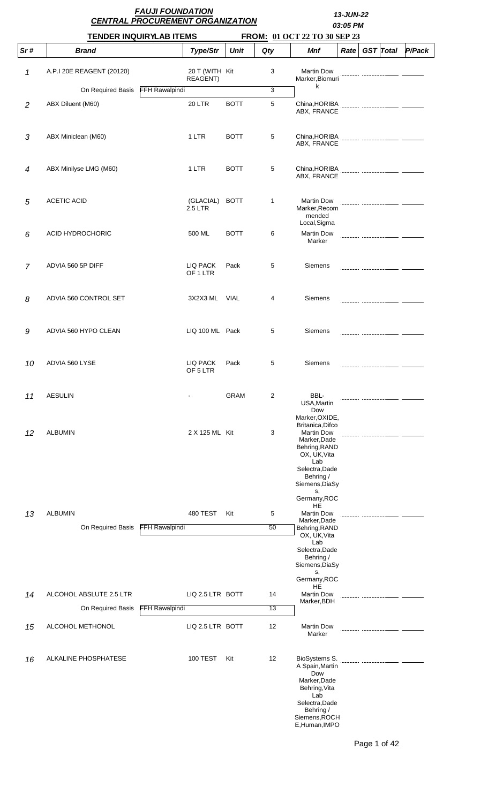|                |                           | <b>FAUJI FOUNDATION</b><br><b>CENTRAL PROCUREMENT ORGANIZATION</b> |             |                |                                                                                                                                                      |      |  | 13-JUN-22<br>03:05 PM |        |  |  |  |
|----------------|---------------------------|--------------------------------------------------------------------|-------------|----------------|------------------------------------------------------------------------------------------------------------------------------------------------------|------|--|-----------------------|--------|--|--|--|
|                |                           | <b>TENDER INQUIRYLAB ITEMS</b>                                     |             |                | FROM: 01 OCT 22 TO 30 SEP 23                                                                                                                         |      |  |                       |        |  |  |  |
| Sr#            | <b>Brand</b>              | Type/Str                                                           | <b>Unit</b> | Qty            | <b>Mnf</b>                                                                                                                                           | Rate |  | <b>GST</b> Total      | P/Pack |  |  |  |
| 1              | A.P.I 20E REAGENT (20120) | 20 T (WITH Kit<br>REAGENT)                                         |             | 3              | <b>Martin Dow</b><br>Marker, Biomuri                                                                                                                 |      |  |                       |        |  |  |  |
|                | On Required Basis         | <b>FFH Rawalpindi</b>                                              |             | $\overline{3}$ | k                                                                                                                                                    |      |  |                       |        |  |  |  |
| $\overline{2}$ | ABX Diluent (M60)         | <b>20 LTR</b>                                                      | <b>BOTT</b> | 5              | China, HORIBA<br>ABX, FRANCE                                                                                                                         |      |  |                       |        |  |  |  |
| 3              | ABX Miniclean (M60)       | 1 LTR                                                              | <b>BOTT</b> | 5              | China, HORIBA<br>ABX, FRANCE                                                                                                                         |      |  |                       |        |  |  |  |
| $\overline{4}$ | ABX Minilyse LMG (M60)    | 1 LTR                                                              | <b>BOTT</b> | 5              | China, HORIBA<br>ABX, FRANCE                                                                                                                         |      |  |                       |        |  |  |  |
| 5              | <b>ACETIC ACID</b>        | (GLACIAL)<br>2.5 LTR                                               | <b>BOTT</b> | 1              | <b>Martin Dow</b><br>Marker, Recom<br>mended                                                                                                         |      |  |                       |        |  |  |  |
| 6              | <b>ACID HYDROCHORIC</b>   | 500 ML                                                             | <b>BOTT</b> | 6              | Local, Sigma<br><b>Martin Dow</b><br>Marker                                                                                                          |      |  |                       |        |  |  |  |
| $\overline{7}$ | ADVIA 560 5P DIFF         | LIQ PACK<br>OF 1 LTR                                               | Pack        | 5              | Siemens                                                                                                                                              |      |  |                       |        |  |  |  |
| 8              | ADVIA 560 CONTROL SET     | 3X2X3 ML VIAL                                                      |             | 4              | Siemens                                                                                                                                              |      |  |                       |        |  |  |  |
| 9              | ADVIA 560 HYPO CLEAN      | LIQ 100 ML Pack                                                    |             | 5              | Siemens                                                                                                                                              |      |  |                       |        |  |  |  |
| 10             | ADVIA 560 LYSE            | LIQ PACK<br>OF 5 LTR                                               | Pack        | 5              | Siemens                                                                                                                                              |      |  |                       |        |  |  |  |
| 11             | <b>AESULIN</b>            |                                                                    | <b>GRAM</b> | $\overline{2}$ | BBL-<br>USA, Martin<br>Dow<br>Marker, OXIDE,                                                                                                         |      |  |                       |        |  |  |  |
| 12             | <b>ALBUMIN</b>            | 2 X 125 ML Kit                                                     |             | 3              | Britanica, Difco<br><b>Martin Dow</b><br>Marker, Dade<br>Behring, RAND<br>OX, UK, Vita<br>Lab<br>Selectra, Dade<br>Behring /<br>Siemens, DiaSy<br>s, |      |  |                       |        |  |  |  |
|                |                           |                                                                    |             |                | Germany, ROC<br>HE                                                                                                                                   |      |  |                       |        |  |  |  |
| 13             | <b>ALBUMIN</b>            | <b>480 TEST</b><br><b>FFH Rawalpindi</b>                           | Kit         | 5<br>50        | <b>Martin Dow</b><br>Marker, Dade                                                                                                                    |      |  |                       |        |  |  |  |
|                | On Required Basis         |                                                                    |             |                | Behring, RAND<br>OX, UK, Vita<br>Lab<br>Selectra, Dade<br>Behring /<br>Siemens, DiaSy<br>s,<br>Germany, ROC                                          |      |  |                       |        |  |  |  |
| 14             | ALCOHOL ABSLUTE 2.5 LTR   | LIQ 2.5 LTR BOTT                                                   |             | 14             | HE<br><b>Martin Dow</b>                                                                                                                              |      |  |                       |        |  |  |  |
|                | On Required Basis         | <b>FFH Rawalpindi</b>                                              |             | 13             | Marker, BDH                                                                                                                                          |      |  |                       |        |  |  |  |
| 15             | ALCOHOL METHONOL          | LIQ 2.5 LTR BOTT                                                   |             | 12             | <b>Martin Dow</b><br>Marker                                                                                                                          |      |  |                       |        |  |  |  |
| 16             | ALKALINE PHOSPHATESE      | <b>100 TEST</b>                                                    | Kit         | 12             | BioSystems S.<br>A Spain, Martin<br>Dow<br>Marker, Dade<br>Behring, Vita<br>Lab<br>Selectra, Dade<br>Behring /<br>Siemens, ROCH<br>E, Human, IMPO    |      |  |                       |        |  |  |  |

Page 1 of 42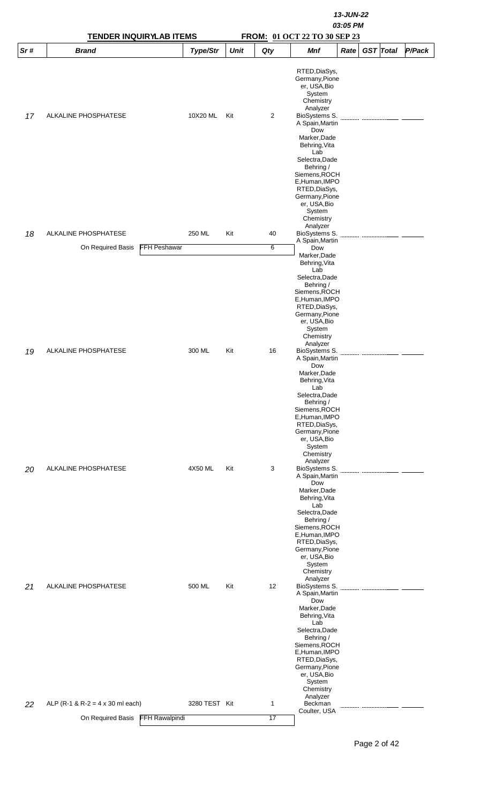|     | <b>TENDER INQUIRYLAB ITEMS</b>             |               | 13-JUN-22<br>03:05 PM<br>FROM: 01 OCT 22 TO 30 SEP 23 |              |                                                                                                                                                                                                                                         |  |  |  |  |  |  |  |
|-----|--------------------------------------------|---------------|-------------------------------------------------------|--------------|-----------------------------------------------------------------------------------------------------------------------------------------------------------------------------------------------------------------------------------------|--|--|--|--|--|--|--|
| Sr# | <b>Brand</b>                               | Type/Str      | <b>Unit</b>                                           | Qty          | <b>GST</b> Total<br>P/Pack<br><b>Mnf</b><br>Rate                                                                                                                                                                                        |  |  |  |  |  |  |  |
|     |                                            |               |                                                       |              | RTED, DiaSys,<br>Germany, Pione<br>er, USA, Bio<br>System<br>Chemistry                                                                                                                                                                  |  |  |  |  |  |  |  |
| 17  | ALKALINE PHOSPHATESE                       | 10X20 ML      | Kit                                                   | 2            | Analyzer<br>BioSystems S.<br>A Spain, Martin<br>Dow<br>Marker, Dade<br>Behring, Vita<br>Lab<br>Selectra, Dade<br>Behring /<br>Siemens, ROCH<br>E, Human, IMPO<br>RTED, DiaSys,<br>Germany, Pione<br>er, USA, Bio                        |  |  |  |  |  |  |  |
| 18  | ALKALINE PHOSPHATESE                       | 250 ML        | Kit                                                   | 40           | System<br>Chemistry<br>Analyzer<br>BioSystems S.                                                                                                                                                                                        |  |  |  |  |  |  |  |
|     |                                            |               |                                                       |              | A Spain, Martin                                                                                                                                                                                                                         |  |  |  |  |  |  |  |
|     | FFH Peshawar<br>On Required Basis          |               |                                                       | 6            | Dow<br>Marker, Dade<br>Behring, Vita<br>Lab<br>Selectra, Dade<br>Behring /<br>Siemens, ROCH<br>E, Human, IMPO<br>RTED, DiaSys,<br>Germany, Pione<br>er, USA, Bio<br>System<br>Chemistry<br>Analyzer                                     |  |  |  |  |  |  |  |
| 19  | ALKALINE PHOSPHATESE                       | 300 ML        | Kit                                                   | 16           | BioSystems S.<br>A Spain, Martin<br>Dow<br>Marker,Dade<br>Behring, Vita<br>Lab<br>Selectra, Dade<br>Behring /<br>Siemens, ROCH<br>E, Human, IMPO<br>RTED, DiaSys,<br>Germany, Pione<br>er, USA, Bio<br>System<br>Chemistry<br>Analyzer  |  |  |  |  |  |  |  |
| 20  | ALKALINE PHOSPHATESE                       | 4X50 ML       | Kit                                                   | 3            | BioSystems S.<br>A Spain, Martin<br>Dow<br>Marker, Dade<br>Behring, Vita<br>Lab<br>Selectra, Dade<br>Behring /<br>Siemens, ROCH<br>E, Human, IMPO<br>RTED, DiaSys,<br>Germany, Pione<br>er, USA, Bio<br>System<br>Chemistry<br>Analyzer |  |  |  |  |  |  |  |
| 21  | ALKALINE PHOSPHATESE                       | 500 ML        | Kit                                                   | 12           | BioSystems S.<br>A Spain, Martin<br>Dow<br>Marker, Dade<br>Behring, Vita<br>Lab<br>Selectra, Dade<br>Behring /<br>Siemens, ROCH<br>E, Human, IMPO<br>RTED, DiaSys,<br>Germany, Pione<br>er, USA, Bio<br>System<br>Chemistry<br>Analyzer |  |  |  |  |  |  |  |
| 22  | ALP (R-1 & R-2 = 4 x 30 ml each)           | 3280 TEST Kit |                                                       | $\mathbf{1}$ | Beckman                                                                                                                                                                                                                                 |  |  |  |  |  |  |  |
|     | <b>FFH Rawalpindi</b><br>On Required Basis |               |                                                       | 17           | Coulter, USA                                                                                                                                                                                                                            |  |  |  |  |  |  |  |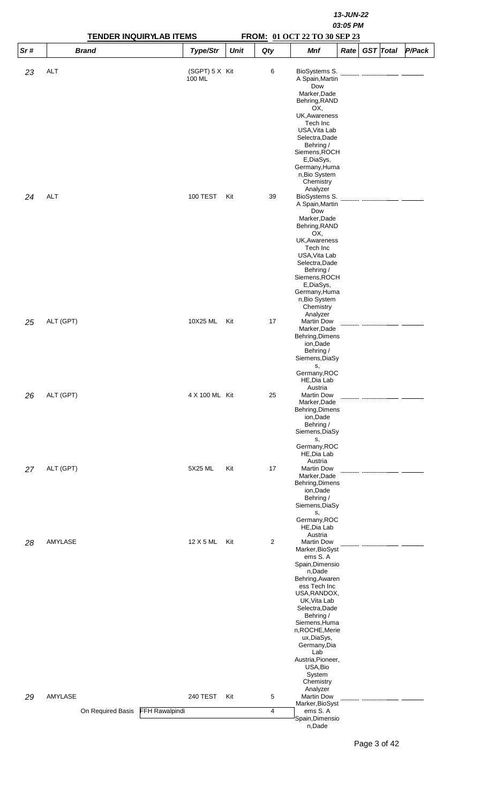|     |                   | <b>TENDER INQUIRYLAB ITEMS</b> |             |                |                                                                                                                                                                                                                                                                                                                                         | 13-JUN-22<br>03:05 PM<br>FROM: 01 OCT 22 TO 30 SEP 23 |                  |        |  |  |  |  |
|-----|-------------------|--------------------------------|-------------|----------------|-----------------------------------------------------------------------------------------------------------------------------------------------------------------------------------------------------------------------------------------------------------------------------------------------------------------------------------------|-------------------------------------------------------|------------------|--------|--|--|--|--|
| Sr# | <b>Brand</b>      | Type/Str                       | <b>Unit</b> | Qty            | <b>Mnf</b>                                                                                                                                                                                                                                                                                                                              | Rate                                                  | <b>GST</b> Total | P/Pack |  |  |  |  |
| 23  | <b>ALT</b>        | (SGPT) 5 X Kit<br>100 ML       |             | 6              | BioSystems S.<br>A Spain, Martin<br>Dow<br>Marker, Dade<br>Behring, RAND<br>OX,<br>UK, Awareness<br>Tech Inc<br>USA, Vita Lab<br>Selectra, Dade<br>Behring /<br>Siemens, ROCH<br>E,DiaSys,<br>Germany, Huma<br>n, Bio System<br>Chemistry                                                                                               |                                                       |                  |        |  |  |  |  |
| 24  | <b>ALT</b>        | 100 TEST                       | Kit         | 39             | Analyzer<br>BioSystems S.<br>A Spain, Martin<br>Dow<br>Marker, Dade<br>Behring, RAND<br>OX,<br>UK, Awareness<br>Tech Inc<br>USA, Vita Lab<br>Selectra, Dade<br>Behring /<br>Siemens, ROCH<br>E,DiaSys,<br>Germany, Huma<br>n, Bio System<br>Chemistry                                                                                   |                                                       |                  |        |  |  |  |  |
| 25  | ALT (GPT)         | 10X25 ML                       | Kit         | 17             | Analyzer<br><b>Martin Dow</b><br>Marker, Dade<br>Behring, Dimens<br>ion, Dade<br>Behring /<br>Siemens, DiaSy<br>s,<br>Germany, ROC<br>HE, Dia Lab                                                                                                                                                                                       |                                                       |                  |        |  |  |  |  |
| 26  | ALT (GPT)         | 4 X 100 ML Kit                 |             | 25             | Austria<br><b>Martin Dow</b><br>Marker, Dade<br>Behring, Dimens<br>ion, Dade<br>Behring /<br>Siemens, DiaSy<br>s,<br>Germany, ROC<br>HE, Dia Lab                                                                                                                                                                                        |                                                       |                  |        |  |  |  |  |
| 27  | ALT (GPT)         | 5X25 ML                        | Kit         | 17             | Austria<br><b>Martin Dow</b><br>Marker, Dade<br>Behring, Dimens<br>ion, Dade<br>Behring /<br>Siemens, DiaSy<br>s,<br>Germany, ROC<br>HE, Dia Lab                                                                                                                                                                                        |                                                       |                  |        |  |  |  |  |
| 28  | AMYLASE           | 12 X 5 ML                      | Kit         | $\overline{2}$ | Austria<br><b>Martin Dow</b><br>Marker, BioSyst<br>ems S.A<br>Spain, Dimensio<br>n,Dade<br>Behring, Awaren<br>ess Tech Inc<br>USA, RANDOX,<br>UK, Vita Lab<br>Selectra, Dade<br>Behring /<br>Siemens, Huma<br>n, ROCHE, Merie<br>ux, DiaSys,<br>Germany, Dia<br>Lab<br>Austria, Pioneer,<br>USA, Bio<br>System<br>Chemistry<br>Analyzer |                                                       |                  |        |  |  |  |  |
| 29  | AMYLASE           | <b>240 TEST</b>                | Kit         | 5              | <b>Martin Dow</b><br>Marker, BioSyst                                                                                                                                                                                                                                                                                                    |                                                       |                  |        |  |  |  |  |
|     | On Required Basis | FFH Rawalpindi                 |             | 4              | ems S.A<br>Spain, Dimensio<br>n,Dade                                                                                                                                                                                                                                                                                                    |                                                       |                  |        |  |  |  |  |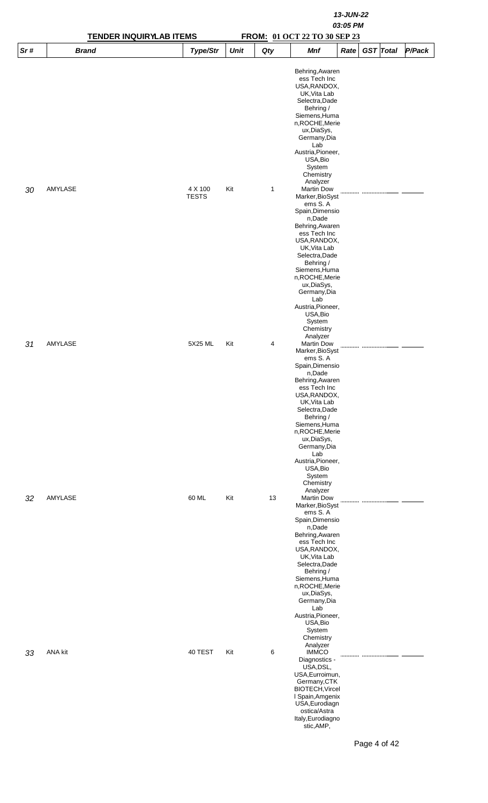|     | <b>TENDER INQUIRYLAB ITEMS</b> |                         | 13-JUN-22<br>03:05 PM<br>FROM: 01 OCT 22 TO 30 SEP 23 |              |                                                                                                                                                                                                                                                                                                                                          |      |                  |  |        |  |  |  |
|-----|--------------------------------|-------------------------|-------------------------------------------------------|--------------|------------------------------------------------------------------------------------------------------------------------------------------------------------------------------------------------------------------------------------------------------------------------------------------------------------------------------------------|------|------------------|--|--------|--|--|--|
| Sr# | <b>Brand</b>                   | Type/Str                | <b>Unit</b>                                           | Qty          | <b>Mnf</b>                                                                                                                                                                                                                                                                                                                               | Rate | <b>GST</b> Total |  | P/Pack |  |  |  |
|     |                                |                         |                                                       |              | Behring, Awaren<br>ess Tech Inc<br>USA, RANDOX,<br>UK, Vita Lab<br>Selectra, Dade<br>Behring /<br>Siemens, Huma<br>n,ROCHE,Merie<br>ux, DiaSys,<br>Germany, Dia<br>Lab<br>Austria, Pioneer,<br>USA, Bio<br>System<br>Chemistry                                                                                                           |      |                  |  |        |  |  |  |
| 30  | AMYLASE                        | 4 X 100<br><b>TESTS</b> | Kit                                                   | $\mathbf{1}$ | Analyzer<br><b>Martin Dow</b><br>Marker, BioSyst<br>ems S.A<br>Spain, Dimensio<br>n,Dade<br>Behring, Awaren<br>ess Tech Inc<br>USA, RANDOX,<br>UK, Vita Lab<br>Selectra, Dade<br>Behring /<br>Siemens, Huma<br>n, ROCHE, Merie<br>ux, DiaSys,<br>Germany, Dia<br>Lab<br>Austria, Pioneer,<br>USA, Bio<br>System<br>Chemistry             |      |                  |  |        |  |  |  |
| 31  | AMYLASE                        | 5X25 ML                 | Kit                                                   | 4            | Analyzer<br><b>Martin Dow</b><br>Marker, BioSyst<br>ems S.A<br>Spain, Dimensio<br>n,Dade<br>Behring, Awaren<br>ess Tech Inc<br>USA, RANDOX,<br>UK, Vita Lab<br>Selectra, Dade<br>Behring /<br>Siemens, Huma<br>n, ROCHE, Merie<br>ux, DiaSys,<br>Germany, Dia<br>Lab<br>Austria, Pioneer,<br>USA, Bio<br>System<br>Chemistry<br>Analyzer |      |                  |  |        |  |  |  |
| 32  | AMYLASE                        | 60 ML                   | Kit                                                   | 13           | <b>Martin Dow</b><br>Marker, BioSyst<br>ems S.A<br>Spain, Dimensio<br>n,Dade<br>Behring, Awaren<br>ess Tech Inc<br>USA, RANDOX,<br>UK, Vita Lab<br>Selectra, Dade<br>Behring /<br>Siemens, Huma<br>n, ROCHE, Merie<br>ux, DiaSys,<br>Germany, Dia<br>Lab<br>Austria, Pioneer,<br>USA, Bio<br>System<br>Chemistry                         |      |                  |  |        |  |  |  |
| 33  | ANA kit                        | 40 TEST                 | Kit                                                   | 6            | Analyzer<br><b>IMMCO</b><br>Diagnostics -<br>USA, DSL,<br>USA, Eurroimun,<br>Germany, CTK<br><b>BIOTECH, Vircel</b><br>I Spain, Amgenix<br>USA, Eurodiagn<br>ostica/Astra<br>Italy, Eurodiagno<br>stic,AMP,                                                                                                                              |      |                  |  |        |  |  |  |

Page 4 of 42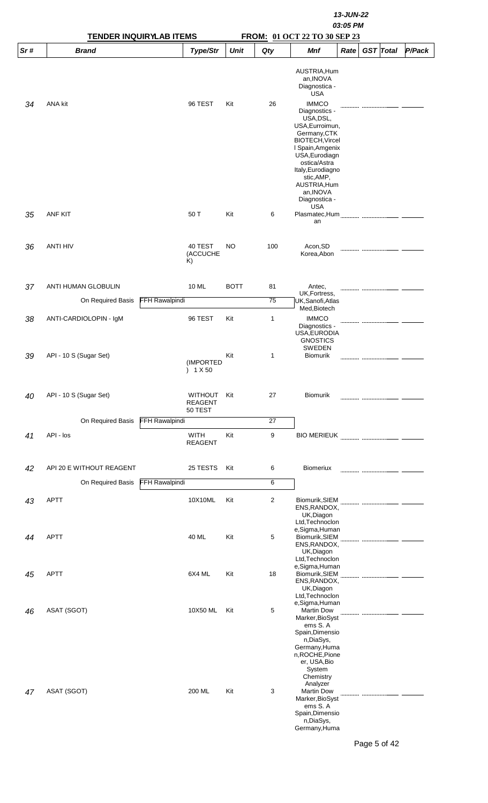|     | 13-JUN-22                      |                       |                                             |             |                |                                                                                                                                                                                                          |      |  |                  |        |  |  |
|-----|--------------------------------|-----------------------|---------------------------------------------|-------------|----------------|----------------------------------------------------------------------------------------------------------------------------------------------------------------------------------------------------------|------|--|------------------|--------|--|--|
|     |                                |                       |                                             |             |                | 03:05 PM                                                                                                                                                                                                 |      |  |                  |        |  |  |
|     | <b>TENDER INQUIRYLAB ITEMS</b> |                       |                                             |             |                | FROM: 01 OCT 22 TO 30 SEP 23                                                                                                                                                                             |      |  |                  |        |  |  |
| Sr# | <b>Brand</b>                   |                       | Type/Str                                    | <b>Unit</b> | Qty            | <b>Mnf</b>                                                                                                                                                                                               | Rate |  | <b>GST</b> Total | P/Pack |  |  |
|     |                                |                       |                                             |             |                | AUSTRIA, Hum<br>an, INOVA<br>Diagnostica -<br><b>USA</b>                                                                                                                                                 |      |  |                  |        |  |  |
| 34  | ANA kit                        |                       | 96 TEST                                     | Kit         | 26             | <b>IMMCO</b><br>Diagnostics -<br>USA, DSL,<br>USA, Eurroimun,<br>Germany, CTK<br><b>BIOTECH, Vircel</b><br>I Spain, Amgenix<br>USA, Eurodiagn<br>ostica/Astra<br>Italy, Eurodiagno                       |      |  |                  |        |  |  |
|     | <b>ANF KIT</b>                 |                       | 50 T                                        | Kit         | 6              | stic, AMP,<br>AUSTRIA, Hum<br>an, INOVA<br>Diagnostica -<br><b>USA</b><br>Plasmatec, Hum                                                                                                                 |      |  |                  |        |  |  |
| 35  |                                |                       |                                             |             |                | an                                                                                                                                                                                                       |      |  |                  |        |  |  |
| 36  | <b>ANTI HIV</b>                |                       | 40 TEST<br>(ACCUCHE<br>K)                   | NO          | 100            | Acon, SD<br>Korea, Abon                                                                                                                                                                                  |      |  |                  |        |  |  |
| 37  | ANTI HUMAN GLOBULIN            |                       | 10 ML                                       | <b>BOTT</b> | 81             | Antec,<br>UK, Fortress,                                                                                                                                                                                  |      |  |                  |        |  |  |
|     | On Required Basis              | <b>FFH Rawalpindi</b> |                                             |             | 75             | UK,Sanofi,Atlas                                                                                                                                                                                          |      |  |                  |        |  |  |
| 38  | ANTI-CARDIOLOPIN - IgM         |                       | 96 TEST                                     | Kit         | 1              | Med, Biotech<br><b>IMMCO</b><br>Diagnostics -<br>USA, EURODIA<br><b>GNOSTICS</b>                                                                                                                         |      |  |                  |        |  |  |
| 39  | API - 10 S (Sugar Set)         |                       | (IMPORTED<br>) 1 X 50                       | Kit         | 1              | SWEDEN<br><b>Biomurik</b>                                                                                                                                                                                |      |  |                  |        |  |  |
| 40  | API - 10 S (Sugar Set)         |                       | <b>WITHOUT</b><br><b>REAGENT</b><br>50 TEST | Kit         | 27             | <b>Biomurik</b>                                                                                                                                                                                          |      |  |                  |        |  |  |
|     | On Required Basis              | <b>FFH Rawalpindi</b> |                                             |             | 27             |                                                                                                                                                                                                          |      |  |                  |        |  |  |
| 41  | API - los                      |                       | <b>WITH</b><br><b>REAGENT</b>               | Kit         | 9              | <b>BIO MERIEUK</b>                                                                                                                                                                                       |      |  |                  |        |  |  |
| 42  | API 20 E WITHOUT REAGENT       |                       | 25 TESTS                                    | Kit         | 6              | <b>Biomeriux</b>                                                                                                                                                                                         |      |  |                  |        |  |  |
|     | On Required Basis              | <b>FFH Rawalpindi</b> |                                             |             | 6              |                                                                                                                                                                                                          |      |  |                  |        |  |  |
|     |                                |                       |                                             |             |                |                                                                                                                                                                                                          |      |  |                  |        |  |  |
| 43  | <b>APTT</b>                    |                       | 10X10ML                                     | Kit         | $\overline{2}$ | Biomurik, SIEM<br>ENS, RANDOX,<br>UK, Diagon<br>Ltd, Technoclon<br>e,Sigma,Human                                                                                                                         |      |  |                  |        |  |  |
| 44  | APTT                           |                       | 40 ML                                       | Kit         | 5              | Biomurik, SIEM<br>ENS, RANDOX,<br>UK, Diagon<br>Ltd, Technoclon                                                                                                                                          |      |  |                  |        |  |  |
| 45  | APTT                           |                       | 6X4 ML                                      | Kit         | 18             | e, Sigma, Human<br>Biomurik, SIEM<br>ENS, RANDOX,<br>UK, Diagon<br>Ltd, Technoclon                                                                                                                       |      |  |                  |        |  |  |
| 46  | ASAT (SGOT)                    |                       | 10X50 ML                                    | Kit         | 5              | e,Sigma,Human<br><b>Martin Dow</b><br>Marker, BioSyst<br>ems S.A                                                                                                                                         |      |  |                  |        |  |  |
| 47  | ASAT (SGOT)                    |                       | 200 ML                                      | Kit         | 3              | Spain, Dimensio<br>n, DiaSys,<br>Germany, Huma<br>n, ROCHE, Pione<br>er, USA, Bio<br>System<br>Chemistry<br>Analyzer<br><b>Martin Dow</b><br>Marker, BioSyst<br>ems S.A<br>Spain, Dimensio<br>n, DiaSys, |      |  |                  |        |  |  |
|     |                                |                       |                                             |             |                | Germany, Huma                                                                                                                                                                                            |      |  |                  |        |  |  |

Page 5 of 42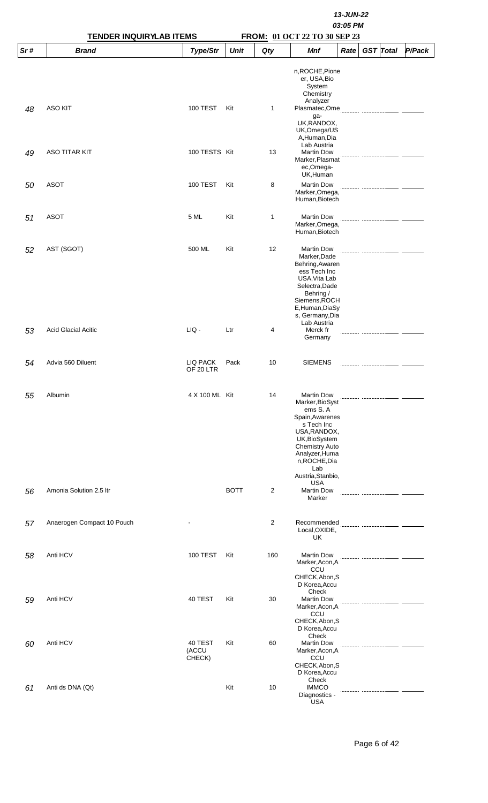|     | <b>TENDER INQUIRYLAB ITEMS</b> | 13-JUN-22<br>03:05 PM<br>FROM: 01 OCT 22 TO 30 SEP 23 |             |                |                                                                                                                                                                                                           |      |  |                  |        |  |
|-----|--------------------------------|-------------------------------------------------------|-------------|----------------|-----------------------------------------------------------------------------------------------------------------------------------------------------------------------------------------------------------|------|--|------------------|--------|--|
| Sr# | <b>Brand</b>                   | Type/Str                                              | <b>Unit</b> | Qty            | Mnf                                                                                                                                                                                                       | Rate |  | <b>GST</b> Total | P/Pack |  |
| 48  | <b>ASO KIT</b>                 | <b>100 TEST</b>                                       | Kit         | $\mathbf{1}$   | n, ROCHE, Pione<br>er, USA, Bio<br>System<br>Chemistry<br>Analyzer<br>ga-<br>UK, RANDOX,<br>UK, Omega/US<br>A, Human, Dia                                                                                 |      |  |                  |        |  |
| 49  | <b>ASO TITAR KIT</b>           | 100 TESTS Kit                                         |             | 13             | Lab Austria<br><b>Martin Dow</b><br>Marker, Plasmat<br>ec,Omega-<br>UK, Human                                                                                                                             |      |  |                  |        |  |
| 50  | <b>ASOT</b>                    | 100 TEST                                              | Kit         | 8              | <b>Martin Dow</b><br>Marker, Omega,<br>Human, Biotech                                                                                                                                                     |      |  |                  |        |  |
| 51  | <b>ASOT</b>                    | 5 ML                                                  | Kit         | 1              | <b>Martin Dow</b><br>Marker, Omega,<br>Human, Biotech                                                                                                                                                     |      |  |                  |        |  |
| 52  | AST (SGOT)                     | 500 ML                                                | Kit         | 12             | <b>Martin Dow</b><br>Marker, Dade<br>Behring, Awaren<br>ess Tech Inc<br>USA, Vita Lab<br>Selectra, Dade<br>Behring /<br>Siemens, ROCH<br>E, Human, DiaSy<br>s, Germany, Dia<br>Lab Austria                |      |  |                  |        |  |
| 53  | <b>Acid Glacial Acitic</b>     | $LIQ -$                                               | Ltr         | 4              | Merck fr<br>Germany                                                                                                                                                                                       |      |  |                  |        |  |
| 54  | Advia 560 Diluent              | LIQ PACK<br>OF 20 LTR                                 | Pack        | 10             | <b>SIEMENS</b>                                                                                                                                                                                            |      |  |                  |        |  |
| 55  | Albumin                        | 4 X 100 ML Kit                                        |             | 14             | <b>Martin Dow</b><br>Marker, BioSyst<br>ems S.A<br>Spain, Awarenes<br>s Tech Inc<br>USA, RANDOX,<br>UK, BioSystem<br><b>Chemistry Auto</b><br>Analyzer, Huma<br>n, ROCHE, Dia<br>Lab<br>Austria, Stanbio, |      |  |                  |        |  |
| 56  | Amonia Solution 2.5 ltr        |                                                       | <b>BOTT</b> | 2              | <b>USA</b><br><b>Martin Dow</b><br>Marker                                                                                                                                                                 |      |  |                  |        |  |
| 57  | Anaerogen Compact 10 Pouch     |                                                       |             | $\overline{2}$ | Local, OXIDE,<br>UK                                                                                                                                                                                       |      |  |                  |        |  |
| 58  | Anti HCV                       | <b>100 TEST</b>                                       | Kit         | 160            | <b>Martin Dow</b><br>Marker, Acon, A<br>CCU<br>CHECK, Abon, S<br>D Korea, Accu                                                                                                                            |      |  |                  |        |  |
| 59  | Anti HCV                       | 40 TEST                                               | Kit         | 30             | Check<br><b>Martin Dow</b><br>Marker, Acon, A<br>CCU<br>CHECK, Abon, S<br>D Korea, Accu                                                                                                                   |      |  |                  |        |  |
| 60  | Anti HCV                       | 40 TEST<br>(ACCU<br>CHECK)                            | Kit         | 60             | Check<br><b>Martin Dow</b><br>Marker, Acon, A<br>CCU<br>CHECK, Abon, S<br>D Korea, Accu                                                                                                                   |      |  |                  |        |  |
| 61  | Anti ds DNA (Qt)               |                                                       | Kit         | 10             | Check<br><b>IMMCO</b><br>Diagnostics -<br><b>USA</b>                                                                                                                                                      |      |  |                  |        |  |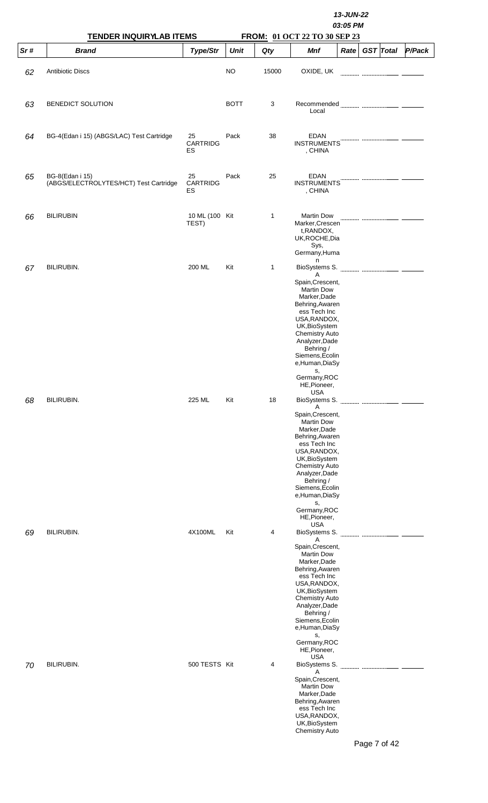|     |                                                                  |                         | 13-JUN-22<br>03:05 PM<br>FROM: 01 OCT 22 TO 30 SEP 23 |       |                                                                                                                                                                                                                                                                                                                 |      |  |                  |        |  |  |  |
|-----|------------------------------------------------------------------|-------------------------|-------------------------------------------------------|-------|-----------------------------------------------------------------------------------------------------------------------------------------------------------------------------------------------------------------------------------------------------------------------------------------------------------------|------|--|------------------|--------|--|--|--|
| Sr# | <b>TENDER INQUIRYLAB ITEMS</b><br><b>Brand</b>                   | Type/Str                | <b>Unit</b>                                           | Qty   | Mnf                                                                                                                                                                                                                                                                                                             | Rate |  | <b>GST</b> Total | P/Pack |  |  |  |
| 62  | <b>Antibiotic Discs</b>                                          |                         | <b>NO</b>                                             | 15000 | OXIDE, UK                                                                                                                                                                                                                                                                                                       |      |  |                  |        |  |  |  |
| 63  | BENEDICT SOLUTION                                                |                         | <b>BOTT</b>                                           | 3     | Recommended<br>Local                                                                                                                                                                                                                                                                                            |      |  |                  |        |  |  |  |
| 64  | BG-4(Edan i 15) (ABGS/LAC) Test Cartridge                        | 25<br>CARTRIDG<br>ES    | Pack                                                  | 38    | <b>EDAN</b><br><b>INSTRUMENTS</b><br>, CHINA                                                                                                                                                                                                                                                                    |      |  |                  |        |  |  |  |
| 65  | <b>BG-8(Edan i 15)</b><br>(ABGS/ELECTROLYTES/HCT) Test Cartridge | 25<br>CARTRIDG<br>ES    | Pack                                                  | 25    | <b>EDAN</b><br><b>INSTRUMENTS</b><br>, CHINA                                                                                                                                                                                                                                                                    |      |  |                  |        |  |  |  |
| 66  | <b>BILIRUBIN</b>                                                 | 10 ML (100 Kit<br>TEST) |                                                       | 1     | <b>Martin Dow</b><br>Marker, Crescen<br>t, RANDOX,<br>UK, ROCHE, Dia<br>Sys,<br>Germany, Huma                                                                                                                                                                                                                   |      |  |                  |        |  |  |  |
| 67  | BILIRUBIN.                                                       | 200 ML                  | Kit                                                   | 1     | n<br>BioSystems S.<br>Α<br>Spain, Crescent,<br><b>Martin Dow</b><br>Marker, Dade<br>Behring, Awaren<br>ess Tech Inc<br>USA, RANDOX,<br>UK, BioSystem<br><b>Chemistry Auto</b><br>Analyzer, Dade<br>Behring /<br>Siemens, Ecolin<br>e,Human,DiaSy<br>s,<br>Germany, ROC<br>HE, Pioneer,                          |      |  |                  |        |  |  |  |
| 68  | <b>BILIRUBIN.</b>                                                | 225 ML                  | Kit                                                   | 18    | USA<br>BioSystems S.<br>Α<br>Spain, Crescent,<br><b>Martin Dow</b><br>Marker, Dade<br>Behring, Awaren<br>ess Tech Inc<br>USA, RANDOX,<br>UK, BioSystem<br><b>Chemistry Auto</b><br>Analyzer, Dade<br>Behring /<br>Siemens, Ecolin<br>e, Human, DiaSy<br>s,<br>Germany, ROC<br>HE, Pioneer,                      |      |  |                  |        |  |  |  |
| 69  | BILIRUBIN.                                                       | 4X100ML                 | Kit                                                   | 4     | <b>USA</b><br>BioSystems S.<br>Α<br>Spain, Crescent,<br><b>Martin Dow</b><br>Marker, Dade<br>Behring, Awaren<br>ess Tech Inc<br>USA, RANDOX,<br>UK, BioSystem<br><b>Chemistry Auto</b><br>Analyzer, Dade<br>Behring /<br>Siemens, Ecolin<br>e, Human, DiaSy<br>s,<br>Germany, ROC<br>HE, Pioneer,<br><b>USA</b> |      |  |                  |        |  |  |  |
| 70  | <b>BILIRUBIN.</b>                                                | 500 TESTS Kit           |                                                       | 4     | BioSystems S.<br>Α<br>Spain, Crescent,<br><b>Martin Dow</b><br>Marker, Dade<br>Behring, Awaren<br>ess Tech Inc<br>USA, RANDOX,<br>UK, BioSystem<br>Chemistry Auto                                                                                                                                               |      |  | Page 7 of 42     |        |  |  |  |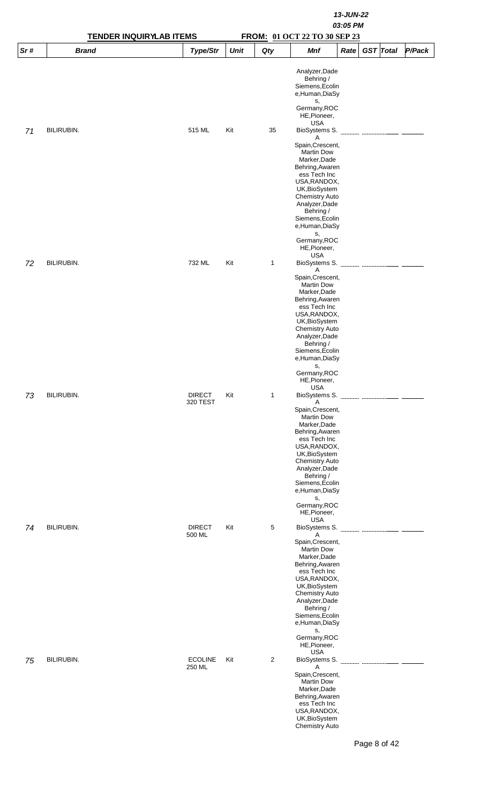|     | <b>TENDER INQUIRYLAB ITEMS</b> |                           | 13-JUN-22<br>03:05 PM<br>FROM: 01 OCT 22 TO 30 SEP 23 |              |                                                                                                                                                                                                                                                                                                                            |      |                  |        |  |  |  |  |
|-----|--------------------------------|---------------------------|-------------------------------------------------------|--------------|----------------------------------------------------------------------------------------------------------------------------------------------------------------------------------------------------------------------------------------------------------------------------------------------------------------------------|------|------------------|--------|--|--|--|--|
| Sr# | <b>Brand</b>                   | Type/Str                  | <b>Unit</b>                                           | Qty          | Mnf                                                                                                                                                                                                                                                                                                                        | Rate | <b>GST</b> Total | P/Pack |  |  |  |  |
|     |                                |                           |                                                       |              | Analyzer, Dade<br>Behring /<br>Siemens, Ecolin<br>e,Human,DiaSy<br>s,<br>Germany, ROC<br>HE, Pioneer,                                                                                                                                                                                                                      |      |                  |        |  |  |  |  |
| 71  | BILIRUBIN.                     | 515 ML                    | Kit                                                   | 35           | <b>USA</b><br>BioSystems S.<br>A<br>Spain, Crescent,<br><b>Martin Dow</b><br>Marker, Dade<br>Behring, Awaren<br>ess Tech Inc<br>USA, RANDOX,<br>UK, BioSystem<br><b>Chemistry Auto</b><br>Analyzer, Dade<br>Behring /<br>Siemens, Ecolin<br>e,Human,DiaSy<br>s,                                                            |      |                  |        |  |  |  |  |
| 72  | BILIRUBIN.                     | 732 ML                    | Kit                                                   | $\mathbf{1}$ | Germany, ROC<br>HE, Pioneer,<br><b>USA</b><br>BioSystems S.<br>A<br>Spain, Crescent,<br><b>Martin Dow</b><br>Marker, Dade<br>Behring, Awaren<br>ess Tech Inc<br>USA, RANDOX,                                                                                                                                               |      |                  |        |  |  |  |  |
| 73  | BILIRUBIN.                     | <b>DIRECT</b><br>320 TEST | Kit                                                   | $\mathbf{1}$ | UK, BioSystem<br><b>Chemistry Auto</b><br>Analyzer, Dade<br>Behring /<br>Siemens, Ecolin<br>e, Human, DiaSy<br>s,<br>Germany, ROC<br>HE, Pioneer,<br><b>USA</b><br>BioSystems S.<br>Α<br>Spain, Crescent,<br><b>Martin Dow</b><br>Marker, Dade<br>Behring, Awaren<br>ess Tech Inc<br>USA, RANDOX,<br>UK, BioSystem         |      |                  |        |  |  |  |  |
| 74  | BILIRUBIN.                     | <b>DIRECT</b><br>500 ML   | Kit                                                   | 5            | <b>Chemistry Auto</b><br>Analyzer, Dade<br>Behring /<br>Siemens, Ecolin<br>e, Human, DiaSy<br>s,<br>Germany, ROC<br>HE, Pioneer,<br><b>USA</b><br>BioSystems S.<br>Α<br>Spain, Crescent,<br><b>Martin Dow</b><br>Marker, Dade<br>Behring, Awaren<br>ess Tech Inc<br>USA, RANDOX,<br>UK, BioSystem<br><b>Chemistry Auto</b> |      |                  |        |  |  |  |  |
| 75  | <b>BILIRUBIN.</b>              | <b>ECOLINE</b><br>250 ML  | Kit                                                   | 2            | Analyzer, Dade<br>Behring /<br>Siemens, Ecolin<br>e,Human,DiaSy<br>s,<br>Germany, ROC<br>HE, Pioneer,<br><b>USA</b><br>BioSystems S.<br>Α<br>Spain, Crescent,<br><b>Martin Dow</b><br>Marker, Dade<br>Behring, Awaren<br>ess Tech Inc<br>USA, RANDOX,<br>UK, BioSystem<br><b>Chemistry Auto</b>                            |      |                  |        |  |  |  |  |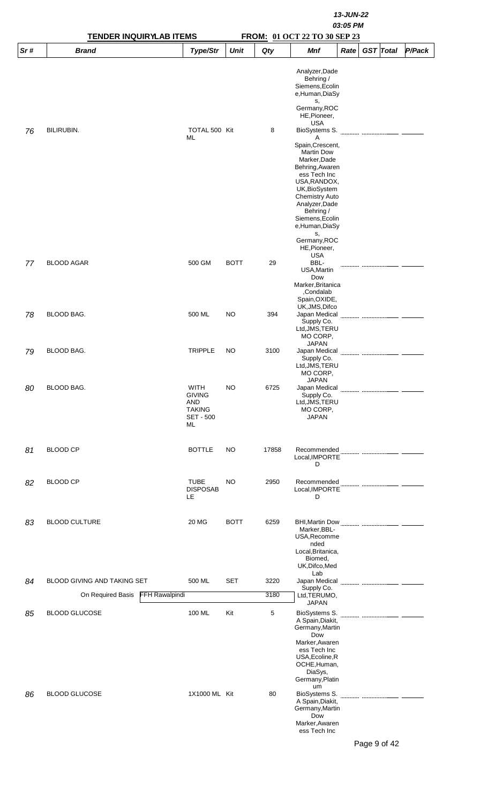|     | <b>TENDER INQUIRYLAB ITEMS</b>             |                                                                                       |             | FROM: 01 OCT 22 TO 30 SEP 23 | 13-JUN-22<br>03:05 PM                                                                                                                                           |      |                     |        |
|-----|--------------------------------------------|---------------------------------------------------------------------------------------|-------------|------------------------------|-----------------------------------------------------------------------------------------------------------------------------------------------------------------|------|---------------------|--------|
| Sr# | <b>Brand</b>                               | Type/Str                                                                              | <b>Unit</b> | Qty                          | <b>Mnf</b>                                                                                                                                                      | Rate | <b>GST</b> Total    | P/Pack |
|     |                                            |                                                                                       |             |                              | Analyzer, Dade<br>Behring /<br>Siemens, Ecolin<br>e,Human,DiaSy<br>S,<br>Germany, ROC<br>HE, Pioneer,                                                           |      |                     |        |
| 76  | <b>BILIRUBIN.</b>                          | TOTAL 500 Kit<br>ML                                                                   |             | 8                            | <b>USA</b><br>BioSystems S.<br>Α<br>Spain, Crescent,<br><b>Martin Dow</b><br>Marker, Dade<br>Behring, Awaren                                                    |      |                     |        |
|     |                                            |                                                                                       |             |                              | ess Tech Inc<br>USA, RANDOX,<br>UK, BioSystem<br><b>Chemistry Auto</b><br>Analyzer, Dade<br>Behring /<br>Siemens, Ecolin<br>e,Human,DiaSy<br>s,<br>Germany, ROC |      |                     |        |
|     |                                            |                                                                                       |             |                              | HE, Pioneer,<br><b>USA</b>                                                                                                                                      |      |                     |        |
| 77  | <b>BLOOD AGAR</b>                          | 500 GM                                                                                | <b>BOTT</b> | 29                           | BBL-<br>USA, Martin<br>Dow<br>Marker, Britanica<br>Condalab,<br>Spain, OXIDE,                                                                                   |      |                     |        |
| 78  | BLOOD BAG.                                 | 500 ML                                                                                | <b>NO</b>   | 394                          | UK, JMS, Difco<br>Japan Medical<br>Supply Co.<br>Ltd, JMS, TERU<br>MO CORP,                                                                                     |      |                     |        |
| 79  | BLOOD BAG.                                 | <b>TRIPPLE</b>                                                                        | NO          | 3100                         | <b>JAPAN</b><br>Japan Medical<br>Supply Co.<br>Ltd,JMS,TERU<br>MO CORP,                                                                                         |      |                     |        |
| 80  | BLOOD BAG.                                 | <b>WITH</b><br><b>GIVING</b><br><b>AND</b><br><b>TAKING</b><br><b>SET - 500</b><br>ML | NO          | 6725                         | <b>JAPAN</b><br>Japan Medical<br>Supply Co.<br>Ltd, JMS, TERU<br>MO CORP,<br><b>JAPAN</b>                                                                       |      |                     |        |
| 81  | <b>BLOOD CP</b>                            | <b>BOTTLE</b>                                                                         | NO          | 17858                        | Recommended<br>Local.IMPORTE<br>D                                                                                                                               |      |                     |        |
| 82  | <b>BLOOD CP</b>                            | <b>TUBE</b><br><b>DISPOSAB</b><br>LE.                                                 | NO          | 2950                         | Recommended<br>Local, IMPORTE<br>D                                                                                                                              |      |                     |        |
| 83  | <b>BLOOD CULTURE</b>                       | 20 MG                                                                                 | <b>BOTT</b> | 6259                         | Marker, BBL-<br>USA, Recomme<br>nded<br>Local, Britanica,<br>Biomed,<br>UK, Difco, Med                                                                          |      |                     |        |
| 84  | BLOOD GIVING AND TAKING SET                | 500 ML                                                                                | <b>SET</b>  | 3220                         | Lab<br>Japan Medical                                                                                                                                            |      |                     |        |
|     | <b>FFH Rawalpindi</b><br>On Required Basis |                                                                                       |             | 3180                         | Supply Co.<br>Ltd, TERUMO,                                                                                                                                      |      |                     |        |
| 85  | <b>BLOOD GLUCOSE</b>                       | 100 ML                                                                                | Kit         | 5                            | <b>JAPAN</b><br>BioSystems S.<br>A Spain, Diakit,<br>Germany, Martin<br>Dow                                                                                     |      |                     |        |
| 86  | <b>BLOOD GLUCOSE</b>                       | 1X1000 ML Kit                                                                         |             | 80                           | Marker, Awaren<br>ess Tech Inc<br>USA, Ecoline, R<br>OCHE, Human,<br>DiaSys,<br>Germany, Platin<br>um<br>BioSystems S.<br>A Spain, Diakit,                      |      |                     |        |
|     |                                            |                                                                                       |             |                              | Germany, Martin<br>Dow<br>Marker, Awaren<br>ess Tech Inc                                                                                                        |      | $Dess \wedge af A2$ |        |

Page 9 of 42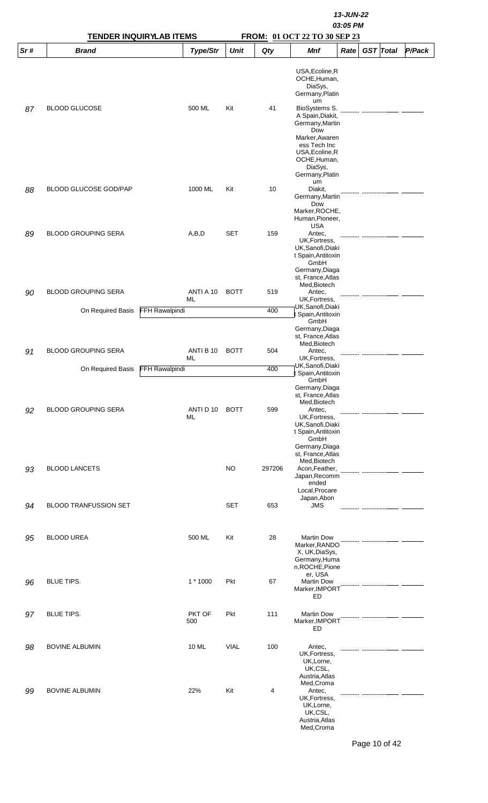|     |                                                 | <b>TENDER INQUIRYLAB ITEMS</b> |           |             | 13-JUN-22<br>03:05 PM<br>FROM: 01 OCT 22 TO 30 SEP 23 |                                                                                                                                                                                         |      |  |                  |        |  |  |
|-----|-------------------------------------------------|--------------------------------|-----------|-------------|-------------------------------------------------------|-----------------------------------------------------------------------------------------------------------------------------------------------------------------------------------------|------|--|------------------|--------|--|--|
| Sr# | <b>Brand</b>                                    |                                | Type/Str  | <b>Unit</b> | Qty                                                   | <b>Mnf</b>                                                                                                                                                                              | Rate |  | <b>GST</b> Total | P/Pack |  |  |
| 87  | <b>BLOOD GLUCOSE</b>                            |                                | 500 ML    | Kit         | 41                                                    | USA, Ecoline, R<br>OCHE, Human,<br>DiaSys,<br>Germany, Platin<br>um<br>BioSystems S.<br>A Spain, Diakit,<br>Germany, Martin<br>Dow<br>Marker, Awaren<br>ess Tech Inc<br>USA, Ecoline, R |      |  |                  |        |  |  |
| 88  | <b>BLOOD GLUCOSE GOD/PAP</b>                    |                                | 1000 ML   | Kit         | 10                                                    | OCHE, Human,<br>DiaSys,<br>Germany, Platin<br>um<br>Diakit,<br>Germany, Martin<br>Dow                                                                                                   |      |  |                  |        |  |  |
| 89  | <b>BLOOD GROUPING SERA</b>                      |                                | A,B,D     | <b>SET</b>  | 159                                                   | Marker, ROCHE,<br>Human, Pioneer,<br><b>USA</b><br>Antec.<br>UK, Fortress,<br>UK, Sanofi, Diaki<br>t Spain, Antitoxin                                                                   |      |  |                  |        |  |  |
| 90  | <b>BLOOD GROUPING SERA</b>                      | ML                             | ANTI A 10 | <b>BOTT</b> | 519                                                   | GmbH<br>Germany, Diaga<br>st, France, Atlas<br>Med, Biotech<br>Antec,<br>UK, Fortress,                                                                                                  |      |  |                  |        |  |  |
|     | On Required Basis                               | <b>FFH Rawalpindi</b>          |           |             | 400                                                   | UK, Sanofi, Diaki<br>Spain, Antitoxin<br>GmbH<br>Germany, Diaga<br>st, France, Atlas                                                                                                    |      |  |                  |        |  |  |
| 91  | <b>BLOOD GROUPING SERA</b><br>On Required Basis | ML<br>FFH Rawalpindi           | ANTI B 10 | <b>BOTT</b> | 504<br>400                                            | Med, Biotech<br>Antec,<br>UK, Fortress,<br>UK,Sanofi,Diaki                                                                                                                              |      |  |                  |        |  |  |
| 92  | <b>BLOOD GROUPING SERA</b>                      | ML                             | ANTI D 10 | <b>BOTT</b> | 599                                                   | : Spain, Antitoxin<br>GmbH<br>Germany, Diaga<br>st, France, Atlas<br>Med, Biotech<br>Antec,<br>UK, Fortress,<br>UK, Sanofi, Diaki<br>t Spain, Antitoxin<br>GmbH                         |      |  |                  |        |  |  |
| 93  | <b>BLOOD LANCETS</b>                            |                                |           | <b>NO</b>   | 297206                                                | Germany, Diaga<br>st, France, Atlas<br>Med, Biotech<br>Acon, Feather,<br>Japan, Recomm<br>ended<br>Local, Procare                                                                       |      |  |                  |        |  |  |
| 94  | <b>BLOOD TRANFUSSION SET</b>                    |                                |           | <b>SET</b>  | 653                                                   | Japan, Abon<br><b>JMS</b>                                                                                                                                                               |      |  |                  |        |  |  |
| 95  | <b>BLOOD UREA</b>                               |                                | 500 ML    | Kit         | 28                                                    | <b>Martin Dow</b><br>Marker, RANDO<br>X, UK, DiaSys,<br>Germany, Huma<br>n, ROCHE, Pione                                                                                                |      |  |                  |        |  |  |
| 96  | <b>BLUE TIPS.</b>                               |                                | 1 * 1000  | Pkt         | 67                                                    | er, USA<br><b>Martin Dow</b><br>Marker, IMPORT<br>ED                                                                                                                                    |      |  |                  |        |  |  |
| 97  | <b>BLUE TIPS.</b>                               | 500                            | PKT OF    | Pkt         | 111                                                   | <b>Martin Dow</b><br>Marker, IMPORT<br>ED                                                                                                                                               |      |  |                  |        |  |  |
| 98  | <b>BOVINE ALBUMIN</b>                           |                                | 10 ML     | <b>VIAL</b> | 100                                                   | Antec,<br>UK, Fortress,<br>UK, Lorne,<br>UK,CSL,<br>Austria, Atlas                                                                                                                      |      |  |                  |        |  |  |
| 99  | <b>BOVINE ALBUMIN</b>                           |                                | 22%       | Kit         | 4                                                     | Med, Croma<br>Antec,<br>UK, Fortress,<br>UK, Lorne,<br>UK,CSL,<br>Austria, Atlas<br>Med, Croma                                                                                          |      |  |                  |        |  |  |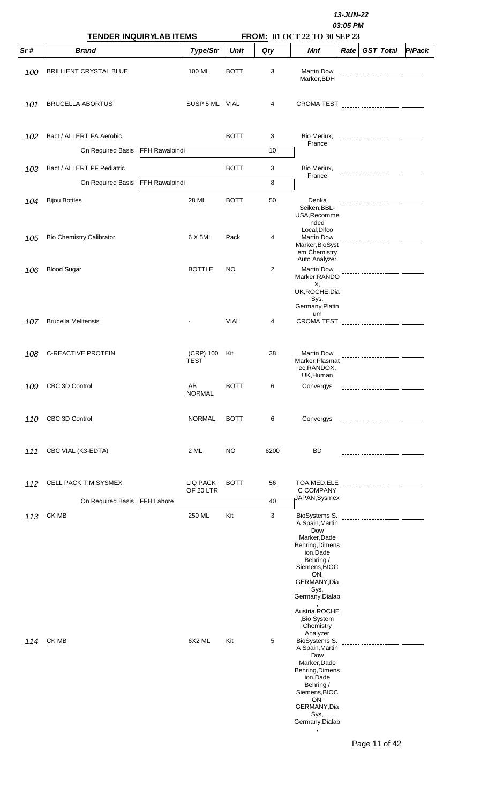|     | <b>TENDER INQUIRYLAB ITEMS</b>                |                       |                          |             |         | 13-JUN-22<br>03:05 PM<br>FROM: 01 OCT 22 TO 30 SEP 23                                                                                                                                                           |      |  |                  |                                        |  |  |
|-----|-----------------------------------------------|-----------------------|--------------------------|-------------|---------|-----------------------------------------------------------------------------------------------------------------------------------------------------------------------------------------------------------------|------|--|------------------|----------------------------------------|--|--|
| Sr# | <b>Brand</b>                                  |                       | Type/Str                 | <b>Unit</b> | Qty     | Mnf                                                                                                                                                                                                             | Rate |  | <b>GST</b> Total | P/Pack                                 |  |  |
| 100 | <b>BRILLIENT CRYSTAL BLUE</b>                 |                       | 100 ML                   | <b>BOTT</b> | 3       | <b>Martin Dow</b><br>Marker, BDH                                                                                                                                                                                |      |  |                  |                                        |  |  |
| 101 | <b>BRUCELLA ABORTUS</b>                       |                       | SUSP 5 ML VIAL           |             | 4       | <b>CROMA TEST</b>                                                                                                                                                                                               |      |  |                  |                                        |  |  |
| 102 | Bact / ALLERT FA Aerobic<br>On Required Basis | <b>FFH Rawalpindi</b> |                          | <b>BOTT</b> | 3<br>10 | Bio Meriux,<br>France                                                                                                                                                                                           |      |  |                  |                                        |  |  |
|     |                                               |                       |                          |             |         |                                                                                                                                                                                                                 |      |  |                  |                                        |  |  |
| 103 | Bact / ALLERT PF Pediatric                    |                       |                          | <b>BOTT</b> | 3<br>8  | Bio Meriux,<br>France                                                                                                                                                                                           |      |  |                  |                                        |  |  |
|     | On Required Basis                             | <b>FFH Rawalpindi</b> |                          |             |         |                                                                                                                                                                                                                 |      |  |                  |                                        |  |  |
| 104 | <b>Bijou Bottles</b>                          |                       | 28 ML                    | <b>BOTT</b> | 50      | Denka<br>Seiken, BBL-<br>USA, Recomme<br>nded                                                                                                                                                                   |      |  |                  |                                        |  |  |
| 105 | <b>Bio Chemistry Calibrator</b>               |                       | 6 X 5ML                  | Pack        | 4       | Local, Difco<br><b>Martin Dow</b><br>Marker, BioSyst<br>em Chemistry<br>Auto Analyzer                                                                                                                           |      |  |                  |                                        |  |  |
| 106 | <b>Blood Sugar</b>                            |                       | <b>BOTTLE</b>            | NO          | 2       | <b>Martin Dow</b><br>Marker, RANDO<br>Х,<br>UK, ROCHE, Dia<br>Sys,                                                                                                                                              |      |  |                  |                                        |  |  |
|     |                                               |                       |                          |             |         | Germany, Platin<br>um                                                                                                                                                                                           |      |  |                  |                                        |  |  |
| 107 | <b>Brucella Melitensis</b>                    |                       |                          | <b>VIAL</b> | 4       | <b>CROMA TEST</b>                                                                                                                                                                                               |      |  |                  |                                        |  |  |
| 108 | C-REACTIVE PROTEIN                            |                       | (CRP) 100<br><b>TEST</b> | Kit         | 38      | <b>Martin Dow</b><br>Marker, Plasmat<br>ec, RANDOX,<br>UK, Human                                                                                                                                                |      |  |                  |                                        |  |  |
| 109 | CBC 3D Control                                |                       | AB<br><b>NORMAL</b>      | <b>BOTT</b> | 6       | Convergys                                                                                                                                                                                                       |      |  |                  | ----------------------- -------------- |  |  |
| 110 | CBC 3D Control                                |                       | <b>NORMAL</b>            | <b>BOTT</b> | 6       | Convergys                                                                                                                                                                                                       |      |  |                  |                                        |  |  |
| 111 | CBC VIAL (K3-EDTA)                            |                       | 2 ML                     | NO          | 6200    | BD                                                                                                                                                                                                              |      |  |                  |                                        |  |  |
| 112 | CELL PACK T.M SYSMEX                          |                       | LIQ PACK<br>OF 20 LTR    | <b>BOTT</b> | 56      | TOA.MED.ELE<br>C COMPANY                                                                                                                                                                                        |      |  |                  |                                        |  |  |
|     | On Required Basis                             | <b>FFH Lahore</b>     |                          |             | 40      | JAPAN, Sysmex                                                                                                                                                                                                   |      |  |                  |                                        |  |  |
| 113 | CK MB                                         |                       | 250 ML                   | Kit         | 3       | BioSystems S.<br>A Spain, Martin<br>Dow<br>Marker, Dade<br>Behring, Dimens<br>ion, Dade<br>Behring /<br>Siemens, BIOC<br>ON,<br>GERMANY, Dia<br>Sys,<br>Germany, Dialab<br>Austria, ROCHE                       |      |  |                  |                                        |  |  |
| 114 | CK MB                                         |                       | 6X2 ML                   | Kit         | 5       | ,Bio System<br>Chemistry<br>Analyzer<br>BioSystems S.<br>A Spain, Martin<br>Dow<br>Marker, Dade<br>Behring, Dimens<br>ion, Dade<br>Behring /<br>Siemens, BIOC<br>ON,<br>GERMANY, Dia<br>Sys,<br>Germany, Dialab |      |  |                  |                                        |  |  |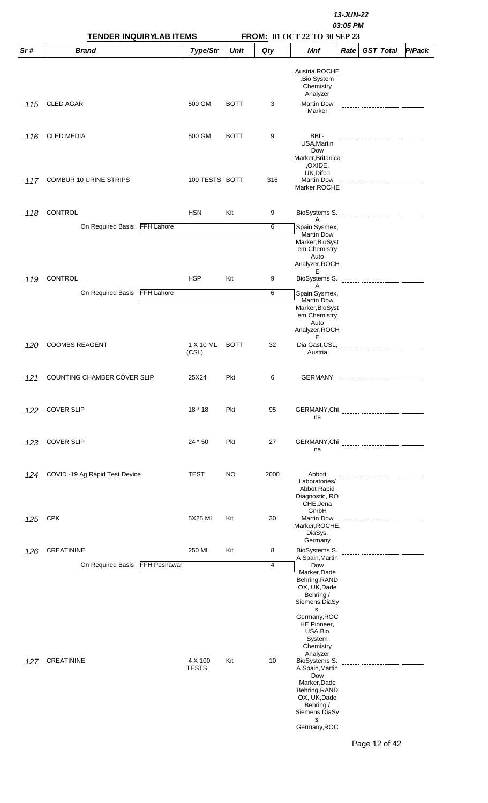|     |                                          |                         | 13-JUN-22<br>03:05 PM |      |                                                                                                                                                                                                                                    |      |                  |        |  |  |
|-----|------------------------------------------|-------------------------|-----------------------|------|------------------------------------------------------------------------------------------------------------------------------------------------------------------------------------------------------------------------------------|------|------------------|--------|--|--|
|     | <b>TENDER INQUIRYLAB ITEMS</b>           |                         |                       |      | FROM: 01 OCT 22 TO 30 SEP 23                                                                                                                                                                                                       |      |                  |        |  |  |
| Sr# | <b>Brand</b>                             | Type/Str                | <b>Unit</b>           | Qty  | Mnf                                                                                                                                                                                                                                | Rate | <b>GST</b> Total | P/Pack |  |  |
| 115 | <b>CLED AGAR</b>                         | 500 GM                  | <b>BOTT</b>           | 3    | Austria, ROCHE<br>,Bio System<br>Chemistry<br>Analyzer<br><b>Martin Dow</b>                                                                                                                                                        |      |                  |        |  |  |
|     |                                          |                         |                       |      | Marker                                                                                                                                                                                                                             |      |                  |        |  |  |
| 116 | <b>CLED MEDIA</b>                        | 500 GM                  | <b>BOTT</b>           | 9    | BBL-<br>USA, Martin<br>Dow<br>Marker, Britanica<br>, OXIDE,<br>UK, Difco                                                                                                                                                           |      |                  |        |  |  |
| 117 | <b>COMBUR 10 URINE STRIPS</b>            | 100 TESTS BOTT          |                       | 316  | <b>Martin Dow</b><br>Marker, ROCHE                                                                                                                                                                                                 |      |                  |        |  |  |
| 118 | CONTROL                                  | <b>HSN</b>              | Kit                   | 9    | Α                                                                                                                                                                                                                                  |      |                  |        |  |  |
|     | <b>FFH Lahore</b><br>On Required Basis   |                         |                       | 6    | Spain, Sysmex,<br><b>Martin Dow</b><br>Marker, BioSyst<br>em Chemistry<br>Auto<br>Analyzer, ROCH                                                                                                                                   |      |                  |        |  |  |
| 119 | CONTROL                                  | <b>HSP</b>              | Kit                   | 9    | Ε<br>BioSystems S.<br>Α                                                                                                                                                                                                            |      |                  |        |  |  |
|     | <b>FFH Lahore</b><br>On Required Basis   |                         |                       | 6    | Spain, Sysmex,<br><b>Martin Dow</b><br>Marker, BioSyst<br>em Chemistry<br>Auto<br>Analyzer, ROCH<br>Е                                                                                                                              |      |                  |        |  |  |
| 120 | <b>COOMBS REAGENT</b>                    | 1 X 10 ML<br>(CSL)      | <b>BOTT</b>           | 32   | Dia Gast, CSL,<br>Austria                                                                                                                                                                                                          |      |                  |        |  |  |
| 121 | COUNTING CHAMBER COVER SLIP              | 25X24                   | Pkt                   | 6    | <b>GERMANY</b>                                                                                                                                                                                                                     |      |                  |        |  |  |
| 122 | <b>COVER SLIP</b>                        | $18 * 18$               | Pkt                   | 95   | na                                                                                                                                                                                                                                 |      |                  |        |  |  |
| 123 | <b>COVER SLIP</b>                        | 24 * 50                 | Pkt                   | 27   | na                                                                                                                                                                                                                                 |      |                  |        |  |  |
| 124 | COVID-19 Ag Rapid Test Device            | <b>TEST</b>             | <b>NO</b>             | 2000 | Abbott<br>Laboratories/<br>Abbot Rapid<br>Diagnostic,,RO<br>CHE, Jena<br>GmbH                                                                                                                                                      |      |                  |        |  |  |
| 125 | <b>CPK</b>                               | 5X25 ML                 | Kit                   | 30   | <b>Martin Dow</b><br>Marker, ROCHE,<br>DiaSys,<br>Germany                                                                                                                                                                          |      |                  |        |  |  |
| 126 | CREATININE                               | 250 ML                  | Kit                   | 8    | BioSystems S.                                                                                                                                                                                                                      |      |                  |        |  |  |
|     | On Required Basis<br><b>FFH Peshawar</b> |                         |                       | 4    | A Spain, Martin<br>Dow<br>Marker, Dade<br>Behring, RAND<br>OX, UK, Dade<br>Behring /<br>Siemens, DiaSy                                                                                                                             |      |                  |        |  |  |
| 127 | <b>CREATININE</b>                        | 4 X 100<br><b>TESTS</b> | Kit                   | 10   | s,<br>Germany, ROC<br>HE, Pioneer,<br>USA, Bio<br>System<br>Chemistry<br>Analyzer<br>BioSystems S.<br>A Spain, Martin<br>Dow<br>Marker, Dade<br>Behring, RAND<br>OX, UK, Dade<br>Behring /<br>Siemens, DiaSy<br>s,<br>Germany, ROC |      |                  |        |  |  |
|     |                                          |                         |                       |      |                                                                                                                                                                                                                                    |      | Page 12 of 42    |        |  |  |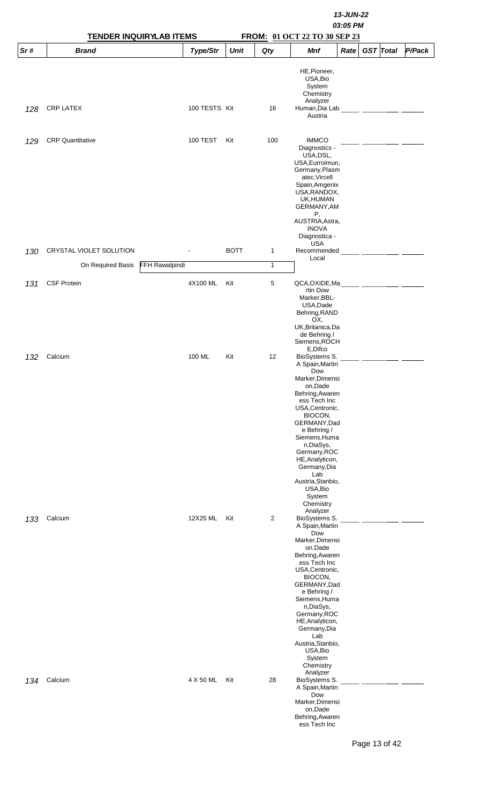|     | <b>TENDER INQUIRYLAB ITEMS</b> |                |                 |             | 13-JUN-22<br>03:05 PM<br>FROM: 01 OCT 22 TO 30 SEP 23 |                                                                                                                                                                                                                                                                                                                                                |      |  |                  |        |  |
|-----|--------------------------------|----------------|-----------------|-------------|-------------------------------------------------------|------------------------------------------------------------------------------------------------------------------------------------------------------------------------------------------------------------------------------------------------------------------------------------------------------------------------------------------------|------|--|------------------|--------|--|
| Sr# | <b>Brand</b>                   |                | Type/Str        | Unit        | Qty                                                   | Mnf                                                                                                                                                                                                                                                                                                                                            | Rate |  | <b>GST</b> Total | P/Pack |  |
| 128 | <b>CRP LATEX</b>               |                | 100 TESTS Kit   |             | 16                                                    | HE, Pioneer,<br>USA, Bio<br>System<br>Chemistry<br>Analyzer<br>Human, Dia Lab<br>Austria                                                                                                                                                                                                                                                       |      |  |                  |        |  |
| 129 | <b>CRP</b> Quantitative        |                | <b>100 TEST</b> | Kit         | 100                                                   | <b>IMMCO</b><br>Diagnostics -<br>USA, DSL,<br>USA, Eurroimun,<br>Germany, Plasm<br>atec, Vircell<br>Spain, Amgenix<br>USA, RANDOX,<br>UK, HUMAN                                                                                                                                                                                                |      |  |                  |        |  |
| 130 | CRYSTAL VIOLET SOLUTION        |                |                 | <b>BOTT</b> | $\mathbf{1}$                                          | GERMANY, AM<br>Ρ,<br>AUSTRIA, Astra,<br><b>INOVA</b><br>Diagnostica -<br><b>USA</b><br>Recommended<br>Local                                                                                                                                                                                                                                    |      |  |                  |        |  |
|     | On Required Basis              | FFH Rawalpindi |                 |             | $\mathbf{1}$                                          |                                                                                                                                                                                                                                                                                                                                                |      |  |                  |        |  |
| 131 | <b>CSF Protein</b>             |                | 4X100 ML        | Kit         | 5                                                     | rtin Dow<br>Marker, BBL-<br>USA, Dade<br>Behring, RAND<br>OX,<br>UK, Britanica, Da<br>de Behring /<br>Siemens, ROCH                                                                                                                                                                                                                            |      |  |                  |        |  |
| 132 | Calcium                        |                | 100 ML          | Kit         | 12                                                    | E,Difco<br>BioSystems S.<br>A Spain, Martin<br>Dow<br>Marker, Dimensi<br>on, Dade<br>Behring, Awaren<br>ess Tech Inc<br>USA, Centronic,<br>BIOCON,<br>GERMANY, Dad<br>e Behring /<br>Siemens, Huma<br>n, DiaSys,<br>Germany, ROC<br>HE, Analyticon,<br>Germany, Dia<br>Lab<br>Austria, Stanbio,<br>USA, Bio<br>System<br>Chemistry<br>Analyzer |      |  |                  |        |  |
| 133 | Calcium                        |                | 12X25 ML        | Kit         | 2                                                     | BioSystems S.<br>A Spain, Martin<br>Dow<br>Marker, Dimensi<br>on, Dade<br>Behring, Awaren<br>ess Tech Inc<br>USA, Centronic,<br>BIOCON,<br>GERMANY, Dad<br>e Behring /<br>Siemens, Huma<br>n,DiaSys,<br>Germany, ROC<br>HE, Analyticon,<br>Germany, Dia<br>Lab<br>Austria, Stanbio,<br>USA, Bio<br>System<br>Chemistry<br>Analyzer             |      |  |                  |        |  |
| 134 | Calcium                        |                | 4 X 50 ML       | Kit         | 28                                                    | BioSystems S.<br>A Spain, Martin<br>Dow<br>Marker, Dimensi<br>on,Dade<br>Behring, Awaren<br>ess Tech Inc                                                                                                                                                                                                                                       |      |  |                  |        |  |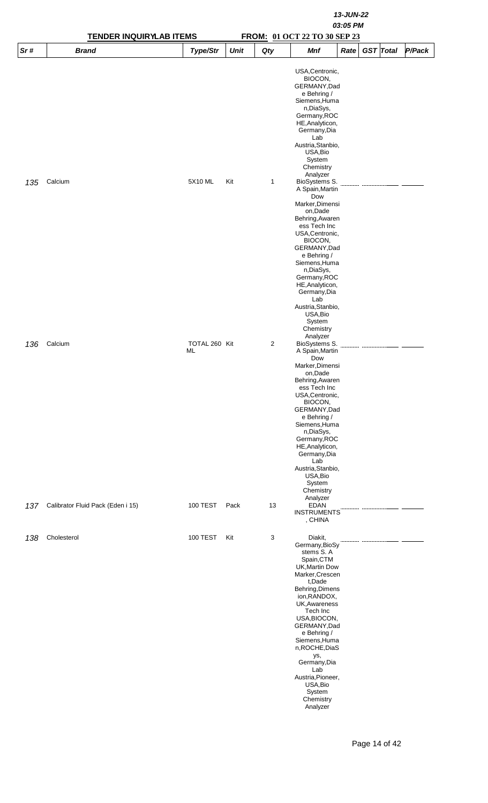|     | <b>TENDER INQUIRYLAB ITEMS</b>    |                     |             |     | 13-JUN-22<br>03:05 PM<br>FROM: 01 OCT 22 TO 30 SEP 23                                                                                                                                                                                                                                                                                                    |      |                  |  |        |  |  |  |
|-----|-----------------------------------|---------------------|-------------|-----|----------------------------------------------------------------------------------------------------------------------------------------------------------------------------------------------------------------------------------------------------------------------------------------------------------------------------------------------------------|------|------------------|--|--------|--|--|--|
| Sr# | <b>Brand</b>                      | Type/Str            | <b>Unit</b> | Qty | Mnf                                                                                                                                                                                                                                                                                                                                                      | Rate | <b>GST</b> Total |  | P/Pack |  |  |  |
|     |                                   |                     |             |     | USA, Centronic,<br>BIOCON,<br>GERMANY, Dad<br>e Behring /<br>Siemens, Huma<br>n, DiaSys,<br>Germany, ROC<br>HE, Analyticon,<br>Germany, Dia<br>Lab<br>Austria, Stanbio,<br>USA, Bio<br>System<br>Chemistry                                                                                                                                               |      |                  |  |        |  |  |  |
| 135 | Calcium                           | 5X10 ML             | Kit         | 1   | Analyzer<br>BioSystems S.<br>A Spain, Martin<br>Dow<br>Marker, Dimensi<br>on, Dade<br>Behring, Awaren<br>ess Tech Inc<br>USA, Centronic,<br>BIOCON,<br>GERMANY, Dad<br>e Behring /<br>Siemens, Huma<br>n, DiaSys,<br>Germany, ROC<br>HE, Analyticon,<br>Germany, Dia<br>Lab<br>Austria, Stanbio,<br>USA, Bio<br>System<br>Chemistry<br>Analyzer          |      |                  |  |        |  |  |  |
| 136 | Calcium                           | TOTAL 260 Kit<br>ML |             | 2   | BioSystems S.<br>A Spain, Martin<br>Dow<br>Marker, Dimensi<br>on, Dade<br>Behring, Awaren<br>ess Tech Inc<br>USA, Centronic,<br>BIOCON,<br>GERMANY, Dad<br>e Behring /<br>Siemens, Huma<br>n, DiaSys,<br>Germany, ROC<br>HE, Analyticon,<br>Germany, Dia<br>Lab<br>Austria, Stanbio,<br>USA, Bio<br>System<br>Chemistry<br>Analyzer                      |      |                  |  |        |  |  |  |
| 137 | Calibrator Fluid Pack (Eden i 15) | <b>100 TEST</b>     | Pack        | 13  | <b>EDAN</b><br><b>INSTRUMENTS</b><br>, CHINA                                                                                                                                                                                                                                                                                                             |      |                  |  |        |  |  |  |
| 138 | Cholesterol                       | 100 TEST            | Kit         | 3   | Diakit,<br>Germany, BioSy<br>stems S. A<br>Spain, CTM<br>UK, Martin Dow<br>Marker, Crescen<br>t,Dade<br>Behring, Dimens<br>ion, RANDOX,<br>UK, Awareness<br>Tech Inc<br>USA, BIOCON,<br>GERMANY, Dad<br>e Behring /<br>Siemens, Huma<br>n, ROCHE, DiaS<br>ys,<br>Germany, Dia<br>Lab<br>Austria, Pioneer,<br>USA, Bio<br>System<br>Chemistry<br>Analyzer |      |                  |  |        |  |  |  |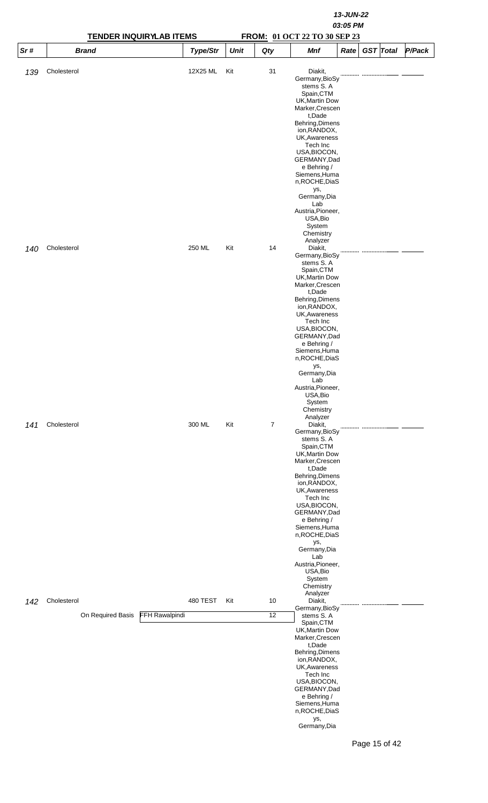|     |                   | <b>TENDER INQUIRYLAB ITEMS</b> |             |     | FROM: 01 OCT 22 TO 30 SEP 23                                                                                                                                                                                                                                                                                                                             | 13-JUN-22<br>03:05 PM |                  |        |
|-----|-------------------|--------------------------------|-------------|-----|----------------------------------------------------------------------------------------------------------------------------------------------------------------------------------------------------------------------------------------------------------------------------------------------------------------------------------------------------------|-----------------------|------------------|--------|
| Sr# | <b>Brand</b>      | Type/Str                       | <b>Unit</b> | Qty | <b>Mnf</b>                                                                                                                                                                                                                                                                                                                                               | Rate                  | <b>GST</b> Total | P/Pack |
| 139 | Cholesterol       | 12X25 ML                       | Kit         | 31  | Diakit,<br>Germany, BioSy<br>stems S. A<br>Spain, CTM<br>UK, Martin Dow<br>Marker, Crescen<br>t,Dade<br>Behring, Dimens<br>ion, RANDOX,<br>UK, Awareness<br>Tech Inc<br>USA, BIOCON,<br>GERMANY, Dad<br>e Behring /<br>Siemens, Huma<br>n, ROCHE, DiaS<br>ys,<br>Germany, Dia<br>Lab<br>Austria, Pioneer,<br>USA, Bio<br>System<br>Chemistry             |                       |                  |        |
| 140 | Cholesterol       | 250 ML                         | Kit         | 14  | Analyzer<br>Diakit,<br>Germany, BioSy<br>stems S. A<br>Spain, CTM<br>UK, Martin Dow<br>Marker, Crescen<br>t,Dade<br>Behring, Dimens<br>ion, RANDOX,                                                                                                                                                                                                      |                       |                  |        |
|     |                   |                                |             |     | UK, Awareness<br>Tech Inc<br>USA, BIOCON,<br>GERMANY, Dad<br>e Behring /<br>Siemens, Huma<br>n, ROCHE, DiaS<br>ys,<br>Germany, Dia<br>Lab<br>Austria, Pioneer,<br>USA, Bio<br>System<br>Chemistry<br>Analyzer                                                                                                                                            |                       |                  |        |
| 141 | Cholesterol       | 300 ML                         | Kit         | 7   | Diakit,<br>Germany, BioSy<br>stems S. A<br>Spain, CTM<br>UK, Martin Dow<br>Marker, Crescen<br>t,Dade<br>Behring, Dimens<br>ion, RANDOX,<br>UK, Awareness<br>Tech Inc<br>USA, BIOCON,<br>GERMANY, Dad<br>e Behring /<br>Siemens, Huma<br>n, ROCHE, DiaS<br>ys,<br>Germany, Dia<br>Lab<br>Austria, Pioneer,<br>USA, Bio<br>System<br>Chemistry<br>Analyzer |                       |                  |        |
| 142 | Cholesterol       | 480 TEST                       | Kit         | 10  | Diakit,<br>Germany, BioSy                                                                                                                                                                                                                                                                                                                                |                       |                  |        |
|     | On Required Basis | FFH Rawalpindi                 |             | 12  | stems S.A<br>Spain, CTM<br>UK, Martin Dow<br>Marker, Crescen<br>t,Dade<br>Behring, Dimens<br>ion, RANDOX,<br>UK, Awareness<br>Tech Inc<br>USA, BIOCON,<br>GERMANY, Dad<br>e Behring /<br>Siemens, Huma<br>n, ROCHE, DiaS<br>ys,<br>Germany, Dia                                                                                                          |                       | Page 15 of 42    |        |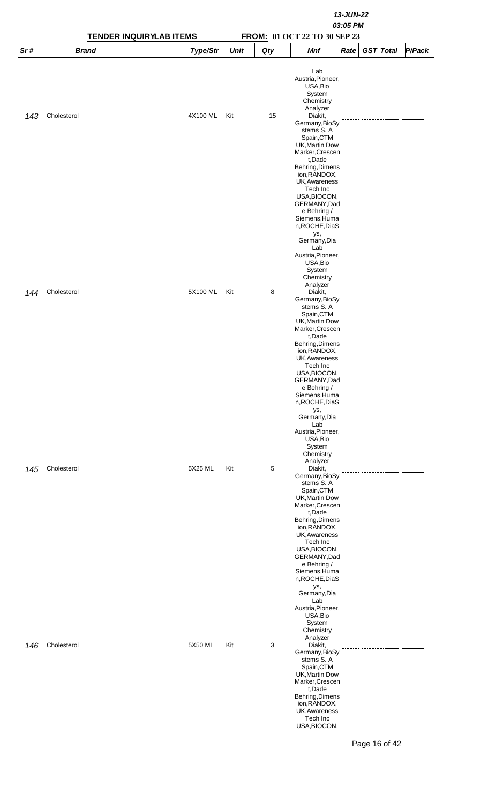|     |              | <b>TENDER INQUIRYLAB ITEMS</b> |             |     | 13-JUN-22<br>03:05 PM<br>FROM: 01 OCT 22 TO 30 SEP 23                                                                                                                                                                                                                                                                                   |  |  |  |  |  |  |
|-----|--------------|--------------------------------|-------------|-----|-----------------------------------------------------------------------------------------------------------------------------------------------------------------------------------------------------------------------------------------------------------------------------------------------------------------------------------------|--|--|--|--|--|--|
| Sr# | <b>Brand</b> | Type/Str                       | <b>Unit</b> | Qty | <b>GST</b> Total<br>P/Pack<br><b>Mnf</b><br>Rate                                                                                                                                                                                                                                                                                        |  |  |  |  |  |  |
| 143 | Cholesterol  | 4X100 ML                       | Kit         | 15  | Lab<br>Austria, Pioneer,<br>USA, Bio<br>System<br>Chemistry<br>Analyzer<br>Diakit,<br>Germany, BioSy<br>stems S.A<br>Spain, CTM<br>UK, Martin Dow<br>Marker, Crescen<br>t,Dade<br>Behring, Dimens<br>ion, RANDOX,<br><b>UK, Awareness</b><br>Tech Inc<br>USA, BIOCON,                                                                   |  |  |  |  |  |  |
|     |              |                                |             |     | GERMANY, Dad<br>e Behring /<br>Siemens, Huma<br>n, ROCHE, DiaS<br>ys,<br>Germany, Dia<br>Lab<br>Austria, Pioneer,<br>USA, Bio<br>System<br>Chemistry                                                                                                                                                                                    |  |  |  |  |  |  |
| 144 | Cholesterol  | 5X100 ML                       | Kit         | 8   | Analyzer<br>Diakit,<br>Germany, BioSy<br>stems S.A<br>Spain, CTM<br>UK, Martin Dow<br>Marker, Crescen<br>t,Dade<br>Behring, Dimens<br>ion, RANDOX,<br>UK, Awareness<br>Tech Inc<br>USA, BIOCON,<br>GERMANY, Dad<br>e Behring /<br>Siemens, Huma<br>n, ROCHE, DiaS                                                                       |  |  |  |  |  |  |
| 145 | Cholesterol  | 5X25 ML                        | Kit         | 5   | ys,<br>Germany, Dia<br>Lab<br>Austria, Pioneer,<br>USA, Bio<br>System<br>Chemistry<br>Analyzer<br>Diakit,<br>Germany, BioSy<br>stems S.A<br>Spain, CTM<br>UK, Martin Dow<br>Marker, Crescen<br>t,Dade<br>Behring, Dimens<br>ion, RANDOX,<br>UK, Awareness<br>Tech Inc<br>USA, BIOCON,<br>GERMANY, Dad                                   |  |  |  |  |  |  |
| 146 | Cholesterol  | 5X50 ML                        | Kit         | 3   | e Behring /<br>Siemens, Huma<br>n, ROCHE, DiaS<br>ys,<br>Germany, Dia<br>Lab<br>Austria, Pioneer,<br>USA, Bio<br>System<br>Chemistry<br>Analyzer<br>Diakit,<br>Germany, BioSy<br>stems S.A<br>Spain, CTM<br>UK, Martin Dow<br>Marker, Crescen<br>t,Dade<br>Behring, Dimens<br>ion, RANDOX,<br>UK, Awareness<br>Tech Inc<br>USA, BIOCON, |  |  |  |  |  |  |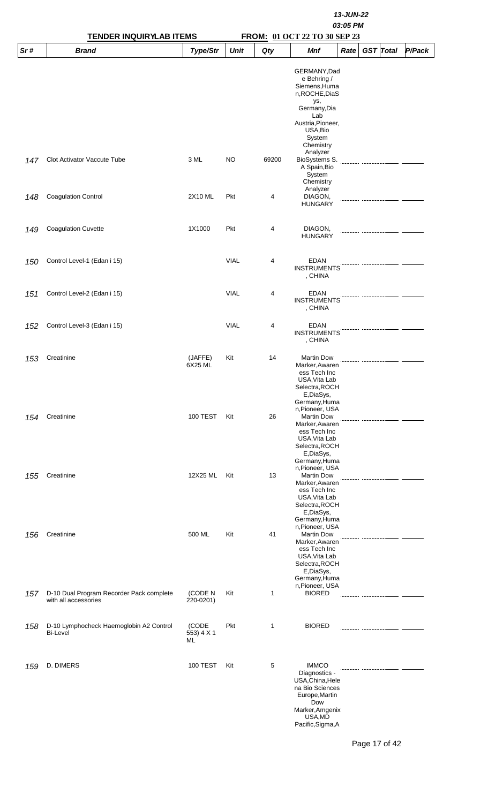|     | <b>TENDER INQUIRYLAB ITEMS</b>                                   |                           |             | 13-JUN-22<br>03:05 PM<br>FROM: 01 OCT 22 TO 30 SEP 23 |                                                                                                                                                                  |      |  |                  |        |  |
|-----|------------------------------------------------------------------|---------------------------|-------------|-------------------------------------------------------|------------------------------------------------------------------------------------------------------------------------------------------------------------------|------|--|------------------|--------|--|
| Sr# | <b>Brand</b>                                                     | <b>Type/Str</b>           | <b>Unit</b> | Qty                                                   | <b>Mnf</b>                                                                                                                                                       | Rate |  | <b>GST</b> Total | P/Pack |  |
|     |                                                                  |                           |             |                                                       | GERMANY, Dad<br>e Behring /<br>Siemens, Huma<br>n, ROCHE, DiaS<br>ys,<br>Germany, Dia<br>Lab<br>Austria, Pioneer,<br>USA, Bio<br>System<br>Chemistry<br>Analyzer |      |  |                  |        |  |
| 147 | Clot Activator Vaccute Tube                                      | 3 ML                      | <b>NO</b>   | 69200                                                 | BioSystems S.<br>A Spain, Bio<br>System<br>Chemistry<br>Analyzer                                                                                                 |      |  |                  |        |  |
| 148 | <b>Coagulation Control</b>                                       | 2X10 ML                   | Pkt         | 4                                                     | DIAGON,<br><b>HUNGARY</b>                                                                                                                                        |      |  |                  |        |  |
| 149 | <b>Coagulation Cuvette</b>                                       | 1X1000                    | Pkt         | 4                                                     | DIAGON,<br><b>HUNGARY</b>                                                                                                                                        |      |  |                  |        |  |
| 150 | Control Level-1 (Edan i 15)                                      |                           | <b>VIAL</b> | 4                                                     | <b>EDAN</b><br><b>INSTRUMENTS</b><br>, CHINA                                                                                                                     |      |  |                  |        |  |
| 151 | Control Level-2 (Edan i 15)                                      |                           | <b>VIAL</b> | 4                                                     | <b>EDAN</b><br><b>INSTRUMENTS</b><br>, CHINA                                                                                                                     |      |  |                  |        |  |
| 152 | Control Level-3 (Edan i 15)                                      |                           | <b>VIAL</b> | 4                                                     | <b>EDAN</b><br><b>INSTRUMENTS</b><br>, CHINA                                                                                                                     |      |  |                  |        |  |
| 153 | Creatinine                                                       | (JAFFE)<br>6X25 ML        | Kit         | 14                                                    | Martin Dow<br>Marker, Awaren<br>ess Tech Inc<br>USA, Vita Lab<br>Selectra, ROCH<br>E,DiaSys,<br>Germany, Huma                                                    |      |  |                  |        |  |
| 154 | Creatinine                                                       | <b>100 TEST</b>           | Kit         | 26                                                    | n, Pioneer, USA<br><b>Martin Dow</b><br>Marker, Awaren<br>ess Tech Inc<br>USA, Vita Lab<br>Selectra, ROCH<br>E,DiaSys,<br>Germany, Huma                          |      |  |                  |        |  |
| 155 | Creatinine                                                       | 12X25 ML                  | Kit         | 13                                                    | n, Pioneer, USA<br><b>Martin Dow</b><br>Marker, Awaren<br>ess Tech Inc<br>USA, Vita Lab<br>Selectra, ROCH<br>E,DiaSys,<br>Germany, Huma                          |      |  |                  |        |  |
| 156 | Creatinine                                                       | 500 ML                    | Kit         | 41                                                    | n, Pioneer, USA<br><b>Martin Dow</b><br>Marker, Awaren<br>ess Tech Inc<br>USA, Vita Lab<br>Selectra, ROCH<br>E,DiaSys,<br>Germany, Huma                          |      |  |                  |        |  |
| 157 | D-10 Dual Program Recorder Pack complete<br>with all accessories | (CODE N<br>220-0201)      | Kit         | 1                                                     | n, Pioneer, USA<br><b>BIORED</b>                                                                                                                                 |      |  |                  |        |  |
| 158 | D-10 Lymphocheck Haemoglobin A2 Control<br><b>Bi-Level</b>       | (CODE<br>553) 4 X 1<br>ML | Pkt         | 1                                                     | <b>BIORED</b>                                                                                                                                                    |      |  |                  |        |  |
| 159 | D. DIMERS                                                        | <b>100 TEST</b>           | Kit         | 5                                                     | <b>IMMCO</b><br>Diagnostics -<br>USA, China, Hele<br>na Bio Sciences<br>Europe, Martin<br>Dow<br>Marker, Amgenix<br>USA,MD<br>Pacific, Sigma, A                  |      |  |                  |        |  |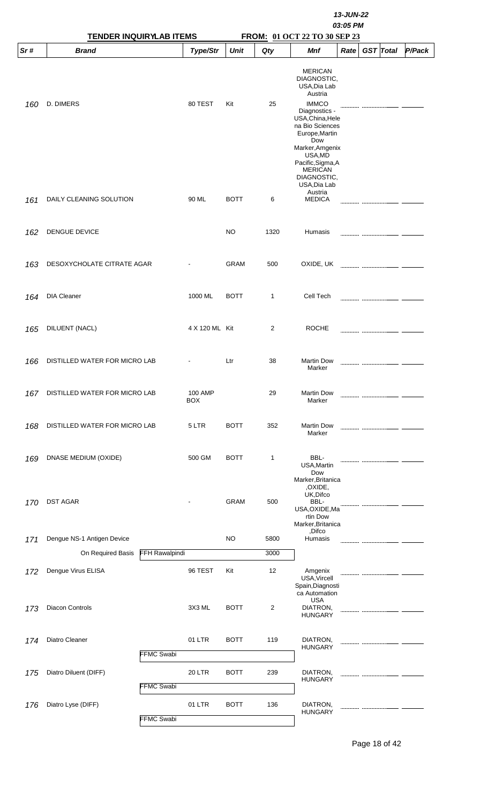|     | <b>TENDER INQUIRYLAB ITEMS</b> |                       |                       |             | FROM: 01 OCT 22 TO 30 SEP 23 |                                                                                                                                                                                   |      |  |                  |        |
|-----|--------------------------------|-----------------------|-----------------------|-------------|------------------------------|-----------------------------------------------------------------------------------------------------------------------------------------------------------------------------------|------|--|------------------|--------|
| Sr# | <b>Brand</b>                   |                       | Type/Str              | <b>Unit</b> | Qty                          | Mnf                                                                                                                                                                               | Rate |  | <b>GST</b> Total | P/Pack |
|     |                                |                       |                       |             |                              | <b>MERICAN</b><br>DIAGNOSTIC,<br>USA, Dia Lab<br>Austria                                                                                                                          |      |  |                  |        |
| 160 | D. DIMERS                      |                       | 80 TEST               | Kit         | 25                           | <b>IMMCO</b><br>Diagnostics -<br>USA, China, Hele<br>na Bio Sciences<br>Europe, Martin<br>Dow<br>Marker, Amgenix<br>USA, MD<br>Pacific, Sigma, A<br><b>MERICAN</b><br>DIAGNOSTIC, |      |  |                  |        |
| 161 | DAILY CLEANING SOLUTION        |                       | 90 ML                 | <b>BOTT</b> | 6                            | USA, Dia Lab<br>Austria<br><b>MEDICA</b>                                                                                                                                          |      |  |                  |        |
| 162 | DENGUE DEVICE                  |                       |                       | <b>NO</b>   | 1320                         | Humasis                                                                                                                                                                           |      |  |                  |        |
| 163 | DESOXYCHOLATE CITRATE AGAR     |                       |                       | <b>GRAM</b> | 500                          | OXIDE, UK                                                                                                                                                                         |      |  |                  |        |
| 164 | <b>DIA Cleaner</b>             |                       | 1000 ML               | <b>BOTT</b> | 1                            | Cell Tech                                                                                                                                                                         |      |  |                  |        |
| 165 | DILUENT (NACL)                 |                       | 4 X 120 ML Kit        |             | 2                            | <b>ROCHE</b>                                                                                                                                                                      |      |  |                  |        |
| 166 | DISTILLED WATER FOR MICRO LAB  |                       |                       | Ltr         | 38                           | <b>Martin Dow</b><br>Marker                                                                                                                                                       |      |  |                  |        |
| 167 | DISTILLED WATER FOR MICRO LAB  |                       | 100 AMP<br><b>BOX</b> |             | 29                           | <b>Martin Dow</b><br>Marker                                                                                                                                                       |      |  |                  |        |
| 168 | DISTILLED WATER FOR MICRO LAB  |                       | 5 LTR                 | <b>BOTT</b> | 352                          | <b>Martin Dow</b><br>Marker                                                                                                                                                       |      |  |                  |        |
| 169 | DNASE MEDIUM (OXIDE)           |                       | 500 GM                | <b>BOTT</b> | 1                            | BBL-<br>USA, Martin<br>Dow<br>Marker, Britanica                                                                                                                                   |      |  |                  |        |
| 170 | <b>DST AGAR</b>                |                       |                       | <b>GRAM</b> | 500                          | ,OXIDE,<br>UK, Difco<br>BBL-<br>USA, OXIDE, Ma<br>rtin Dow<br>Marker, Britanica                                                                                                   |      |  |                  |        |
| 171 | Dengue NS-1 Antigen Device     |                       |                       | <b>NO</b>   | 5800                         | ,Difco<br>Humasis                                                                                                                                                                 |      |  |                  |        |
|     | On Required Basis              | <b>FFH Rawalpindi</b> |                       |             | 3000                         |                                                                                                                                                                                   |      |  |                  |        |
| 172 | Dengue Virus ELISA             |                       | 96 TEST               | Kit         | 12                           | Amgenix<br>USA, Vircell<br>Spain, Diagnosti<br>ca Automation                                                                                                                      |      |  |                  |        |
| 173 | Diacon Controls                |                       | 3X3 ML                | <b>BOTT</b> | 2                            | USA<br>DIATRON,<br><b>HUNGARY</b>                                                                                                                                                 |      |  |                  |        |
| 174 | Diatro Cleaner                 | <b>FFMC Swabi</b>     | 01 LTR                | <b>BOTT</b> | 119                          | DIATRON,<br><b>HUNGARY</b>                                                                                                                                                        |      |  |                  |        |
| 175 | Diatro Diluent (DIFF)          | <b>FFMC Swabi</b>     | <b>20 LTR</b>         | <b>BOTT</b> | 239                          | DIATRON,<br><b>HUNGARY</b>                                                                                                                                                        |      |  |                  |        |
| 176 | Diatro Lyse (DIFF)             | <b>FFMC Swabi</b>     | 01 LTR                | <b>BOTT</b> | 136                          | DIATRON,<br><b>HUNGARY</b>                                                                                                                                                        |      |  |                  |        |

Page 18 of 42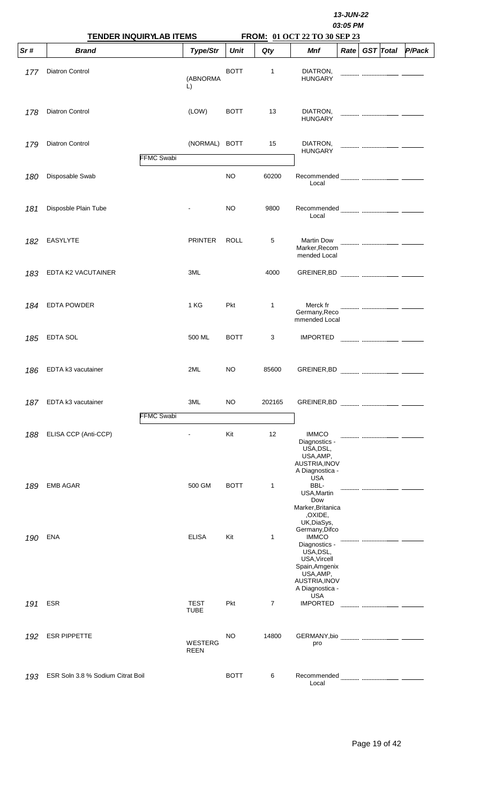|     |                                   |                                |                            |             |        |                                                                                                                                                 | 13-JUN-22<br>03:05 PM |                  |        |  |  |
|-----|-----------------------------------|--------------------------------|----------------------------|-------------|--------|-------------------------------------------------------------------------------------------------------------------------------------------------|-----------------------|------------------|--------|--|--|
| Sr# | <b>Brand</b>                      | <b>TENDER INQUIRYLAB ITEMS</b> | <b>Type/Str</b>            | <b>Unit</b> | Qty    | FROM: 01 OCT 22 TO 30 SEP 23<br>Mnf                                                                                                             | Rate                  | <b>GST</b> Total | P/Pack |  |  |
| 177 | Diatron Control                   |                                | (ABNORMA<br>L)             | <b>BOTT</b> | 1      | DIATRON,<br><b>HUNGARY</b>                                                                                                                      |                       |                  |        |  |  |
| 178 | Diatron Control                   |                                | (LOW)                      | <b>BOTT</b> | 13     | DIATRON,<br><b>HUNGARY</b>                                                                                                                      |                       |                  |        |  |  |
| 179 | Diatron Control                   | <b>FFMC Swabi</b>              | (NORMAL)                   | <b>BOTT</b> | 15     | DIATRON,<br><b>HUNGARY</b>                                                                                                                      |                       |                  |        |  |  |
| 180 | Disposable Swab                   |                                |                            | <b>NO</b>   | 60200  | Local                                                                                                                                           |                       |                  |        |  |  |
| 181 | Disposble Plain Tube              |                                |                            | <b>NO</b>   | 9800   | Recommended<br>Local                                                                                                                            |                       |                  |        |  |  |
| 182 | EASYLYTE                          |                                | <b>PRINTER</b>             | <b>ROLL</b> | 5      | <b>Martin Dow</b><br>Marker, Recom<br>mended Local                                                                                              |                       |                  |        |  |  |
| 183 | EDTA K2 VACUTAINER                |                                | 3ML                        |             | 4000   |                                                                                                                                                 |                       |                  |        |  |  |
| 184 | <b>EDTA POWDER</b>                |                                | 1 KG                       | Pkt         | 1      | Merck fr<br>Germany, Reco<br>mmended Local                                                                                                      |                       |                  |        |  |  |
| 185 | <b>EDTA SOL</b>                   |                                | 500 ML                     | <b>BOTT</b> | 3      | <b>IMPORTED</b>                                                                                                                                 |                       |                  |        |  |  |
|     | 186 EDTA k3 vacutainer            |                                | 2ML                        | <b>NO</b>   | 85600  | GREINER, BD                                                                                                                                     |                       |                  |        |  |  |
| 187 | EDTA k3 vacutainer                | <b>FFMC Swabi</b>              | 3ML                        | <b>NO</b>   | 202165 |                                                                                                                                                 |                       |                  |        |  |  |
| 188 | ELISA CCP (Anti-CCP)              |                                |                            | Kit         | 12     | <b>IMMCO</b><br>Diagnostics -<br>USA, DSL,<br>USA, AMP,<br>AUSTRIA, INOV<br>A Diagnostica -                                                     |                       |                  |        |  |  |
| 189 | <b>EMB AGAR</b>                   |                                | 500 GM                     | <b>BOTT</b> | 1      | <b>USA</b><br>BBL-<br>USA, Martin<br>Dow<br>Marker, Britanica<br>,OXIDE,<br>UK, DiaSys,                                                         |                       |                  |        |  |  |
| 190 | ENA                               |                                | <b>ELISA</b>               | Kit         | 1      | Germany, Difco<br><b>IMMCO</b><br>Diagnostics -<br>USA, DSL,<br>USA, Vircell<br>Spain, Amgenix<br>USA, AMP,<br>AUSTRIA, INOV<br>A Diagnostica - |                       |                  |        |  |  |
| 191 | <b>ESR</b>                        |                                | <b>TEST</b><br><b>TUBE</b> | Pkt         | 7      | <b>USA</b><br><b>IMPORTED</b>                                                                                                                   |                       |                  |        |  |  |
| 192 | <b>ESR PIPPETTE</b>               |                                | WESTERG<br><b>REEN</b>     | <b>NO</b>   | 14800  | GERMANY,bio<br>pro                                                                                                                              |                       |                  |        |  |  |
| 193 | ESR Soln 3.8 % Sodium Citrat Boil |                                |                            | <b>BOTT</b> | 6      | Recommended<br>Local                                                                                                                            |                       |                  |        |  |  |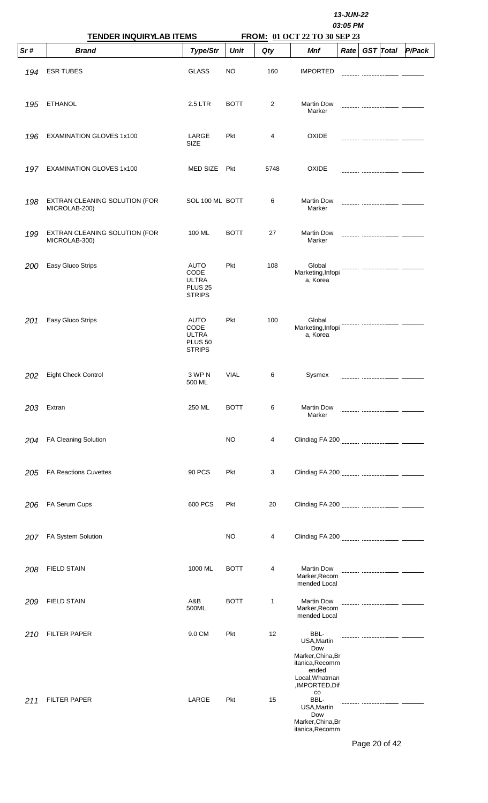|     | <b>TENDER INQUIRYLAB ITEMS</b>                 |                                                                        |             |      |                                                                                                                 | 13-JUN-22<br>03:05 PM |                  |        |  |  |  |  |
|-----|------------------------------------------------|------------------------------------------------------------------------|-------------|------|-----------------------------------------------------------------------------------------------------------------|-----------------------|------------------|--------|--|--|--|--|
| Sr# | <b>Brand</b>                                   | <b>Type/Str</b>                                                        | <b>Unit</b> | Qty  | FROM: 01 OCT 22 TO 30 SEP 23<br><b>Mnf</b>                                                                      | Rate                  | <b>GST</b> Total | P/Pack |  |  |  |  |
| 194 | <b>ESR TUBES</b>                               | <b>GLASS</b>                                                           | <b>NO</b>   | 160  | <b>IMPORTED</b>                                                                                                 |                       |                  |        |  |  |  |  |
| 195 | <b>ETHANOL</b>                                 | 2.5 LTR                                                                | <b>BOTT</b> | 2    | <b>Martin Dow</b><br>Marker                                                                                     |                       |                  |        |  |  |  |  |
| 196 | <b>EXAMINATION GLOVES 1x100</b>                | LARGE<br><b>SIZE</b>                                                   | Pkt         | 4    | OXIDE                                                                                                           |                       |                  |        |  |  |  |  |
| 197 | EXAMINATION GLOVES 1x100                       | <b>MED SIZE</b>                                                        | Pkt         | 5748 | <b>OXIDE</b>                                                                                                    |                       |                  |        |  |  |  |  |
| 198 | EXTRAN CLEANING SOLUTION (FOR<br>MICROLAB-200) | SOL 100 ML BOTT                                                        |             | 6    | <b>Martin Dow</b><br>Marker                                                                                     |                       |                  |        |  |  |  |  |
| 199 | EXTRAN CLEANING SOLUTION (FOR<br>MICROLAB-300) | 100 ML                                                                 | <b>BOTT</b> | 27   | <b>Martin Dow</b><br>Marker                                                                                     |                       |                  |        |  |  |  |  |
| 200 | Easy Gluco Strips                              | <b>AUTO</b><br>CODE<br><b>ULTRA</b><br><b>PLUS 25</b><br><b>STRIPS</b> | <b>Pkt</b>  | 108  | Global<br>Marketing, Infopi<br>a, Korea                                                                         |                       |                  |        |  |  |  |  |
| 201 | Easy Gluco Strips                              | AUTO<br>CODE<br><b>ULTRA</b><br>PLUS <sub>50</sub><br><b>STRIPS</b>    | <b>Pkt</b>  | 100  | Global<br>Marketing, Infopi<br>a, Korea                                                                         |                       |                  |        |  |  |  |  |
| 202 | Eight Check Control                            | 3 WP N<br>500 ML                                                       | <b>VIAL</b> | 6    | Sysmex                                                                                                          |                       |                  |        |  |  |  |  |
| 203 | Extran                                         | 250 ML                                                                 | <b>BOTT</b> | 6    | <b>Martin Dow</b><br>Marker                                                                                     |                       |                  |        |  |  |  |  |
| 204 | FA Cleaning Solution                           |                                                                        | <b>NO</b>   | 4    |                                                                                                                 |                       |                  |        |  |  |  |  |
| 205 | <b>FA Reactions Cuvettes</b>                   | 90 PCS                                                                 | Pkt         | 3    |                                                                                                                 |                       |                  |        |  |  |  |  |
| 206 | FA Serum Cups                                  | 600 PCS                                                                | Pkt         | 20   |                                                                                                                 |                       |                  |        |  |  |  |  |
| 207 | FA System Solution                             |                                                                        | <b>NO</b>   | 4    |                                                                                                                 |                       |                  |        |  |  |  |  |
| 208 | <b>FIELD STAIN</b>                             | 1000 ML                                                                | <b>BOTT</b> | 4    | <b>Martin Dow</b><br>Marker, Recom<br>mended Local                                                              |                       |                  |        |  |  |  |  |
| 209 | <b>FIELD STAIN</b>                             | A&B<br>500ML                                                           | <b>BOTT</b> | 1    | <b>Martin Dow</b><br>Marker, Recom<br>mended Local                                                              |                       |                  |        |  |  |  |  |
| 210 | <b>FILTER PAPER</b>                            | 9.0 CM                                                                 | Pkt         | 12   | BBL-<br>USA, Martin<br>Dow<br>Marker, China, Br<br>itanica, Recomm<br>ended<br>Local, Whatman<br>,IMPORTED, Dif |                       |                  |        |  |  |  |  |
| 211 | <b>FILTER PAPER</b>                            | LARGE                                                                  | Pkt         | 15   | $_{\rm CO}$<br>BBL-<br>USA, Martin<br>Dow<br>Marker, China, Br<br>itanica, Recomm                               |                       |                  |        |  |  |  |  |

Page 20 of 42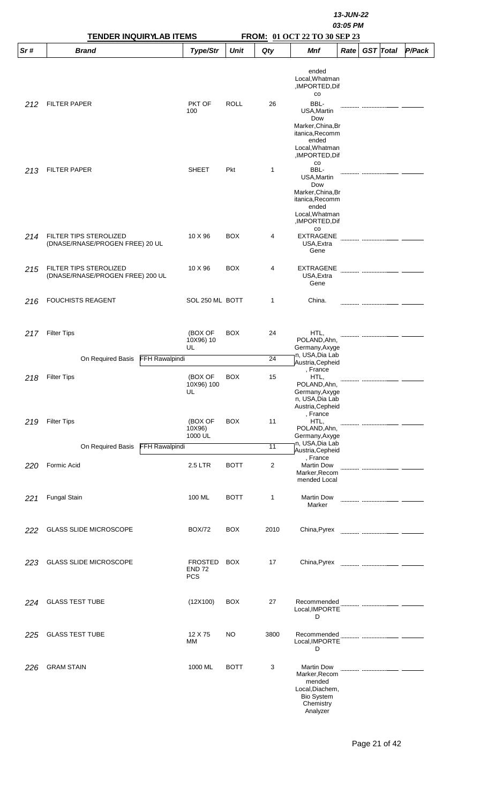|     | <b>TENDER INQUIRYLAB ITEMS</b>                             |                                               |             |                 | FROM: 01 OCT 22 TO 30 SEP 23                                                                                                         | 13-JUN-22<br>03:05 PM |  |                  |               |  |
|-----|------------------------------------------------------------|-----------------------------------------------|-------------|-----------------|--------------------------------------------------------------------------------------------------------------------------------------|-----------------------|--|------------------|---------------|--|
| Sr# | <b>Brand</b>                                               | Type/Str                                      | <b>Unit</b> | Qty             | <b>Mnf</b>                                                                                                                           | Rate                  |  | <b>GST</b> Total | <b>P/Pack</b> |  |
|     |                                                            |                                               |             |                 | ended<br>Local, Whatman<br>,IMPORTED, Dif<br>$_{\rm CO}$                                                                             |                       |  |                  |               |  |
| 212 | <b>FILTER PAPER</b>                                        | PKT OF<br>100                                 | <b>ROLL</b> | 26              | BBL-<br>USA, Martin<br>Dow<br>Marker, China, Br<br>itanica, Recomm<br>ended<br>Local, Whatman<br>,IMPORTED, Dif                      |                       |  |                  |               |  |
| 213 | <b>FILTER PAPER</b>                                        | <b>SHEET</b>                                  | <b>Pkt</b>  | $\mathbf{1}$    | $_{\rm CO}$<br>BBL-<br>USA, Martin<br>Dow<br>Marker, China, Br<br>itanica, Recomm<br>ended<br>Local, Whatman<br>,IMPORTED, Dif<br>CO |                       |  |                  |               |  |
| 214 | FILTER TIPS STEROLIZED<br>(DNASE/RNASE/PROGEN FREE) 20 UL  | 10 X 96                                       | <b>BOX</b>  | 4               | <b>EXTRAGENE</b><br>USA, Extra<br>Gene                                                                                               |                       |  |                  |               |  |
| 215 | FILTER TIPS STEROLIZED<br>(DNASE/RNASE/PROGEN FREE) 200 UL | 10 X 96                                       | <b>BOX</b>  | 4               | <b>EXTRAGENE</b><br>USA, Extra<br>Gene                                                                                               |                       |  |                  |               |  |
| 216 | <b>FOUCHISTS REAGENT</b>                                   | SOL 250 ML BOTT                               |             | 1               | China.                                                                                                                               |                       |  |                  |               |  |
| 217 | <b>Filter Tips</b>                                         | (BOX OF<br>10X96) 10<br>UL                    | <b>BOX</b>  | 24              | HTL,<br>POLAND, Ahn,<br>Germany, Axyge                                                                                               |                       |  |                  |               |  |
|     | On Required Basis<br>FFH Rawalpindi                        |                                               |             | 24              | n, USA, Dia Lab<br>Austria, Cepheid                                                                                                  |                       |  |                  |               |  |
| 218 | <b>Filter Tips</b>                                         | (BOX OF<br>10X96) 100<br>UL                   | <b>BOX</b>  | 15              | , France<br>HTL,<br>POLAND, Ahn,<br>Germany, Axyge<br>n, USA, Dia Lab<br>Austria, Cepheid<br>, France                                |                       |  |                  |               |  |
| 219 | <b>Filter Tips</b>                                         | (BOX OF<br>10X96)<br>1000 UL                  | <b>BOX</b>  | 11              | HTL,<br>POLAND, Ahn,<br>Germany, Axyge<br>n, USA, Dia Lab                                                                            |                       |  |                  |               |  |
|     | On Required Basis<br><b>FFH Rawalpindi</b>                 |                                               |             | $\overline{11}$ | Austria, Cepheid                                                                                                                     |                       |  |                  |               |  |
| 220 | Formic Acid                                                | 2.5 LTR                                       | <b>BOTT</b> | 2               | , France<br><b>Martin Dow</b><br>Marker, Recom<br>mended Local                                                                       |                       |  |                  |               |  |
| 221 | <b>Fungal Stain</b>                                        | 100 ML                                        | <b>BOTT</b> | 1               | <b>Martin Dow</b><br>Marker                                                                                                          |                       |  |                  |               |  |
| 222 | <b>GLASS SLIDE MICROSCOPE</b>                              | <b>BOX/72</b>                                 | <b>BOX</b>  | 2010            | China, Pyrex                                                                                                                         |                       |  |                  |               |  |
| 223 | <b>GLASS SLIDE MICROSCOPE</b>                              | <b>FROSTED</b><br><b>END 72</b><br><b>PCS</b> | <b>BOX</b>  | 17              | China, Pyrex                                                                                                                         |                       |  |                  |               |  |
| 224 | <b>GLASS TEST TUBE</b>                                     | (12X100)                                      | <b>BOX</b>  | 27              | Recommended<br>Local, IMPORTE<br>D                                                                                                   |                       |  |                  |               |  |
| 225 | <b>GLASS TEST TUBE</b>                                     | 12 X 75<br>MМ                                 | <b>NO</b>   | 3800            | Recommended<br>Local, IMPORTE<br>D                                                                                                   |                       |  |                  |               |  |
| 226 | <b>GRAM STAIN</b>                                          | 1000 ML                                       | <b>BOTT</b> | 3               | <b>Martin Dow</b><br>Marker, Recom<br>mended<br>Local, Diachem,<br><b>Bio System</b><br>Chemistry<br>Analyzer                        |                       |  |                  |               |  |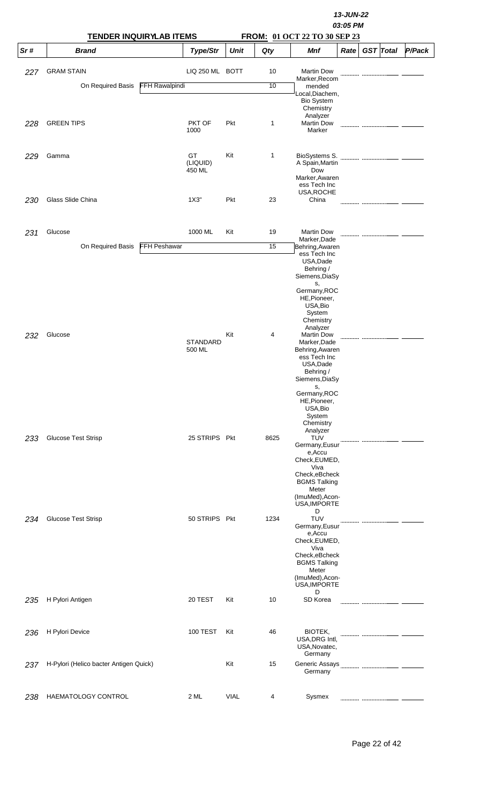|     | <b>TENDER INQUIRYLAB ITEMS</b>         |                       |                           |             |              | 13-JUN-22<br>03:05 PM<br>FROM: 01 OCT 22 TO 30 SEP 23 |      |  |                  |        |  |  |
|-----|----------------------------------------|-----------------------|---------------------------|-------------|--------------|-------------------------------------------------------|------|--|------------------|--------|--|--|
| Sr# | <b>Brand</b>                           |                       | <b>Type/Str</b>           | <b>Unit</b> | Qty          | <b>Mnf</b>                                            | Rate |  | <b>GST</b> Total | P/Pack |  |  |
| 227 | <b>GRAM STAIN</b>                      |                       | LIQ 250 ML BOTT           |             | 10           | <b>Martin Dow</b>                                     |      |  |                  |        |  |  |
|     | On Required Basis                      | <b>FFH Rawalpindi</b> |                           |             | 10           | Marker, Recom<br>mended                               |      |  |                  |        |  |  |
|     |                                        |                       |                           |             |              | Local, Diachem,                                       |      |  |                  |        |  |  |
|     |                                        |                       |                           |             |              | <b>Bio System</b><br>Chemistry                        |      |  |                  |        |  |  |
|     |                                        |                       |                           |             |              | Analyzer                                              |      |  |                  |        |  |  |
| 228 | <b>GREEN TIPS</b>                      |                       | PKT OF<br>1000            | Pkt         | 1            | <b>Martin Dow</b><br>Marker                           |      |  |                  |        |  |  |
|     |                                        |                       |                           |             |              |                                                       |      |  |                  |        |  |  |
| 229 | Gamma                                  |                       | GT                        | Kit         | $\mathbf{1}$ | BioSystems S.                                         |      |  |                  |        |  |  |
|     |                                        |                       | (LIQUID)                  |             |              | A Spain, Martin                                       |      |  |                  |        |  |  |
|     |                                        |                       | 450 ML                    |             |              | Dow<br>Marker, Awaren                                 |      |  |                  |        |  |  |
|     |                                        |                       |                           |             |              | ess Tech Inc<br>USA, ROCHE                            |      |  |                  |        |  |  |
| 230 | Glass Slide China                      |                       | 1X3"                      | Pkt         | 23           | China                                                 |      |  |                  |        |  |  |
|     |                                        |                       |                           |             |              |                                                       |      |  |                  |        |  |  |
|     |                                        |                       |                           |             |              |                                                       |      |  |                  |        |  |  |
| 231 | Glucose                                |                       | 1000 ML                   | Kit         | 19           | <b>Martin Dow</b><br>Marker, Dade                     |      |  |                  |        |  |  |
|     | On Required Basis                      | <b>FFH Peshawar</b>   |                           |             | 15           | Behring, Awaren                                       |      |  |                  |        |  |  |
|     |                                        |                       |                           |             |              | ess Tech Inc<br>USA, Dade                             |      |  |                  |        |  |  |
|     |                                        |                       |                           |             |              | Behring /                                             |      |  |                  |        |  |  |
|     |                                        |                       |                           |             |              | Siemens, DiaSy<br>s,                                  |      |  |                  |        |  |  |
|     |                                        |                       |                           |             |              | Germany, ROC                                          |      |  |                  |        |  |  |
|     |                                        |                       |                           |             |              | HE, Pioneer,<br>USA, Bio                              |      |  |                  |        |  |  |
|     |                                        |                       |                           |             |              | System                                                |      |  |                  |        |  |  |
|     |                                        |                       |                           |             |              | Chemistry<br>Analyzer                                 |      |  |                  |        |  |  |
| 232 | Glucose                                |                       |                           | Kit         | 4            | <b>Martin Dow</b>                                     |      |  |                  |        |  |  |
|     |                                        |                       | <b>STANDARD</b><br>500 ML |             |              | Marker, Dade<br>Behring, Awaren                       |      |  |                  |        |  |  |
|     |                                        |                       |                           |             |              | ess Tech Inc<br>USA, Dade                             |      |  |                  |        |  |  |
|     |                                        |                       |                           |             |              | Behring /                                             |      |  |                  |        |  |  |
|     |                                        |                       |                           |             |              | Siemens, DiaSy                                        |      |  |                  |        |  |  |
|     |                                        |                       |                           |             |              | s,<br>Germany, ROC                                    |      |  |                  |        |  |  |
|     |                                        |                       |                           |             |              | HE, Pioneer,<br>USA, Bio                              |      |  |                  |        |  |  |
|     |                                        |                       |                           |             |              | System                                                |      |  |                  |        |  |  |
|     |                                        |                       |                           |             |              | Chemistry<br>Analyzer                                 |      |  |                  |        |  |  |
| 233 | <b>Glucose Test Strisp</b>             |                       | 25 STRIPS Pkt             |             | 8625         | <b>TUV</b>                                            |      |  |                  |        |  |  |
|     |                                        |                       |                           |             |              | Germany, Eusur<br>e, Accu                             |      |  |                  |        |  |  |
|     |                                        |                       |                           |             |              | Check, EUMED,                                         |      |  |                  |        |  |  |
|     |                                        |                       |                           |             |              | Viva<br>Check, eBcheck                                |      |  |                  |        |  |  |
|     |                                        |                       |                           |             |              | <b>BGMS Talking</b>                                   |      |  |                  |        |  |  |
|     |                                        |                       |                           |             |              | Meter<br>(ImuMed), Acon-                              |      |  |                  |        |  |  |
|     |                                        |                       |                           |             |              | USA, IMPORTE                                          |      |  |                  |        |  |  |
| 234 | <b>Glucose Test Strisp</b>             |                       | 50 STRIPS Pkt             |             | 1234         | D<br><b>TUV</b>                                       |      |  |                  |        |  |  |
|     |                                        |                       |                           |             |              | Germany, Eusur<br>e, Accu                             |      |  |                  |        |  |  |
|     |                                        |                       |                           |             |              | Check, EUMED,                                         |      |  |                  |        |  |  |
|     |                                        |                       |                           |             |              | Viva<br>Check, eBcheck                                |      |  |                  |        |  |  |
|     |                                        |                       |                           |             |              | <b>BGMS Talking</b>                                   |      |  |                  |        |  |  |
|     |                                        |                       |                           |             |              | Meter<br>(ImuMed), Acon-                              |      |  |                  |        |  |  |
|     |                                        |                       |                           |             |              | USA, IMPORTE                                          |      |  |                  |        |  |  |
| 235 | H Pylori Antigen                       |                       | 20 TEST                   | Kit         | 10           | D<br>SD Korea                                         |      |  |                  |        |  |  |
|     |                                        |                       |                           |             |              |                                                       |      |  |                  |        |  |  |
|     |                                        |                       |                           |             |              |                                                       |      |  |                  |        |  |  |
| 236 | H Pylori Device                        |                       | <b>100 TEST</b>           | Kit         | 46           | BIOTEK,                                               |      |  |                  |        |  |  |
|     |                                        |                       |                           |             |              | USA, DRG Intl,<br>USA, Novatec,                       |      |  |                  |        |  |  |
|     |                                        |                       |                           |             |              | Germany                                               |      |  |                  |        |  |  |
| 237 | H-Pylori (Helico bacter Antigen Quick) |                       |                           | Kit         | 15           | Germany                                               |      |  |                  |        |  |  |
|     |                                        |                       |                           |             |              |                                                       |      |  |                  |        |  |  |
|     |                                        |                       |                           |             |              |                                                       |      |  |                  |        |  |  |
| 238 | HAEMATOLOGY CONTROL                    |                       | 2 ML                      | <b>VIAL</b> | 4            | Sysmex                                                |      |  |                  |        |  |  |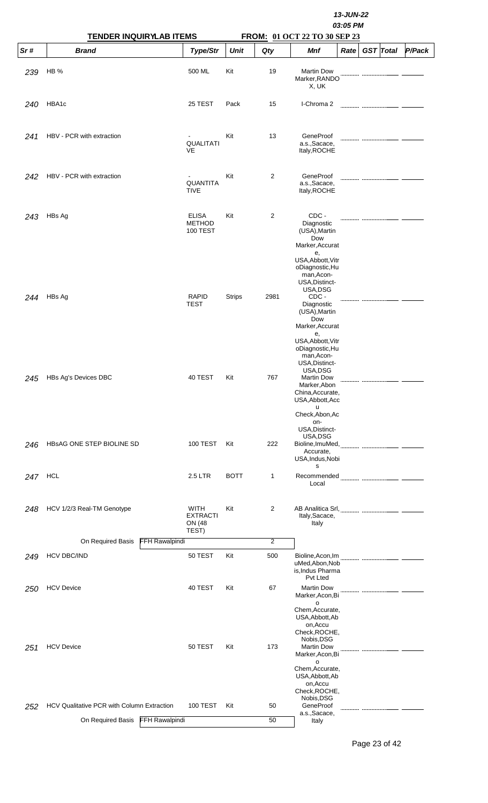|     | <b>TENDER INQUIRYLAB ITEMS</b>             |                                                  |               |                | 13-JUN-22<br>03:05 PM<br>FROM: 01 OCT 22 TO 30 SEP 23                                                                                                         |      |  |                  |        |  |  |  |  |
|-----|--------------------------------------------|--------------------------------------------------|---------------|----------------|---------------------------------------------------------------------------------------------------------------------------------------------------------------|------|--|------------------|--------|--|--|--|--|
| Sr# | <b>Brand</b>                               | Type/Str                                         | <b>Unit</b>   | Qty            | <b>Mnf</b>                                                                                                                                                    | Rate |  | <b>GST</b> Total | P/Pack |  |  |  |  |
| 239 | HB%                                        | 500 ML                                           | Kit           | 19             | <b>Martin Dow</b><br>Marker, RANDO<br>X, UK                                                                                                                   |      |  |                  |        |  |  |  |  |
| 240 | HBA1c                                      | 25 TEST                                          | Pack          | 15             | I-Chroma 2                                                                                                                                                    |      |  |                  |        |  |  |  |  |
| 241 | HBV - PCR with extraction                  | <b>QUALITATI</b><br>VE                           | Kit           | 13             | GeneProof<br>a.s., Sacace,<br>Italy, ROCHE                                                                                                                    |      |  |                  |        |  |  |  |  |
| 242 | HBV - PCR with extraction                  | <b>QUANTITA</b><br><b>TIVE</b>                   | Kit           | $\overline{2}$ | GeneProof<br>a.s., Sacace,<br>Italy, ROCHE                                                                                                                    |      |  |                  |        |  |  |  |  |
| 243 | HBs Ag                                     | <b>ELISA</b><br><b>METHOD</b><br><b>100 TEST</b> | Kit           | 2              | CDC -<br>Diagnostic<br>(USA), Martin<br>Dow<br>Marker, Accurat<br>е,<br>USA, Abbott, Vitr<br>oDiagnostic, Hu<br>man, Acon-<br>USA, Distinct-                  |      |  |                  |        |  |  |  |  |
| 244 | HBs Ag                                     | <b>RAPID</b><br><b>TEST</b>                      | <b>Strips</b> | 2981           | USA, DSG<br>CDC -<br>Diagnostic<br>(USA), Martin<br>Dow<br>Marker, Accurat<br>е,                                                                              |      |  |                  |        |  |  |  |  |
| 245 | HBs Ag's Devices DBC                       | 40 TEST                                          | Kit           | 767            | USA, Abbott, Vitr<br>oDiagnostic, Hu<br>man, Acon-<br>USA, Distinct-<br>USA, DSG<br><b>Martin Dow</b><br>Marker, Abon<br>China, Accurate,<br>USA, Abbott, Acc |      |  |                  |        |  |  |  |  |
| 246 | HBSAG ONE STEP BIOLINE SD                  | <b>100 TEST</b>                                  | Kit           | 222            | u<br>Check, Abon, Ac<br>on-<br>USA, Distinct-<br>USA, DSG<br>Bioline, ImuMed,<br>Accurate,<br>USA, Indus, Nobi                                                |      |  |                  |        |  |  |  |  |
| 247 | HCL                                        | 2.5 LTR                                          | <b>BOTT</b>   | 1              | s<br>Recommended<br>Local                                                                                                                                     |      |  |                  |        |  |  |  |  |
| 248 | HCV 1/2/3 Real-TM Genotype                 | WITH<br><b>EXTRACTI</b><br>ON (48<br>TEST)       | Kit           | 2              | Italy, Sacace,<br>Italy                                                                                                                                       |      |  |                  |        |  |  |  |  |
|     | <b>FFH Rawalpindi</b><br>On Required Basis |                                                  |               | 2              |                                                                                                                                                               |      |  |                  |        |  |  |  |  |
| 249 | <b>HCV DBC/IND</b>                         | 50 TEST                                          | Kit           | 500            | Bioline, Acon, Im<br>uMed, Abon, Nob<br>is, Indus Pharma<br>Pvt Lted                                                                                          |      |  |                  |        |  |  |  |  |
| 250 | <b>HCV Device</b>                          | 40 TEST                                          | Kit           | 67             | <b>Martin Dow</b><br>Marker, Acon, Bi<br>o<br>Chem, Accurate,<br>USA, Abbott, Ab<br>on, Accu                                                                  |      |  |                  |        |  |  |  |  |
| 251 | <b>HCV Device</b>                          | 50 TEST                                          | Kit           | 173            | Check, ROCHE,<br>Nobis, DSG<br><b>Martin Dow</b><br>Marker, Acon, Bi<br>o<br>Chem, Accurate,<br>USA, Abbott, Ab<br>on, Accu<br>Check, ROCHE,                  |      |  |                  |        |  |  |  |  |
| 252 | HCV Qualitative PCR with Column Extraction | 100 TEST                                         | Kit           | 50             | Nobis, DSG<br>GeneProof                                                                                                                                       |      |  |                  |        |  |  |  |  |
|     | <b>FFH Rawalpindi</b><br>On Required Basis |                                                  |               | 50             | a.s., Sacace,<br>Italy                                                                                                                                        |      |  |                  |        |  |  |  |  |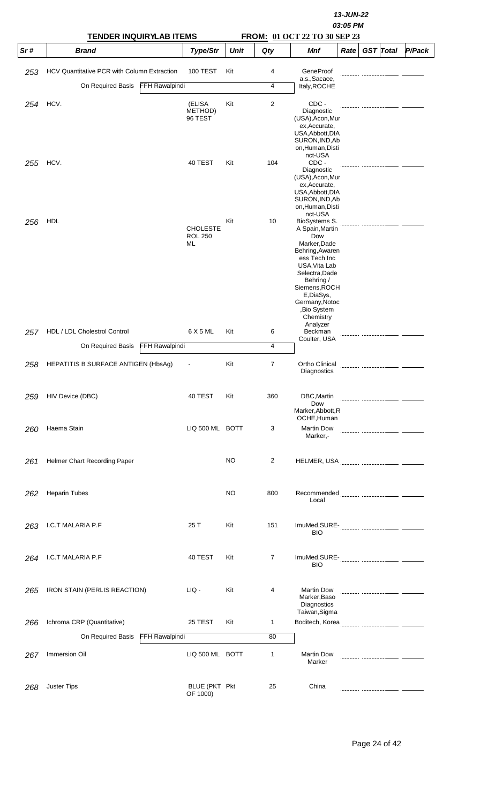|     | <b>TENDER INQUIRYLAB ITEMS</b>              |                       |                                         |             | 13-JUN-22<br>03:05 PM<br><b>FROM: 01 OCT 22 TO 30 SEP 23</b> |                                                                                                                                                                                                                                               |      |                  |               |  |  |
|-----|---------------------------------------------|-----------------------|-----------------------------------------|-------------|--------------------------------------------------------------|-----------------------------------------------------------------------------------------------------------------------------------------------------------------------------------------------------------------------------------------------|------|------------------|---------------|--|--|
| Sr# | <b>Brand</b>                                |                       | Type/Str                                | <b>Unit</b> | Qty                                                          | Mnf                                                                                                                                                                                                                                           | Rate | <b>GST</b> Total | <b>P/Pack</b> |  |  |
| 253 | HCV Quantitative PCR with Column Extraction |                       | <b>100 TEST</b>                         | Kit         | 4                                                            | GeneProof                                                                                                                                                                                                                                     |      |                  |               |  |  |
|     | On Required Basis                           | <b>FFH Rawalpindi</b> |                                         |             | 4                                                            | a.s., Sacace,<br>Italy, ROCHE                                                                                                                                                                                                                 |      |                  |               |  |  |
| 254 | HCV.                                        |                       | (ELISA                                  | Kit         | 2                                                            | CDC-                                                                                                                                                                                                                                          |      |                  |               |  |  |
|     |                                             |                       | METHOD)<br>96 TEST                      |             |                                                              | Diagnostic<br>(USA), Acon, Mur<br>ex, Accurate,<br>USA, Abbott, DIA<br>SURON, IND, Ab<br>on, Human, Disti<br>nct-USA                                                                                                                          |      |                  |               |  |  |
| 255 | HCV.                                        |                       | 40 TEST                                 | Kit         | 104                                                          | CDC -<br>Diagnostic<br>(USA), Acon, Mur<br>ex, Accurate,<br>USA, Abbott, DIA<br>SURON, IND, Ab<br>on, Human, Disti                                                                                                                            |      |                  |               |  |  |
| 256 | HDL                                         |                       | <b>CHOLESTE</b><br><b>ROL 250</b><br>ML | Kit         | 10                                                           | nct-USA<br>BioSystems S.<br>A Spain, Martin<br>Dow<br>Marker, Dade<br>Behring, Awaren<br>ess Tech Inc<br>USA, Vita Lab<br>Selectra, Dade<br>Behring /<br>Siemens, ROCH<br>E,DiaSys,<br>Germany, Notoc<br>,Bio System<br>Chemistry<br>Analyzer |      |                  |               |  |  |
| 257 | HDL / LDL Cholestrol Control                |                       | 6 X 5 ML                                | Kit         | 6                                                            | Beckman<br>Coulter, USA                                                                                                                                                                                                                       |      |                  |               |  |  |
|     | On Required Basis                           | FFH Rawalpindi        |                                         |             | 4                                                            |                                                                                                                                                                                                                                               |      |                  |               |  |  |
| 258 | <b>HEPATITIS B SURFACE ANTIGEN (HbsAq)</b>  |                       |                                         | Kit         | 7                                                            | Ortho Clinical<br>Diagnostics                                                                                                                                                                                                                 |      |                  |               |  |  |
| 259 | HIV Device (DBC)                            |                       | 40 TEST                                 | Kit         | 360                                                          | DBC, Martin<br>Dow<br>Marker, Abbott, R<br>OCHE, Human                                                                                                                                                                                        |      |                  |               |  |  |
| 260 | Haema Stain                                 |                       | LIQ 500 ML BOTT                         |             | 3                                                            | <b>Martin Dow</b><br>Marker,-                                                                                                                                                                                                                 |      |                  |               |  |  |
| 261 | Helmer Chart Recording Paper                |                       |                                         | <b>NO</b>   | 2                                                            |                                                                                                                                                                                                                                               |      |                  |               |  |  |
| 262 | <b>Heparin Tubes</b>                        |                       |                                         | <b>NO</b>   | 800                                                          | Recommended <b>Manual Community</b> manual community<br>Local                                                                                                                                                                                 |      |                  |               |  |  |
| 263 | I.C.T MALARIA P.F                           |                       | 25 T                                    | Kit         | 151                                                          | <b>BIO</b>                                                                                                                                                                                                                                    |      |                  |               |  |  |
| 264 | I.C.T MALARIA P.F                           |                       | 40 TEST                                 | Kit         | 7                                                            | BIO                                                                                                                                                                                                                                           |      |                  |               |  |  |
| 265 | IRON STAIN (PERLIS REACTION)                |                       | LIQ -                                   | Kit         | 4                                                            | <b>Martin Dow</b><br>Marker, Baso<br>Diagnostics<br>Taiwan, Sigma                                                                                                                                                                             |      |                  |               |  |  |
| 266 | Ichroma CRP (Quantitative)                  |                       | 25 TEST                                 | Kit         | 1                                                            |                                                                                                                                                                                                                                               |      |                  |               |  |  |
|     | On Required Basis                           | <b>FFH Rawalpindi</b> |                                         |             | 80                                                           |                                                                                                                                                                                                                                               |      |                  |               |  |  |
| 267 | Immersion Oil                               |                       | LIQ 500 ML BOTT                         |             | 1                                                            | <b>Martin Dow</b><br>Marker                                                                                                                                                                                                                   |      |                  |               |  |  |
| 268 | <b>Juster Tips</b>                          |                       | BLUE (PKT Pkt<br>OF 1000)               |             | 25                                                           | China                                                                                                                                                                                                                                         |      |                  |               |  |  |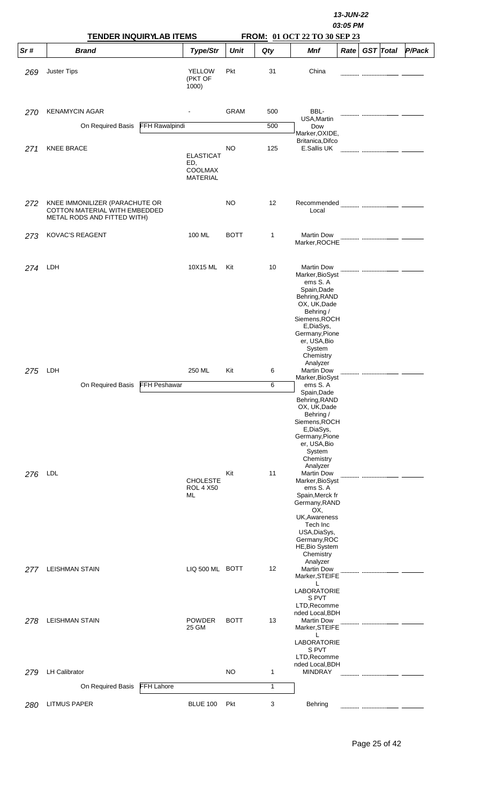|     | <b>TENDER INQUIRYLAB ITEMS</b>                                                                 |                       |                                                       |             |     |                                                                                                                                                                                                                                                                                                                                                               |      |  |                  |        |
|-----|------------------------------------------------------------------------------------------------|-----------------------|-------------------------------------------------------|-------------|-----|---------------------------------------------------------------------------------------------------------------------------------------------------------------------------------------------------------------------------------------------------------------------------------------------------------------------------------------------------------------|------|--|------------------|--------|
| Sr# | <b>Brand</b>                                                                                   |                       | Type/Str                                              | <b>Unit</b> | Qty | FROM: 01 OCT 22 TO 30 SEP 23<br><b>Mnf</b>                                                                                                                                                                                                                                                                                                                    | Rate |  | <b>GST</b> Total | P/Pack |
| 269 | <b>Juster Tips</b>                                                                             |                       | <b>YELLOW</b><br>(PKT OF<br>1000)                     | Pkt         | 31  | China                                                                                                                                                                                                                                                                                                                                                         |      |  |                  |        |
| 270 | <b>KENAMYCIN AGAR</b>                                                                          |                       |                                                       | <b>GRAM</b> | 500 | BBL-<br>USA, Martin                                                                                                                                                                                                                                                                                                                                           |      |  |                  |        |
|     | On Required Basis                                                                              | <b>FFH Rawalpindi</b> |                                                       |             | 500 | Dow<br>Marker, OXIDE,                                                                                                                                                                                                                                                                                                                                         |      |  |                  |        |
| 271 | <b>KNEE BRACE</b>                                                                              |                       | <b>ELASTICAT</b><br>ED,<br>COOLMAX<br><b>MATERIAL</b> | <b>NO</b>   | 125 | Britanica, Difco<br>E.Sallis UK                                                                                                                                                                                                                                                                                                                               |      |  |                  |        |
| 272 | KNEE IMMONILIZER (PARACHUTE OR<br>COTTON MATERIAL WITH EMBEDDED<br>METAL RODS AND FITTED WITH) |                       |                                                       | <b>NO</b>   | 12  | Recommended<br>Local                                                                                                                                                                                                                                                                                                                                          |      |  |                  |        |
| 273 | <b>KOVAC'S REAGENT</b>                                                                         |                       | 100 ML                                                | <b>BOTT</b> | 1   | <b>Martin Dow</b><br>Marker, ROCHE                                                                                                                                                                                                                                                                                                                            |      |  |                  |        |
| 274 | LDH                                                                                            |                       | 10X15 ML                                              | Kit         | 10  | <b>Martin Dow</b><br>Marker, BioSyst<br>ems S.A<br>Spain, Dade<br>Behring, RAND<br>OX, UK, Dade<br>Behring /<br>Siemens, ROCH<br>E,DiaSys,<br>Germany, Pione<br>er, USA, Bio<br>System<br>Chemistry                                                                                                                                                           |      |  |                  |        |
| 275 | LDH                                                                                            |                       | 250 ML                                                | Kit         | 6   | Analyzer<br><b>Martin Dow</b>                                                                                                                                                                                                                                                                                                                                 |      |  |                  |        |
|     | On Required Basis                                                                              | <b>FFH Peshawar</b>   |                                                       |             | 6   | Marker, BioSyst<br>ems S.A                                                                                                                                                                                                                                                                                                                                    |      |  |                  |        |
| 276 | LDL                                                                                            |                       | <b>CHOLESTE</b><br><b>ROL 4 X50</b><br>ML             | Kit         | 11  | Spain, Dade<br>Behring, RAND<br>OX, UK, Dade<br>Behring /<br>Siemens, ROCH<br>E,DiaSys,<br>Germany, Pione<br>er, USA, Bio<br>System<br>Chemistry<br>Analyzer<br><b>Martin Dow</b><br>Marker, BioSyst<br>ems S.A<br>Spain, Merck fr<br>Germany, RAND<br>OX,<br>UK, Awareness<br>Tech Inc<br>USA, DiaSys,<br>Germany, ROC<br><b>HE, Bio System</b><br>Chemistry |      |  |                  |        |
| 277 | <b>LEISHMAN STAIN</b>                                                                          |                       | LIQ 500 ML BOTT                                       |             | 12  | Analyzer<br><b>Martin Dow</b><br>Marker, STEIFE<br>L<br>LABORATORIE                                                                                                                                                                                                                                                                                           |      |  |                  |        |
| 278 | <b>LEISHMAN STAIN</b>                                                                          |                       | <b>POWDER</b><br>25 GM                                | <b>BOTT</b> | 13  | S PVT<br>LTD, Recomme<br>nded Local, BDH<br><b>Martin Dow</b><br>Marker, STEIFE<br>L<br>LABORATORIE<br>S PVT                                                                                                                                                                                                                                                  |      |  |                  |        |
|     |                                                                                                |                       |                                                       |             |     | LTD, Recomme<br>nded Local, BDH                                                                                                                                                                                                                                                                                                                               |      |  |                  |        |
| 279 | <b>LH Calibrator</b>                                                                           |                       |                                                       | <b>NO</b>   | 1   | <b>MINDRAY</b>                                                                                                                                                                                                                                                                                                                                                |      |  |                  |        |
|     | On Required Basis                                                                              | <b>FFH Lahore</b>     |                                                       |             | 1   |                                                                                                                                                                                                                                                                                                                                                               |      |  |                  |        |
| 280 | <b>LITMUS PAPER</b>                                                                            |                       | <b>BLUE 100</b>                                       | Pkt         | 3   | Behring                                                                                                                                                                                                                                                                                                                                                       |      |  |                  |        |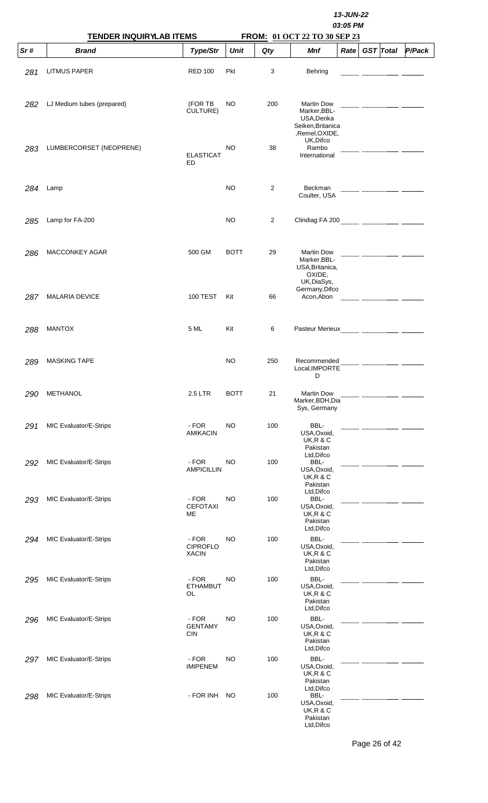|     | <b>TENDER INQUIRYLAB ITEMS</b> |                                          | 13-JUN-22<br>03:05 PM<br>FROM: 01 OCT 22 TO 30 SEP 23 |                |                                                                                                    |      |  |                  |        |  |  |  |
|-----|--------------------------------|------------------------------------------|-------------------------------------------------------|----------------|----------------------------------------------------------------------------------------------------|------|--|------------------|--------|--|--|--|
| Sr# | <b>Brand</b>                   | Type/Str                                 | <b>Unit</b>                                           | Qty            | Mnf                                                                                                | Rate |  | <b>GST</b> Total | P/Pack |  |  |  |
| 281 | <b>LITMUS PAPER</b>            | <b>RED 100</b>                           | Pkt                                                   | 3              | Behring                                                                                            |      |  |                  |        |  |  |  |
| 282 | LJ Medium tubes (prepared)     | (FOR TB<br>CULTURE)                      | <b>NO</b>                                             | 200            | <b>Martin Dow</b><br>Marker, BBL-<br>USA, Denka<br>Seiken, Britanica<br>,Remel,OXIDE,<br>UK, Difco |      |  |                  |        |  |  |  |
| 283 | LUMBERCORSET (NEOPRENE)        | <b>ELASTICAT</b><br>ED                   | NO                                                    | 38             | Rambo<br>International                                                                             |      |  |                  |        |  |  |  |
| 284 | Lamp                           |                                          | <b>NO</b>                                             | $\overline{2}$ | Beckman<br>Coulter, USA                                                                            |      |  |                  |        |  |  |  |
| 285 | Lamp for FA-200                |                                          | NO                                                    | 2              |                                                                                                    |      |  |                  |        |  |  |  |
| 286 | <b>MACCONKEY AGAR</b>          | 500 GM                                   | <b>BOTT</b>                                           | 29             | <b>Martin Dow</b><br>Marker, BBL-<br>USA, Britanica,<br>OXIDE,<br>UK, DiaSys,                      |      |  |                  |        |  |  |  |
| 287 | <b>MALARIA DEVICE</b>          | <b>100 TEST</b>                          | Kit                                                   | 66             | Germany, Difco<br>Acon, Abon                                                                       |      |  |                  |        |  |  |  |
| 288 | <b>MANTOX</b>                  | 5 ML                                     | Kit                                                   | 6              |                                                                                                    |      |  |                  |        |  |  |  |
| 289 | <b>MASKING TAPE</b>            |                                          | NO                                                    | 250            | Recommended<br>Local, IMPORTE<br>D                                                                 |      |  |                  |        |  |  |  |
| 290 | METHANOL                       | 2.5 LTR                                  | <b>BOTT</b>                                           | 21             | <b>Martin Dow</b><br>Marker, BDH, Dia<br>Sys, Germany                                              |      |  |                  |        |  |  |  |
| 291 | MIC Evaluator/E-Strips         | - FOR<br><b>AMIKACIN</b>                 | <b>NO</b>                                             | 100            | BBL-<br>USA, Oxoid,<br><b>UK, R &amp; C</b><br>Pakistan                                            |      |  |                  |        |  |  |  |
| 292 | MIC Evaluator/E-Strips         | - FOR<br><b>AMPICILLIN</b>               | NO                                                    | 100            | Ltd, Difco<br>BBL-<br>USA, Oxoid,<br>UK,R & C<br>Pakistan                                          |      |  |                  |        |  |  |  |
| 293 | MIC Evaluator/E-Strips         | - FOR<br><b>CEFOTAXI</b><br>ME           | NO                                                    | 100            | Ltd, Difco<br>BBL-<br>USA, Oxoid,<br><b>UK, R &amp; C</b><br>Pakistan<br>Ltd, Difco                |      |  |                  |        |  |  |  |
| 294 | MIC Evaluator/E-Strips         | - FOR<br><b>CIPROFLO</b><br><b>XACIN</b> | NO                                                    | 100            | BBL-<br>USA, Oxoid,<br><b>UK, R &amp; C</b><br>Pakistan<br>Ltd, Difco                              |      |  |                  |        |  |  |  |
| 295 | MIC Evaluator/E-Strips         | - FOR<br><b>ETHAMBUT</b><br>OL           | NO                                                    | 100            | BBL-<br>USA, Oxoid,<br><b>UK, R &amp; C</b><br>Pakistan<br>Ltd, Difco                              |      |  |                  |        |  |  |  |
| 296 | MIC Evaluator/E-Strips         | - FOR<br><b>GENTAMY</b><br><b>CIN</b>    | NO                                                    | 100            | BBL-<br>USA, Oxoid,<br><b>UK, R &amp; C</b><br>Pakistan<br>Ltd, Difco                              |      |  |                  |        |  |  |  |
| 297 | MIC Evaluator/E-Strips         | - FOR<br><b>IMIPENEM</b>                 | NO                                                    | 100            | BBL-<br>USA, Oxoid,<br><b>UK, R &amp; C</b><br>Pakistan<br>Ltd, Difco                              |      |  |                  |        |  |  |  |
| 298 | MIC Evaluator/E-Strips         | - FOR INH                                | NO.                                                   | 100            | BBL-<br>USA, Oxoid,<br><b>UK, R &amp; C</b><br>Pakistan<br>Ltd, Difco                              |      |  |                  |        |  |  |  |

Page 26 of 42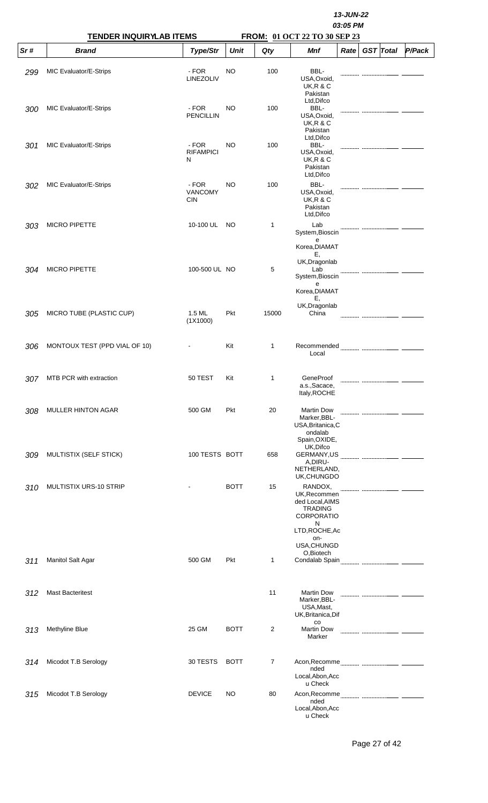|     | <b>TENDER INQUIRYLAB ITEMS</b> |                                | 13-JUN-22<br>03:05 PM<br>FROM: 01 OCT 22 TO 30 SEP 23 |              |                                                                                                                                |                   |  |                  |        |  |  |  |
|-----|--------------------------------|--------------------------------|-------------------------------------------------------|--------------|--------------------------------------------------------------------------------------------------------------------------------|-------------------|--|------------------|--------|--|--|--|
| Sr# | <b>Brand</b>                   | Type/Str                       | <b>Unit</b>                                           | Qty          | Mnf                                                                                                                            | Rate <sub>1</sub> |  | <b>GST</b> Total | P/Pack |  |  |  |
| 299 | MIC Evaluator/E-Strips         | - FOR<br>LINEZOLIV             | NO                                                    | 100          | BBL-<br>USA, Oxoid,<br><b>UK, R &amp; C</b><br>Pakistan                                                                        |                   |  |                  |        |  |  |  |
| 300 | MIC Evaluator/E-Strips         | - FOR<br><b>PENCILLIN</b>      | NO.                                                   | 100          | Ltd, Difco<br>BBL-<br>USA, Oxoid,<br><b>UK, R &amp; C</b><br>Pakistan                                                          |                   |  |                  |        |  |  |  |
| 301 | MIC Evaluator/E-Strips         | - FOR<br><b>RIFAMPICI</b><br>N | NO                                                    | 100          | Ltd, Difco<br>BBL-<br>USA, Oxoid,<br><b>UK, R &amp; C</b><br>Pakistan<br>Ltd, Difco                                            |                   |  |                  |        |  |  |  |
| 302 | MIC Evaluator/E-Strips         | - FOR<br>VANCOMY<br><b>CIN</b> | NO.                                                   | 100          | BBL-<br>USA, Oxoid,<br><b>UK, R &amp; C</b><br>Pakistan<br>Ltd, Difco                                                          |                   |  |                  |        |  |  |  |
| 303 | <b>MICRO PIPETTE</b>           | 10-100 UL                      | NO.                                                   | $\mathbf{1}$ | Lab<br>System, Bioscin<br>e<br>Korea, DIAMAT                                                                                   |                   |  |                  |        |  |  |  |
| 304 | <b>MICRO PIPETTE</b>           | 100-500 UL NO                  |                                                       | 5            | Ε,<br>UK, Dragonlab<br>Lab<br>System, Bioscin<br>e<br>Korea, DIAMAT<br>Е,                                                      |                   |  |                  |        |  |  |  |
| 305 | MICRO TUBE (PLASTIC CUP)       | 1.5 ML<br>(1X1000)             | Pkt                                                   | 15000        | UK, Dragonlab<br>China                                                                                                         |                   |  |                  |        |  |  |  |
| 306 | MONTOUX TEST (PPD VIAL OF 10)  |                                | Kit                                                   | $\mathbf 1$  | Recommended<br>Local                                                                                                           |                   |  |                  |        |  |  |  |
| 307 | MTB PCR with extraction        | 50 TEST                        | Kit                                                   | 1            | GeneProof<br>a.s., Sacace,<br>Italy, ROCHE                                                                                     |                   |  |                  |        |  |  |  |
| 308 | <b>MULLER HINTON AGAR</b>      | 500 GM                         | Pkt                                                   | 20           | <b>Martin Dow</b><br>Marker, BBL-<br>USA, Britanica, C<br>ondalab<br>Spain, OXIDE,                                             |                   |  |                  |        |  |  |  |
| 309 | MULTISTIX (SELF STICK)         | 100 TESTS BOTT                 |                                                       | 658          | UK, Difco<br>GERMANY,US<br>A,DIRU-<br>NETHERLAND,<br>UK, CHUNGDO                                                               |                   |  |                  |        |  |  |  |
| 310 | MULTISTIX URS-10 STRIP         |                                | <b>BOTT</b>                                           | 15           | RANDOX,<br>UK, Recommen<br>ded Local, AIMS<br><b>TRADING</b><br><b>CORPORATIO</b><br>N<br>LTD, ROCHE, Ac<br>on-<br>USA, CHUNGD |                   |  |                  |        |  |  |  |
| 311 | Manitol Salt Agar              | 500 GM                         | Pkt                                                   | $\mathbf{1}$ | O,Biotech                                                                                                                      |                   |  |                  |        |  |  |  |
| 312 | <b>Mast Bacteritest</b>        |                                |                                                       | 11           | <b>Martin Dow</b><br>Marker, BBL-<br>USA, Mast,<br>UK, Britanica, Dif                                                          |                   |  |                  |        |  |  |  |
| 313 | Methyline Blue                 | 25 GM                          | <b>BOTT</b>                                           | 2            | $_{\rm CO}$<br><b>Martin Dow</b><br>Marker                                                                                     |                   |  |                  |        |  |  |  |
| 314 | Micodot T.B Serology           | 30 TESTS                       | <b>BOTT</b>                                           | 7            | nded<br>Local, Abon, Acc<br>u Check                                                                                            |                   |  |                  |        |  |  |  |
| 315 | Micodot T.B Serology           | <b>DEVICE</b>                  | NO.                                                   | 80           | nded<br>Local, Abon, Acc<br>u Check                                                                                            |                   |  |                  |        |  |  |  |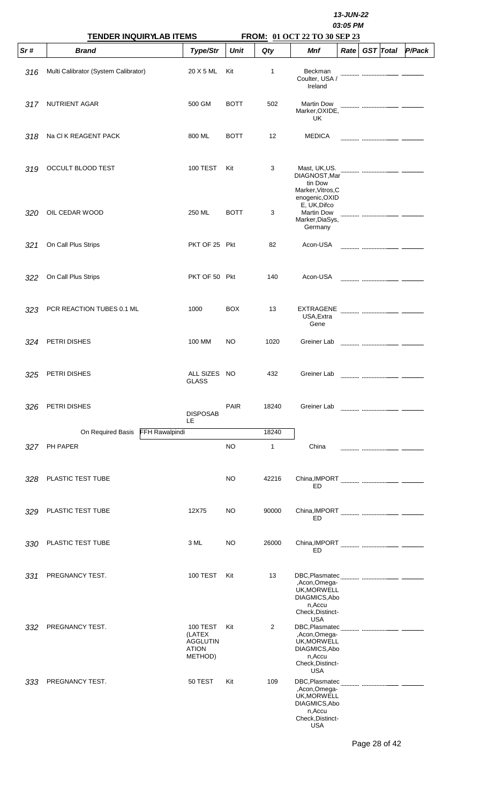|     |                                                |                                                                         | 13-JUN-22<br>03:05 PM<br>FROM: 01 OCT 22 TO 30 SEP 23 |                   |                                                                                                         |      |  |                  |        |  |  |  |  |
|-----|------------------------------------------------|-------------------------------------------------------------------------|-------------------------------------------------------|-------------------|---------------------------------------------------------------------------------------------------------|------|--|------------------|--------|--|--|--|--|
| Sr# | <b>TENDER INQUIRYLAB ITEMS</b><br><b>Brand</b> | Type/Str                                                                | <b>Unit</b>                                           | Qty               | Mnf                                                                                                     | Rate |  | <b>GST</b> Total | P/Pack |  |  |  |  |
| 316 | Multi Calibrator (System Calibrator)           | 20 X 5 ML                                                               | Kit                                                   | 1                 | Beckman<br>Coulter, USA /<br>Ireland                                                                    |      |  |                  |        |  |  |  |  |
| 317 | <b>NUTRIENT AGAR</b>                           | 500 GM                                                                  | <b>BOTT</b>                                           | 502               | <b>Martin Dow</b><br>Marker, OXIDE,<br>UK                                                               |      |  |                  |        |  |  |  |  |
| 318 | Na CI K REAGENT PACK                           | 800 ML                                                                  | <b>BOTT</b>                                           | $12 \overline{ }$ | <b>MEDICA</b>                                                                                           |      |  |                  |        |  |  |  |  |
| 319 | OCCULT BLOOD TEST                              | <b>100 TEST</b>                                                         | Kit                                                   | 3                 | Mast, UK, US.<br>DIAGNOST, Mar<br>tin Dow<br>Marker, Vitros, C<br>enogenic, OXID                        |      |  |                  |        |  |  |  |  |
| 320 | OIL CEDAR WOOD                                 | 250 ML                                                                  | <b>BOTT</b>                                           | 3                 | E, UK, Difco<br><b>Martin Dow</b><br>Marker, DiaSys,<br>Germany                                         |      |  |                  |        |  |  |  |  |
| 321 | On Call Plus Strips                            | PKT OF 25 Pkt                                                           |                                                       | 82                | Acon-USA                                                                                                |      |  |                  |        |  |  |  |  |
| 322 | On Call Plus Strips                            | PKT OF 50 Pkt                                                           |                                                       | 140               | Acon-USA                                                                                                |      |  |                  |        |  |  |  |  |
| 323 | PCR REACTION TUBES 0.1 ML                      | 1000                                                                    | <b>BOX</b>                                            | 13                | <b>EXTRAGENE</b><br>USA, Extra<br>Gene                                                                  |      |  |                  |        |  |  |  |  |
| 324 | PETRI DISHES                                   | 100 MM                                                                  | NO                                                    | 1020              | Greiner Lab                                                                                             |      |  |                  |        |  |  |  |  |
| 325 | PETRI DISHES                                   | ALL SIZES NO<br><b>GLASS</b>                                            |                                                       | 432               | Greiner Lab                                                                                             |      |  |                  |        |  |  |  |  |
| 326 | PETRI DISHES                                   | <b>DISPOSAB</b><br>LE                                                   | <b>PAIR</b>                                           | 18240             | Greiner Lab                                                                                             |      |  |                  |        |  |  |  |  |
|     | On Required Basis FFH Rawalpindi               |                                                                         |                                                       | 18240             |                                                                                                         |      |  |                  |        |  |  |  |  |
| 327 | PH PAPER                                       |                                                                         | <b>NO</b>                                             | 1                 | China                                                                                                   |      |  |                  |        |  |  |  |  |
| 328 | PLASTIC TEST TUBE                              |                                                                         | NO                                                    | 42216             | ED                                                                                                      |      |  |                  |        |  |  |  |  |
| 329 | PLASTIC TEST TUBE                              | 12X75                                                                   | NO                                                    | 90000             | ED                                                                                                      |      |  |                  |        |  |  |  |  |
| 330 | PLASTIC TEST TUBE                              | 3 ML                                                                    | NO                                                    | 26000             | ED                                                                                                      |      |  |                  |        |  |  |  |  |
| 331 | PREGNANCY TEST.                                | <b>100 TEST</b>                                                         | Kit                                                   | 13                | ,Acon,Omega-<br>UK, MORWELL<br>DIAGMICS, Abo<br>n, Accu<br>Check, Distinct-                             |      |  |                  |        |  |  |  |  |
| 332 | PREGNANCY TEST.                                | <b>100 TEST</b><br>(LATEX<br><b>AGGLUTIN</b><br><b>ATION</b><br>METHOD) | Kit                                                   | 2                 | <b>USA</b><br>,Acon,Omega-<br>UK, MORWELL<br>DIAGMICS, Abo<br>n, Accu<br>Check, Distinct-<br><b>USA</b> |      |  |                  |        |  |  |  |  |
| 333 | PREGNANCY TEST.                                | 50 TEST                                                                 | Kit                                                   | 109               | ,Acon,Omega-<br>UK, MORWELL<br>DIAGMICS, Abo<br>n, Accu<br>Check, Distinct-<br>USA                      |      |  |                  |        |  |  |  |  |

Page 28 of 42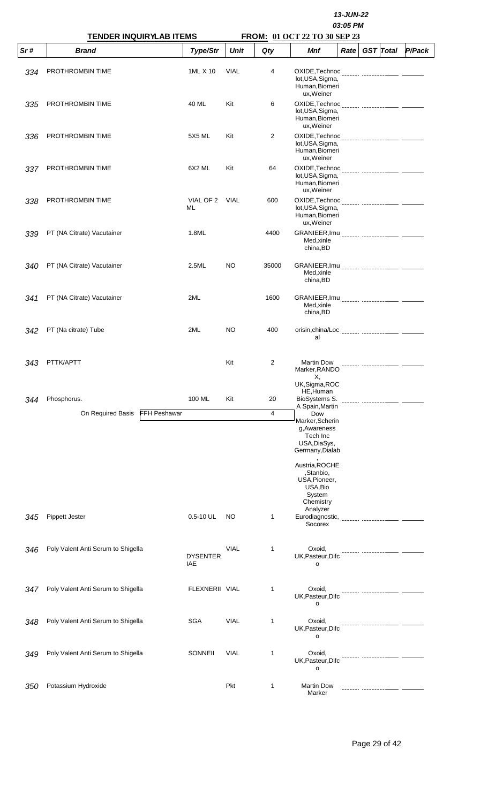|     | <b>TENDER INQUIRYLAB ITEMS</b>           |                        | 13-JUN-22<br>03:05 PM<br>FROM: 01 OCT 22 TO 30 SEP 23 |                |                                                                                                                                                                                      |                   |  |                  |        |  |  |  |
|-----|------------------------------------------|------------------------|-------------------------------------------------------|----------------|--------------------------------------------------------------------------------------------------------------------------------------------------------------------------------------|-------------------|--|------------------|--------|--|--|--|
| Sr# | <b>Brand</b>                             | Type/Str               | <b>Unit</b>                                           | Qty            | Mnf                                                                                                                                                                                  | Rate <sup>2</sup> |  | <b>GST</b> Total | P/Pack |  |  |  |
| 334 | PROTHROMBIN TIME                         | 1ML X 10               | <b>VIAL</b>                                           | 4              | lot, USA, Sigma,<br>Human, Biomeri<br>ux, Weiner                                                                                                                                     |                   |  |                  |        |  |  |  |
| 335 | PROTHROMBIN TIME                         | 40 ML                  | Kit                                                   | 6              | lot, USA, Sigma,<br>Human, Biomeri<br>ux, Weiner                                                                                                                                     |                   |  |                  |        |  |  |  |
| 336 | PROTHROMBIN TIME                         | 5X5 ML                 | Kit                                                   | 2              | lot, USA, Sigma,<br>Human, Biomeri<br>ux, Weiner                                                                                                                                     |                   |  |                  |        |  |  |  |
| 337 | PROTHROMBIN TIME                         | 6X2 ML                 | Kit                                                   | 64             | lot, USA, Sigma,<br>Human, Biomeri<br>ux, Weiner                                                                                                                                     |                   |  |                  |        |  |  |  |
| 338 | PROTHROMBIN TIME                         | VIAL OF 2 VIAL<br>ML   |                                                       | 600            | lot, USA, Sigma,<br>Human, Biomeri<br>ux, Weiner                                                                                                                                     |                   |  |                  |        |  |  |  |
| 339 | PT (NA Citrate) Vacutainer               | 1.8ML                  |                                                       | 4400           | Med, xinle<br>china, BD                                                                                                                                                              |                   |  |                  |        |  |  |  |
| 340 | PT (NA Citrate) Vacutainer               | 2.5ML                  | NO.                                                   | 35000          | Med, xinle<br>china, BD                                                                                                                                                              |                   |  |                  |        |  |  |  |
| 341 | PT (NA Citrate) Vacutainer               | 2ML                    |                                                       | 1600           | Med, xinle<br>china, BD                                                                                                                                                              |                   |  |                  |        |  |  |  |
| 342 | PT (Na citrate) Tube                     | 2ML                    | NO.                                                   | 400            | al                                                                                                                                                                                   |                   |  |                  |        |  |  |  |
| 343 | PTTK/APTT                                |                        | Kit                                                   | $\overline{2}$ | <b>Martin Dow</b><br>Marker, RANDO<br>Х,<br>UK, Sigma, ROC                                                                                                                           |                   |  |                  |        |  |  |  |
| 344 | Phosphorus.                              | 100 ML                 | Kit                                                   | 20             | HE, Human<br>BioSystems S.<br>A Spain, Martin                                                                                                                                        |                   |  |                  |        |  |  |  |
|     | On Required Basis<br><b>FFH Peshawar</b> |                        |                                                       | $\overline{4}$ | Dow<br>Marker, Scherin<br>g, Awareness<br>Tech Inc<br>USA, DiaSys,<br>Germany, Dialab<br>Austria, ROCHE<br>,Stanbio,<br>USA, Pioneer,<br>USA, Bio<br>System<br>Chemistry<br>Analyzer |                   |  |                  |        |  |  |  |
| 345 | Pippett Jester                           | $0.5 - 10$ UL          | NO                                                    | 1              | Eurodiagnostic,<br>Socorex                                                                                                                                                           |                   |  |                  |        |  |  |  |
| 346 | Poly Valent Anti Serum to Shigella       | <b>DYSENTER</b><br>IAE | <b>VIAL</b>                                           | 1              | Oxoid,<br>UK, Pasteur, Difc<br>о                                                                                                                                                     |                   |  |                  |        |  |  |  |
| 347 | Poly Valent Anti Serum to Shigella       | FLEXNERII VIAL         |                                                       | 1              | Oxoid,<br>UK, Pasteur, Difc<br>o                                                                                                                                                     |                   |  |                  |        |  |  |  |
| 348 | Poly Valent Anti Serum to Shigella       | <b>SGA</b>             | <b>VIAL</b>                                           | 1              | Oxoid,<br>UK, Pasteur, Difc<br>o                                                                                                                                                     |                   |  |                  |        |  |  |  |
| 349 | Poly Valent Anti Serum to Shigella       | SONNEII                | <b>VIAL</b>                                           | 1              | Oxoid,<br>UK, Pasteur, Difc<br>о                                                                                                                                                     |                   |  |                  |        |  |  |  |
| 350 | Potassium Hydroxide                      |                        | Pkt                                                   | 1              | <b>Martin Dow</b><br>Marker                                                                                                                                                          |                   |  |                  |        |  |  |  |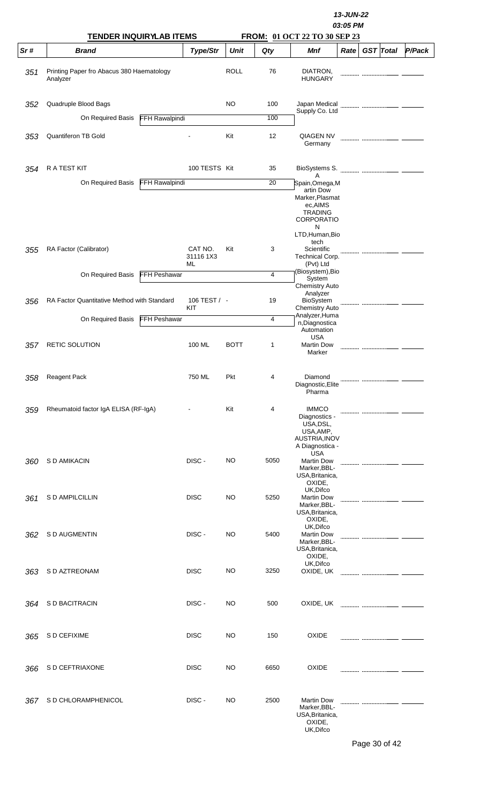|     |                                                                  |                       |                            |             |                | 13-JUN-22<br>03:05 PM<br>FROM: 01 OCT 22 TO 30 SEP 23                                                                   |      |  |                  |        |  |  |  |
|-----|------------------------------------------------------------------|-----------------------|----------------------------|-------------|----------------|-------------------------------------------------------------------------------------------------------------------------|------|--|------------------|--------|--|--|--|
| Sr# | <b>TENDER INQUIRYLAB ITEMS</b><br><b>Brand</b>                   |                       | Type/Str                   | <b>Unit</b> | Qty            | <b>Mnf</b>                                                                                                              | Rate |  | <b>GST</b> Total | P/Pack |  |  |  |
| 351 | Printing Paper fro Abacus 380 Haematology<br>Analyzer            |                       |                            | <b>ROLL</b> | 76             | DIATRON,<br><b>HUNGARY</b>                                                                                              |      |  |                  |        |  |  |  |
| 352 | Quadruple Blood Bags                                             |                       |                            | NO          | 100            | Japan Medical                                                                                                           |      |  |                  |        |  |  |  |
|     | On Required Basis                                                | <b>FFH Rawalpindi</b> |                            |             | 100            | Supply Co. Ltd                                                                                                          |      |  |                  |        |  |  |  |
| 353 | <b>Quantiferon TB Gold</b>                                       |                       |                            | Kit         | 12             | <b>QIAGEN NV</b><br>Germany                                                                                             |      |  |                  |        |  |  |  |
| 354 | <b>RATEST KIT</b>                                                |                       | 100 TESTS Kit              |             | 35             | A                                                                                                                       |      |  |                  |        |  |  |  |
|     | On Required Basis                                                | <b>FFH Rawalpindi</b> |                            |             | 20             | Spain,Omega,M<br>artin Dow<br>Marker, Plasmat<br>ec,AIMS<br><b>TRADING</b><br><b>CORPORATIO</b><br>N<br>LTD, Human, Bio |      |  |                  |        |  |  |  |
| 355 | RA Factor (Calibrator)                                           |                       | CAT NO.<br>31116 1X3<br>ML | Kit         | 3              | tech<br>Scientific<br>Technical Corp.<br>(Pvt) Ltd                                                                      |      |  |                  |        |  |  |  |
|     | On Required Basis<br>RA Factor Quantitative Method with Standard | FFH Peshawar          | 106 TEST / -               |             | 4<br>19        | (Biosystem), Bio<br>System<br><b>Chemistry Auto</b><br>Analyzer                                                         |      |  |                  |        |  |  |  |
| 356 |                                                                  |                       | KIT                        |             |                | <b>BioSystem</b><br><b>Chemistry Auto</b><br>Analyzer, Huma                                                             |      |  |                  |        |  |  |  |
|     | On Required Basis                                                | <b>FFH Peshawar</b>   |                            |             | $\overline{4}$ | n, Diagnostica<br>Automation<br><b>USA</b>                                                                              |      |  |                  |        |  |  |  |
| 357 | RETIC SOLUTION                                                   |                       | 100 ML                     | <b>BOTT</b> | 1              | <b>Martin Dow</b><br>Marker                                                                                             |      |  |                  |        |  |  |  |
| 358 | <b>Reagent Pack</b>                                              |                       | 750 ML                     | Pkt         | 4              | Diamond<br>Diagnostic, Elite<br>Pharma                                                                                  |      |  |                  |        |  |  |  |
| 359 | Rheumatoid factor IgA ELISA (RF-IgA)                             |                       |                            | Kit         | 4              | <b>IMMCO</b><br>Diagnostics -<br>USA, DSL,<br>USA, AMP,<br>AUSTRIA, INOV<br>A Diagnostica -                             |      |  |                  |        |  |  |  |
| 360 | S D AMIKACIN                                                     |                       | DISC-                      | <b>NO</b>   | 5050           | <b>USA</b><br><b>Martin Dow</b><br>Marker, BBL-<br>USA, Britanica,<br>OXIDE,                                            |      |  |                  |        |  |  |  |
| 361 | S D AMPILCILLIN                                                  |                       | <b>DISC</b>                | NO          | 5250           | UK, Difco<br><b>Martin Dow</b><br>Marker, BBL-<br>USA, Britanica,<br>OXIDE,                                             |      |  |                  |        |  |  |  |
| 362 | S D AUGMENTIN                                                    |                       | DISC-                      | NO          | 5400           | UK, Difco<br><b>Martin Dow</b><br>Marker, BBL-<br>USA, Britanica,<br>OXIDE,                                             |      |  |                  |        |  |  |  |
| 363 | S D AZTREONAM                                                    |                       | <b>DISC</b>                | <b>NO</b>   | 3250           | UK, Difco<br>OXIDE, UK                                                                                                  |      |  |                  |        |  |  |  |
| 364 | S D BACITRACIN                                                   |                       | DISC-                      | NO          | 500            | OXIDE, UK                                                                                                               |      |  |                  |        |  |  |  |
| 365 | S D CEFIXIME                                                     |                       | <b>DISC</b>                | <b>NO</b>   | 150            | <b>OXIDE</b>                                                                                                            |      |  |                  |        |  |  |  |
| 366 | S D CEFTRIAXONE                                                  |                       | <b>DISC</b>                | NO          | 6650           | <b>OXIDE</b>                                                                                                            |      |  |                  |        |  |  |  |
| 367 | S D CHLORAMPHENICOL                                              |                       | DISC-                      | NO          | 2500           | <b>Martin Dow</b><br>Marker, BBL-<br>USA, Britanica,<br>OXIDE,<br>UK, Difco                                             |      |  |                  |        |  |  |  |

Page 30 of 42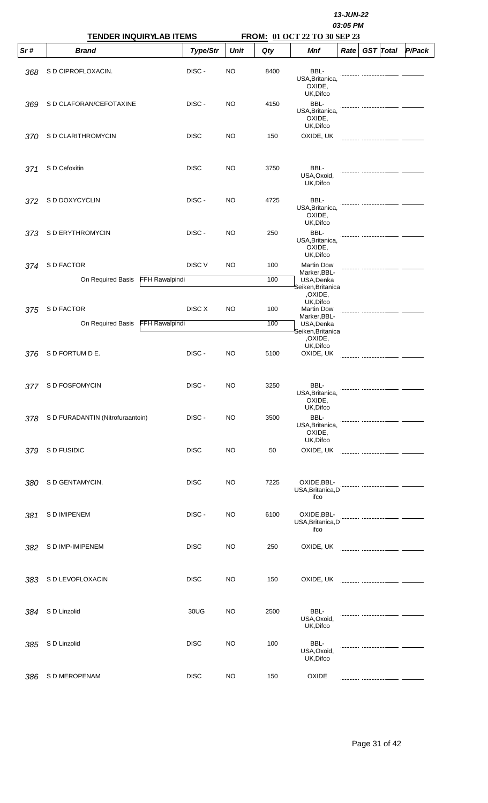|     | <b>TENDER INQUIRYLAB ITEMS</b>   |                       |             |             | 13-JUN-22<br>03:05 PM<br>FROM: 01 OCT 22 TO 30 SEP 23 |                                                        |      |  |                  |        |  |  |
|-----|----------------------------------|-----------------------|-------------|-------------|-------------------------------------------------------|--------------------------------------------------------|------|--|------------------|--------|--|--|
| Sr# | <b>Brand</b>                     |                       | Type/Str    | <b>Unit</b> | Qty                                                   | Mnf                                                    | Rate |  | <b>GST</b> Total | P/Pack |  |  |
| 368 | S D CIPROFLOXACIN.               |                       | DISC-       | <b>NO</b>   | 8400                                                  | BBL-<br>USA, Britanica,<br>OXIDE,<br>UK, Difco         |      |  |                  |        |  |  |
| 369 | S D CLAFORAN/CEFOTAXINE          |                       | DISC-       | <b>NO</b>   | 4150                                                  | BBL-<br>USA, Britanica,<br>OXIDE,<br>UK, Difco         |      |  |                  |        |  |  |
| 370 | S D CLARITHROMYCIN               |                       | <b>DISC</b> | NO          | 150                                                   | OXIDE, UK                                              |      |  |                  |        |  |  |
| 371 | S D Cefoxitin                    |                       | <b>DISC</b> | NO          | 3750                                                  | BBL-<br>USA, Oxoid,<br>UK, Difco                       |      |  |                  |        |  |  |
| 372 | S D DOXYCYCLIN                   |                       | DISC-       | NO          | 4725                                                  | BBL-<br>USA, Britanica,<br>OXIDE,<br>UK, Difco         |      |  |                  |        |  |  |
| 373 | S D ERYTHROMYCIN                 |                       | DISC-       | NO          | 250                                                   | BBL-<br>USA, Britanica,<br>OXIDE,<br>UK, Difco         |      |  |                  |        |  |  |
| 374 | S D FACTOR                       |                       | DISC V      | NO          | 100                                                   | <b>Martin Dow</b><br>Marker, BBL-                      |      |  |                  |        |  |  |
|     | On Required Basis                | FFH Rawalpindi        |             |             | 100                                                   | USA, Denka<br>Seiken,Britanica<br>,OXIDE,<br>UK, Difco |      |  |                  |        |  |  |
| 375 | S D FACTOR                       |                       | DISC X      | <b>NO</b>   | 100                                                   | <b>Martin Dow</b><br>Marker, BBL-                      |      |  |                  |        |  |  |
|     | On Required Basis                | <b>FFH Rawalpindi</b> |             |             | 100                                                   | USA, Denka<br>Seiken,Britanica<br>,OXIDE,<br>UK, Difco |      |  |                  |        |  |  |
| 376 | S D FORTUM D E.                  |                       | DISC-       | NO          | 5100                                                  | OXIDE, UK                                              |      |  |                  |        |  |  |
| 377 | S D FOSFOMYCIN                   |                       | DISC-       | <b>NO</b>   | 3250                                                  | BBL-<br>USA, Britanica,<br>OXIDE,<br>UK, Difco         |      |  |                  |        |  |  |
| 378 | S D FURADANTIN (Nitrofuraantoin) |                       | DISC-       | NO          | 3500                                                  | BBL-<br>USA, Britanica,<br>OXIDE,<br>UK, Difco         |      |  |                  |        |  |  |
| 379 | S D FUSIDIC                      |                       | <b>DISC</b> | NO          | 50                                                    | OXIDE, UK                                              |      |  |                  |        |  |  |
| 380 | S D GENTAMYCIN.                  |                       | <b>DISC</b> | NO          | 7225                                                  | OXIDE, BBL-<br>USA, Britanica, D<br>ifco               |      |  |                  |        |  |  |
| 381 | S D IMIPENEM                     |                       | DISC-       | <b>NO</b>   | 6100                                                  | OXIDE, BBL-<br>USA, Britanica, D<br>ifco               |      |  |                  |        |  |  |
| 382 | S D IMP-IMIPENEM                 |                       | <b>DISC</b> | NO          | 250                                                   | OXIDE, UK                                              |      |  |                  |        |  |  |
| 383 | S D LEVOFLOXACIN                 |                       | <b>DISC</b> | NO          | 150                                                   | OXIDE, UK                                              |      |  |                  |        |  |  |
| 384 | S D Linzolid                     |                       | 30UG        | <b>NO</b>   | 2500                                                  | BBL-<br>USA, Oxoid,<br>UK, Difco                       |      |  |                  |        |  |  |
| 385 | S D Linzolid                     |                       | <b>DISC</b> | NO          | 100                                                   | BBL-<br>USA, Oxoid,<br>UK, Difco                       |      |  |                  |        |  |  |
| 386 | S D MEROPENAM                    |                       | <b>DISC</b> | <b>NO</b>   | 150                                                   | <b>OXIDE</b>                                           |      |  |                  |        |  |  |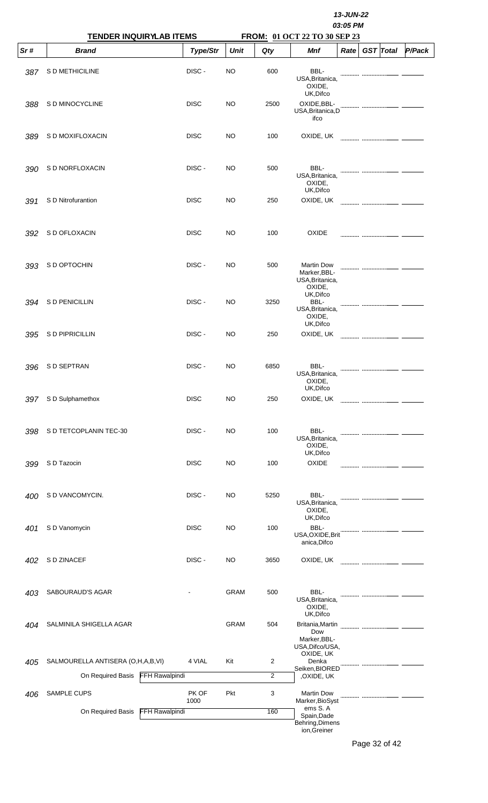|     | <b>TENDER INQUIRYLAB ITEMS</b>             |               |             |      |                                                                |      |  |                  |               |
|-----|--------------------------------------------|---------------|-------------|------|----------------------------------------------------------------|------|--|------------------|---------------|
| Sr# | <b>Brand</b>                               | Type/Str      | <b>Unit</b> | Qty  | FROM: 01 OCT 22 TO 30 SEP 23<br>Mnf                            | Rate |  | <b>GST</b> Total | <b>P/Pack</b> |
| 387 | S D METHICILINE                            | DISC-         | NO          | 600  | BBL-<br>USA, Britanica,<br>OXIDE,<br>UK, Difco                 |      |  |                  |               |
| 388 | S D MINOCYCLINE                            | <b>DISC</b>   | NO          | 2500 | OXIDE, BBL-<br>USA, Britanica, D<br>ifco                       |      |  |                  |               |
| 389 | S D MOXIFLOXACIN                           | <b>DISC</b>   | NO          | 100  | OXIDE, UK                                                      |      |  |                  |               |
| 390 | S D NORFLOXACIN                            | DISC-         | NO          | 500  | BBL-<br>USA, Britanica,<br>OXIDE,<br>UK, Difco                 |      |  |                  |               |
| 391 | S D Nitrofurantion                         | <b>DISC</b>   | NO          | 250  | OXIDE, UK                                                      |      |  |                  |               |
| 392 | S D OFLOXACIN                              | <b>DISC</b>   | NO          | 100  | <b>OXIDE</b>                                                   |      |  |                  |               |
| 393 | S D OPTOCHIN                               | DISC-         | NO          | 500  | <b>Martin Dow</b><br>Marker, BBL-<br>USA, Britanica,<br>OXIDE, |      |  |                  |               |
| 394 | S D PENICILLIN                             | DISC-         | <b>NO</b>   | 3250 | UK, Difco<br>BBL-<br>USA, Britanica,<br>OXIDE,<br>UK, Difco    |      |  |                  |               |
| 395 | S D PIPRICILLIN                            | DISC-         | <b>NO</b>   | 250  | OXIDE, UK                                                      |      |  |                  |               |
|     | 396 SD SEPTRAN                             | DISC-         | <b>NO</b>   | 6850 | BBL-<br>USA, Britanica,<br>OXIDE,<br>UK, Difco                 |      |  |                  |               |
| 397 | S D Sulphamethox                           | <b>DISC</b>   | <b>NO</b>   | 250  | OXIDE, UK                                                      |      |  |                  |               |
| 398 | S D TETCOPLANIN TEC-30                     | DISC-         | <b>NO</b>   | 100  | BBL-<br>USA, Britanica,<br>OXIDE,<br>UK, Difco                 |      |  |                  |               |
| 399 | S D Tazocin                                | <b>DISC</b>   | <b>NO</b>   | 100  | OXIDE                                                          |      |  |                  |               |
| 400 | S D VANCOMYCIN.                            | DISC-         | NO          | 5250 | BBL-<br>USA, Britanica,<br>OXIDE,<br>UK, Difco                 |      |  |                  |               |
| 401 | S D Vanomycin                              | <b>DISC</b>   | <b>NO</b>   | 100  | BBL-<br>USA, OXIDE, Brit<br>anica, Difco                       |      |  |                  |               |
| 402 | S D ZINACEF                                | DISC-         | <b>NO</b>   | 3650 | OXIDE, UK                                                      |      |  |                  |               |
| 403 | SABOURAUD'S AGAR                           |               | <b>GRAM</b> | 500  | BBL-<br>USA, Britanica,<br>OXIDE,<br>UK, Difco                 |      |  |                  |               |
| 404 | SALMINILA SHIGELLA AGAR                    |               | <b>GRAM</b> | 504  | Britania, Martin<br>Dow<br>Marker, BBL-<br>USA, Difco/USA,     |      |  |                  |               |
| 405 | SALMOURELLA ANTISERA (O,H,A,B,VI)          | 4 VIAL        | Kit         | 2    | OXIDE, UK<br>Denka<br>Seiken, BIORED                           |      |  |                  |               |
|     | <b>FFH Rawalpindi</b><br>On Required Basis |               |             | 2    | ,OXIDE, UK                                                     |      |  |                  |               |
| 406 | SAMPLE CUPS                                | PK OF<br>1000 | Pkt         | 3    | <b>Martin Dow</b><br>Marker, BioSyst<br>ems S.A                |      |  |                  |               |
|     | On Required Basis<br><b>FFH Rawalpindi</b> |               |             | 160  | Spain, Dade<br>Behring, Dimens<br>ion, Greiner                 |      |  |                  |               |

Page 32 of 42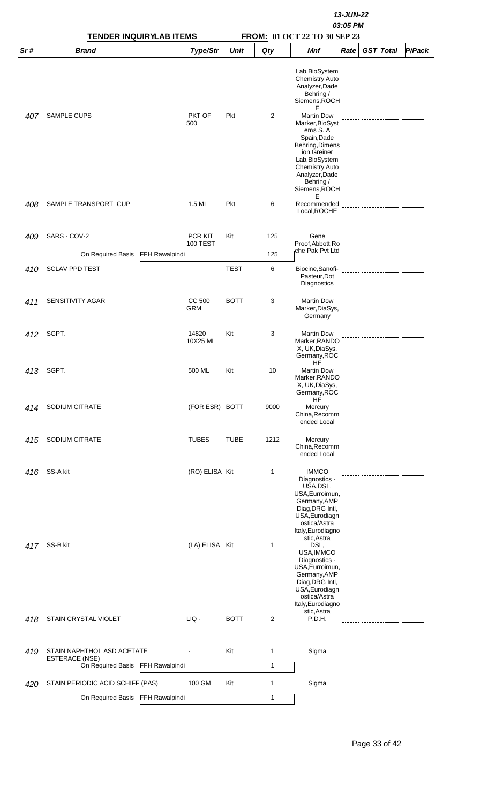|     | <b>TENDER INQUIRYLAB ITEMS</b>                               |                            |             |      | FROM: 01 OCT 22 TO 30 SEP 23                                                                                                                                                                      |      |                  |        |
|-----|--------------------------------------------------------------|----------------------------|-------------|------|---------------------------------------------------------------------------------------------------------------------------------------------------------------------------------------------------|------|------------------|--------|
| Sr# | <b>Brand</b>                                                 | Type/Str                   | <b>Unit</b> | Qty  | <b>Mnf</b>                                                                                                                                                                                        | Rate | <b>GST</b> Total | P/Pack |
|     |                                                              |                            |             |      | Lab, BioSystem<br><b>Chemistry Auto</b><br>Analyzer, Dade<br>Behring /<br>Siemens, ROCH<br>Е                                                                                                      |      |                  |        |
| 407 | SAMPLE CUPS                                                  | PKT OF<br>500              | Pkt         | 2    | <b>Martin Dow</b><br>Marker, BioSyst<br>ems S.A<br>Spain, Dade<br>Behring, Dimens<br>ion, Greiner<br>Lab, BioSystem<br><b>Chemistry Auto</b><br>Analyzer, Dade<br>Behring /<br>Siemens, ROCH<br>Е |      |                  |        |
| 408 | SAMPLE TRANSPORT CUP                                         | 1.5 ML                     | Pkt         | 6    | Recommended<br>Local, ROCHE                                                                                                                                                                       |      |                  |        |
| 409 | SARS - COV-2                                                 | PCR KIT<br><b>100 TEST</b> | Kit         | 125  | Gene<br>Proof, Abbott, Ro<br>che Pak Pvt Ltd                                                                                                                                                      |      |                  |        |
|     | <b>FFH Rawalpindi</b><br>On Required Basis                   |                            |             | 125  |                                                                                                                                                                                                   |      |                  |        |
| 410 | <b>SCLAV PPD TEST</b>                                        |                            | <b>TEST</b> | 6    | Biocine, Sanofi-<br>Pasteur, Dot<br>Diagnostics                                                                                                                                                   |      |                  |        |
| 411 | SENSITIVITY AGAR                                             | CC 500<br><b>GRM</b>       | <b>BOTT</b> | 3    | <b>Martin Dow</b><br>Marker, DiaSys,<br>Germany                                                                                                                                                   |      |                  |        |
| 412 | SGPT.                                                        | 14820<br>10X25 ML          | Kit         | 3    | <b>Martin Dow</b><br>Marker, RANDO<br>X, UK, DiaSys,<br>Germany, ROC<br>HE                                                                                                                        |      |                  |        |
|     | 413 SGPT.                                                    | 500 ML                     | Kit         | 10   | <b>Martin Dow</b><br>Marker, RANDO<br>X, UK, DiaSys,<br>Germany, ROC<br>HE                                                                                                                        |      |                  |        |
| 414 | SODIUM CITRATE                                               | (FOR ESR) BOTT             |             | 9000 | Mercury<br>China, Recomm<br>ended Local                                                                                                                                                           |      |                  |        |
| 415 | SODIUM CITRATE                                               | <b>TUBES</b>               | <b>TUBE</b> | 1212 | Mercury<br>China, Recomm<br>ended Local                                                                                                                                                           |      |                  |        |
| 416 | SS-A kit                                                     | (RO) ELISA Kit             |             | 1    | <b>IMMCO</b><br>Diagnostics -<br>USA, DSL,<br>USA, Eurroimun,<br>Germany, AMP<br>Diag, DRG Intl,<br>USA, Eurodiagn<br>ostica/Astra<br>Italy, Eurodiagno<br>stic, Astra                            |      |                  |        |
| 417 | SS-B kit                                                     | (LA) ELISA Kit             |             | 1    | DSL,<br>USA, IMMCO<br>Diagnostics -<br>USA, Eurroimun,<br>Germany, AMP<br>Diag, DRG Intl,<br>USA, Eurodiagn<br>ostica/Astra<br>Italy, Eurodiagno<br>stic, Astra                                   |      |                  |        |
| 418 | STAIN CRYSTAL VIOLET                                         | LIQ -                      | <b>BOTT</b> | 2    | P.D.H.                                                                                                                                                                                            |      |                  |        |
| 419 | STAIN NAPHTHOL ASD ACETATE                                   |                            | Kit         | 1    | Sigma                                                                                                                                                                                             |      |                  |        |
|     | <b>ESTERACE (NSE)</b><br>On Required Basis<br>FFH Rawalpindi |                            |             | 1    |                                                                                                                                                                                                   |      |                  |        |
| 420 | STAIN PERIODIC ACID SCHIFF (PAS)                             | 100 GM                     | Kit         | 1    | Sigma                                                                                                                                                                                             |      |                  |        |
|     | On Required Basis FFH Rawalpindi                             |                            |             | 1    |                                                                                                                                                                                                   |      |                  |        |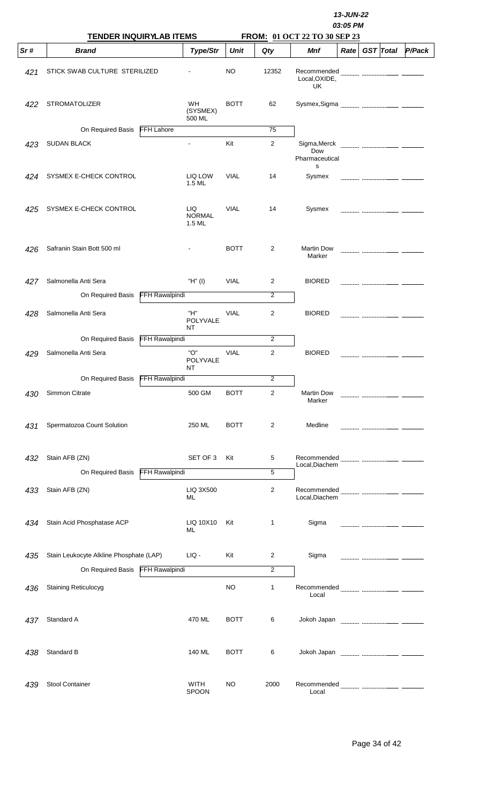|     | <b>TENDER INQUIRYLAB ITEMS</b>          |                       |                                 |             |                | 13-JUN-22<br>03:05 PM<br>FROM: 01 OCT 22 TO 30 SEP 23 |                   |  |                  |               |  |  |
|-----|-----------------------------------------|-----------------------|---------------------------------|-------------|----------------|-------------------------------------------------------|-------------------|--|------------------|---------------|--|--|
| Sr# | <b>Brand</b>                            |                       | Type/Str                        | <b>Unit</b> | Qty            | Mnf                                                   | Rate <sub>1</sub> |  | <b>GST</b> Total | <b>P/Pack</b> |  |  |
| 421 | STICK SWAB CULTURE STERILIZED           |                       |                                 | NO          | 12352          | Local, OXIDE,<br>UK                                   |                   |  |                  |               |  |  |
| 422 | <b>STROMATOLIZER</b>                    |                       | WH<br>(SYSMEX)<br>500 ML        | <b>BOTT</b> | 62             |                                                       |                   |  |                  |               |  |  |
|     | On Required Basis                       | <b>FFH Lahore</b>     |                                 |             | 75             |                                                       |                   |  |                  |               |  |  |
| 423 | <b>SUDAN BLACK</b>                      |                       | $\blacksquare$                  | Kit         | $\overline{2}$ | Sigma, Merck<br>Dow<br>Pharmaceutical<br>S            |                   |  |                  |               |  |  |
| 424 | SYSMEX E-CHECK CONTROL                  |                       | LIQ LOW<br>1.5 ML               | <b>VIAL</b> | 14             | Sysmex                                                |                   |  |                  |               |  |  |
| 425 | SYSMEX E-CHECK CONTROL                  |                       | LIQ.<br><b>NORMAL</b><br>1.5 ML | <b>VIAL</b> | 14             | Sysmex                                                |                   |  |                  |               |  |  |
| 426 | Safranin Stain Bott 500 ml              |                       |                                 | <b>BOTT</b> | 2              | <b>Martin Dow</b><br>Marker                           |                   |  |                  |               |  |  |
| 427 | Salmonella Anti Sera                    |                       | "H" (I)                         | <b>VIAL</b> | 2              | <b>BIORED</b>                                         |                   |  |                  |               |  |  |
|     | On Required Basis                       | FFH Rawalpindi        |                                 |             | $\overline{2}$ |                                                       |                   |  |                  |               |  |  |
| 428 | Salmonella Anti Sera                    |                       | "H"<br>POLYVALE<br>NT           | <b>VIAL</b> | 2              | <b>BIORED</b>                                         |                   |  |                  |               |  |  |
|     | On Required Basis                       | FFH Rawalpindi        |                                 |             | 2              |                                                       |                   |  |                  |               |  |  |
| 429 | Salmonella Anti Sera                    |                       | "О"<br>POLYVALE<br>NT.          | VIAL        | $\overline{2}$ | <b>BIORED</b>                                         |                   |  |                  |               |  |  |
|     | On Required Basis FFH Rawalpindi        |                       |                                 |             | 2              |                                                       |                   |  |                  |               |  |  |
| 430 | Simmon Citrate                          |                       | 500 GM                          | <b>BOTT</b> | $\overline{c}$ | <b>Martin Dow</b><br>Marker                           |                   |  |                  |               |  |  |
| 431 | Spermatozoa Count Solution              |                       | 250 ML                          | <b>BOTT</b> | 2              | Medline                                               |                   |  |                  |               |  |  |
| 432 | Stain AFB (ZN)                          |                       | SET OF 3                        | Kit         | 5              | Recommended                                           |                   |  |                  |               |  |  |
|     | On Required Basis                       | FFH Rawalpindi        |                                 |             | 5              | Local, Diachem                                        |                   |  |                  |               |  |  |
| 433 | Stain AFB (ZN)                          |                       | LIQ 3X500<br>ML                 |             | 2              | Local, Diachem                                        |                   |  |                  |               |  |  |
|     |                                         |                       |                                 |             |                |                                                       |                   |  |                  |               |  |  |
| 434 | Stain Acid Phosphatase ACP              |                       | LIQ 10X10<br>ML                 | Kit         | 1              | Sigma                                                 |                   |  |                  |               |  |  |
| 435 | Stain Leukocyte Alkline Phosphate (LAP) |                       | LIQ -                           | Kit         | 2              | Sigma                                                 |                   |  |                  |               |  |  |
|     | On Required Basis                       | <b>FFH Rawalpindi</b> |                                 |             | 2              |                                                       |                   |  |                  |               |  |  |
| 436 | <b>Staining Reticulocyg</b>             |                       |                                 | <b>NO</b>   | 1              | Local                                                 |                   |  |                  |               |  |  |
| 437 | Standard A                              |                       | 470 ML                          | <b>BOTT</b> | 6              |                                                       |                   |  |                  |               |  |  |
| 438 | Standard B                              |                       | 140 ML                          | <b>BOTT</b> | 6              |                                                       |                   |  |                  |               |  |  |
| 439 | Stool Container                         |                       | <b>WITH</b><br>SPOON            | <b>NO</b>   | 2000           | Local                                                 |                   |  |                  |               |  |  |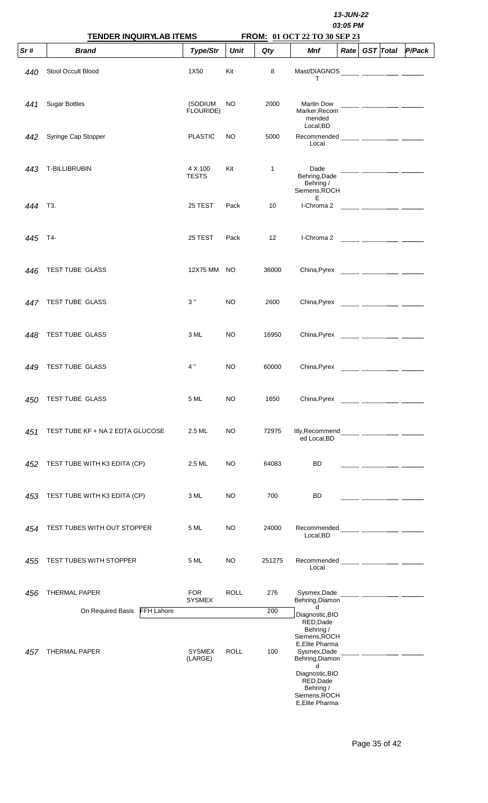|     |                                                                | 13-JUN-22<br>03:05 PM       |             |            |                                                                                                                                                            |      |  |                  |        |  |
|-----|----------------------------------------------------------------|-----------------------------|-------------|------------|------------------------------------------------------------------------------------------------------------------------------------------------------------|------|--|------------------|--------|--|
| Sr# | <b>TENDER INQUIRYLAB ITEMS</b><br><b>Brand</b>                 | Type/Str                    | <b>Unit</b> | Qty        | FROM: 01 OCT 22 TO 30 SEP 23<br>Mnf                                                                                                                        | Rate |  | <b>GST</b> Total | P/Pack |  |
| 440 | Stool Occult Blood                                             | 1X50                        | Kit         | 8          | т                                                                                                                                                          |      |  |                  |        |  |
| 441 | <b>Sugar Bottles</b>                                           | (SODIUM<br>FLOURIDE)        | NO          | 2000       | <b>Martin Dow</b><br>Marker, Recom<br>mended<br>Local, BD                                                                                                  |      |  |                  |        |  |
| 442 | Syringe Cap Stopper                                            | <b>PLASTIC</b>              | NO          | 5000       | Recommended<br>Local                                                                                                                                       |      |  |                  |        |  |
| 443 | T-BILLIBRUBIN                                                  | 4 X 100<br><b>TESTS</b>     | Kit         | 1          | Dade<br>Behring, Dade<br>Behring /<br>Siemens, ROCH<br>Е                                                                                                   |      |  |                  |        |  |
| 444 | T3.                                                            | 25 TEST                     | Pack        | 10         | I-Chroma 2                                                                                                                                                 |      |  |                  |        |  |
| 445 | T4-                                                            | 25 TEST                     | Pack        | 12         | I-Chroma 2                                                                                                                                                 |      |  |                  |        |  |
| 446 | TEST TUBE GLASS                                                | 12X75 MM                    | NO.         | 36000      | China, Pyrex                                                                                                                                               |      |  |                  |        |  |
| 447 | TEST TUBE GLASS                                                | 3"                          | NO          | 2600       | China, Pyrex                                                                                                                                               |      |  |                  |        |  |
| 448 | TEST TUBE GLASS                                                | 3 ML                        | NO          | 16950      | China, Pyrex                                                                                                                                               |      |  |                  |        |  |
| 449 | TEST TUBE GLASS                                                | 4"                          | NO          | 60000      | China, Pyrex                                                                                                                                               |      |  |                  |        |  |
| 450 | TEST TUBE GLASS                                                | 5 ML                        | NO          | 1650       | China, Pyrex                                                                                                                                               |      |  |                  |        |  |
| 451 | TEST TUBE KF + NA 2 EDTA GLUCOSE                               | 2.5 ML                      | NO          | 72975      | ed Local, BD                                                                                                                                               |      |  |                  |        |  |
| 452 | TEST TUBE WITH K3 EDITA (CP)                                   | 2.5 ML                      | NO          | 64083      | BD                                                                                                                                                         |      |  |                  |        |  |
| 453 | TEST TUBE WITH K3 EDITA (CP)                                   | 3 ML                        | NO          | 700        | BD                                                                                                                                                         |      |  |                  |        |  |
| 454 | TEST TUBES WITH OUT STOPPER                                    | 5 ML                        | NO          | 24000      | Recommended<br>Local, BD                                                                                                                                   |      |  |                  |        |  |
| 455 | TEST TUBES WITH STOPPER                                        | 5 ML                        | NO          | 251275     | Recommended<br>Local                                                                                                                                       |      |  |                  |        |  |
| 456 | THERMAL PAPER                                                  | <b>FOR</b><br><b>SYSMEX</b> | <b>ROLL</b> | 276        | Sysmex, Dade<br>Behring, Diamon                                                                                                                            |      |  |                  |        |  |
| 457 | On Required Basis<br><b>FFH Lahore</b><br><b>THERMAL PAPER</b> | <b>SYSMEX</b><br>(LARGE)    | <b>ROLL</b> | 200<br>100 | d<br>Diagnostic, BIO<br>RED, Dade<br>Behring /<br>Siemens, ROCH<br>E, Elite Pharma<br>Sysmex, Dade<br>Behring, Diamon<br>d<br>Diagnostic, BIO<br>RED, Dade |      |  |                  |        |  |
|     |                                                                |                             |             |            | Behring /<br>Siemens, ROCH<br>E, Elite Pharma                                                                                                              |      |  |                  |        |  |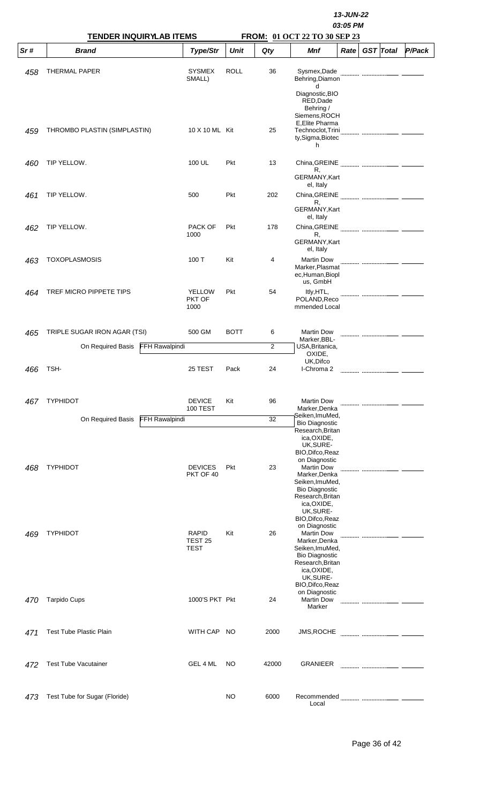|     | <b>TENDER INQUIRYLAB ITEMS</b>   |                       |                                                   |             | 13-JUN-22<br>03:05 PM |                                                                                                                                         |                  |        |
|-----|----------------------------------|-----------------------|---------------------------------------------------|-------------|-----------------------|-----------------------------------------------------------------------------------------------------------------------------------------|------------------|--------|
| Sr# | <b>Brand</b>                     |                       | Type/Str                                          | <b>Unit</b> | Qty                   | FROM: 01 OCT 22 TO 30 SEP 23<br><b>Mnf</b><br>Rate                                                                                      | <b>GST</b> Total | P/Pack |
| 458 | <b>THERMAL PAPER</b>             |                       | <b>SYSMEX</b><br>SMALL)                           | <b>ROLL</b> | 36                    | Sysmex, Dade<br>Behring, Diamon<br>d<br>Diagnostic, BIO                                                                                 |                  |        |
| 459 | THROMBO PLASTIN (SIMPLASTIN)     |                       | 10 X 10 ML Kit                                    |             | 25                    | RED, Dade<br>Behring /<br>Siemens.ROCH<br>E, Elite Pharma<br>Technoclot, Trini<br>ty, Sigma, Biotec                                     |                  |        |
| 460 | TIP YELLOW.                      |                       | 100 UL                                            | <b>Pkt</b>  | 13                    | h                                                                                                                                       |                  |        |
|     |                                  |                       |                                                   |             |                       | R,<br>GERMANY, Kart<br>el, Italy                                                                                                        |                  |        |
| 461 | TIP YELLOW.                      |                       | 500                                               | Pkt         | 202                   | R,<br>GERMANY, Kart                                                                                                                     |                  |        |
| 462 | TIP YELLOW.                      |                       | <b>PACK OF</b><br>1000                            | <b>Pkt</b>  | 178                   | el, Italy<br>R,<br>GERMANY, Kart                                                                                                        |                  |        |
| 463 | <b>TOXOPLASMOSIS</b>             |                       | 100 T                                             | Kit         | 4                     | el, Italy<br><b>Martin Dow</b><br>Marker, Plasmat<br>ec,Human,Biopl                                                                     |                  |        |
| 464 | TREF MICRO PIPPETE TIPS          |                       | <b>YELLOW</b><br><b>PKT OF</b><br>1000            | Pkt         | 54                    | us, GmbH<br>Itly, HTL,<br>POLAND, Reco<br>mmended Local                                                                                 |                  |        |
| 465 | TRIPLE SUGAR IRON AGAR (TSI)     |                       | 500 GM                                            | <b>BOTT</b> | 6                     | <b>Martin Dow</b><br>Marker, BBL-                                                                                                       |                  |        |
|     | On Required Basis FFH Rawalpindi |                       |                                                   |             | $\overline{2}$        | USA, Britanica,<br>OXIDE,                                                                                                               |                  |        |
| 466 | TSH-                             |                       | 25 TEST                                           | Pack        | 24                    | UK, Difco<br>I-Chroma 2                                                                                                                 |                  |        |
| 467 | <b>TYPHIDOT</b>                  |                       | <b>DEVICE</b><br><b>100 TEST</b>                  | Kit         | 96                    | <b>Martin Dow</b><br>Marker, Denka                                                                                                      |                  |        |
|     | On Required Basis                | <b>FFH Rawalpindi</b> |                                                   |             | 32                    | Seiken,ImuMed,<br><b>Bio Diagnostic</b>                                                                                                 |                  |        |
|     |                                  |                       |                                                   |             |                       | Research, Britan<br>ica, OXIDE,<br>UK, SURE-<br>BIO, Difco, Reaz<br>on Diagnostic                                                       |                  |        |
| 468 | <b>TYPHIDOT</b>                  |                       | <b>DEVICES</b><br>PKT OF 40                       | Pkt         | 23                    | <b>Martin Dow</b><br>Marker, Denka<br>Seiken, ImuMed,<br><b>Bio Diagnostic</b><br>Research, Britan<br>ica, OXIDE,<br>UK, SURE-          |                  |        |
| 469 | <b>TYPHIDOT</b>                  |                       | <b>RAPID</b><br>TEST <sub>25</sub><br><b>TEST</b> | Kit         | 26                    | BIO, Difco, Reaz<br>on Diagnostic<br><b>Martin Dow</b><br>Marker, Denka<br>Seiken, ImuMed,<br><b>Bio Diagnostic</b><br>Research, Britan |                  |        |
| 470 | <b>Tarpido Cups</b>              |                       | 1000'S PKT Pkt                                    |             | 24                    | ica, OXIDE,<br>UK, SURE-<br>BIO, Difco, Reaz<br>on Diagnostic<br><b>Martin Dow</b><br>Marker                                            |                  |        |
| 471 | <b>Test Tube Plastic Plain</b>   |                       | WITH CAP NO                                       |             | 2000                  | <b>JMS,ROCHE</b>                                                                                                                        |                  |        |
| 472 | <b>Test Tube Vacutainer</b>      |                       | GEL 4 ML                                          | NO          | 42000                 | <b>GRANIEER</b>                                                                                                                         |                  |        |
| 473 | Test Tube for Sugar (Floride)    |                       |                                                   | NO          | 6000                  | Recommended<br>Local                                                                                                                    |                  |        |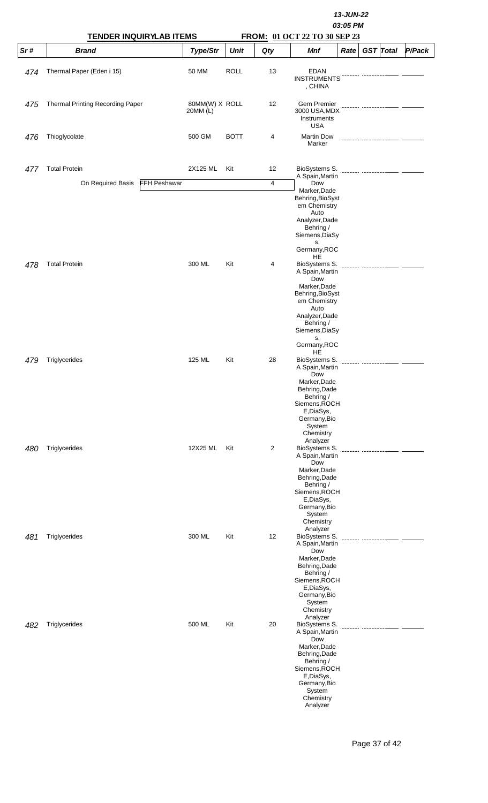|     | <b>TENDER INQUIRYLAB ITEMS</b>           |                            | 13-JUN-22<br>03:05 PM<br>FROM: 01 OCT 22 TO 30 SEP 23 |     |                                                                                                                                                                                    |      |  |                  |        |  |  |  |
|-----|------------------------------------------|----------------------------|-------------------------------------------------------|-----|------------------------------------------------------------------------------------------------------------------------------------------------------------------------------------|------|--|------------------|--------|--|--|--|
| Sr# | <b>Brand</b>                             | Type/Str                   | <b>Unit</b>                                           | Qty | Mnf                                                                                                                                                                                | Rate |  | <b>GST</b> Total | P/Pack |  |  |  |
| 474 | Thermal Paper (Eden i 15)                | 50 MM                      | <b>ROLL</b>                                           | 13  | <b>EDAN</b><br><b>INSTRUMENTS</b><br>, CHINA                                                                                                                                       |      |  |                  |        |  |  |  |
| 475 | Thermal Printing Recording Paper         | 80MM(W) X ROLL<br>20MM (L) |                                                       | 12  | Gem Premier<br>3000 USA, MDX<br>Instruments                                                                                                                                        |      |  |                  |        |  |  |  |
| 476 | Thioglycolate                            | 500 GM                     | <b>BOTT</b>                                           | 4   | USA<br><b>Martin Dow</b><br>Marker                                                                                                                                                 |      |  |                  |        |  |  |  |
| 477 | <b>Total Protein</b>                     | 2X125 ML                   | Kit                                                   | 12  | BioSystems S.<br>A Spain, Martin                                                                                                                                                   |      |  |                  |        |  |  |  |
|     | <b>FFH Peshawar</b><br>On Required Basis |                            |                                                       | 4   | Dow                                                                                                                                                                                |      |  |                  |        |  |  |  |
|     |                                          |                            |                                                       |     | Marker, Dade<br>Behring, BioSyst<br>em Chemistry<br>Auto<br>Analyzer, Dade<br>Behring /<br>Siemens, DiaSy<br>s,<br>Germany, ROC<br>HE                                              |      |  |                  |        |  |  |  |
| 478 | <b>Total Protein</b>                     | 300 ML                     | Kit                                                   | 4   | BioSystems S.<br>A Spain, Martin<br>Dow<br>Marker, Dade<br>Behring, BioSyst<br>em Chemistry<br>Auto<br>Analyzer, Dade<br>Behring /<br>Siemens, DiaSy<br>s,<br>Germany, ROC         |      |  |                  |        |  |  |  |
| 479 | Triglycerides                            | 125 ML                     | Kit                                                   | 28  | HE<br>BioSystems S.<br>A Spain, Martin<br>Dow<br>Marker, Dade<br>Behring, Dade<br>Behring /<br>Siemens, ROCH<br>E,DiaSys,<br>Germany, Bio<br>System<br>Chemistry                   |      |  |                  |        |  |  |  |
| 480 | Triglycerides                            | 12X25 ML                   | Kit                                                   | 2   | Analyzer<br>BioSystems S.<br>A Spain, Martin<br>Dow<br>Marker, Dade<br>Behring, Dade<br>Behring /<br>Siemens, ROCH<br>E,DiaSys,<br>Germany, Bio<br>System<br>Chemistry             |      |  |                  |        |  |  |  |
| 481 | Triglycerides                            | 300 ML                     | Kit                                                   | 12  | Analyzer<br>BioSystems S.<br>A Spain, Martin<br>Dow<br>Marker, Dade<br>Behring, Dade<br>Behring /<br>Siemens, ROCH<br>E,DiaSys,<br>Germany, Bio<br>System<br>Chemistry<br>Analyzer |      |  |                  |        |  |  |  |
| 482 | Triglycerides                            | 500 ML                     | Kit                                                   | 20  | BioSystems S.<br>A Spain, Martin<br>Dow<br>Marker, Dade<br>Behring, Dade<br>Behring /<br>Siemens, ROCH<br>E,DiaSys,<br>Germany, Bio<br>System<br>Chemistry<br>Analyzer             |      |  |                  |        |  |  |  |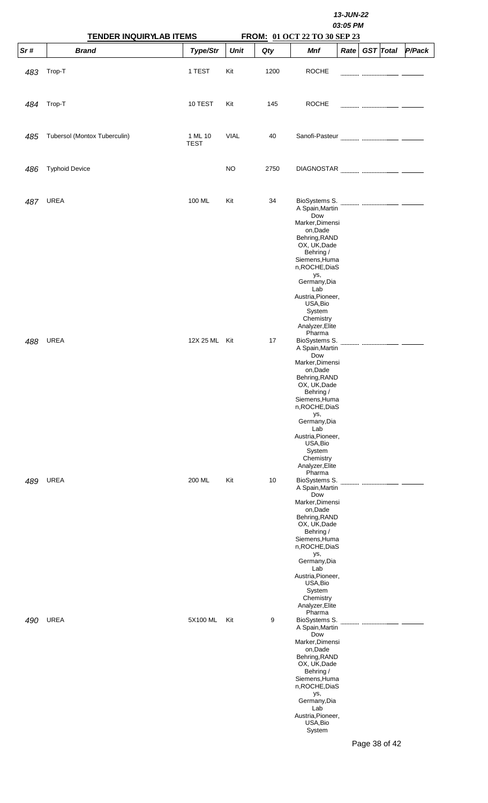|     | <b>TENDER INQUIRYLAB ITEMS</b> |                        |             |      |                                                                                                                                                                                                                                                                            |                |        |
|-----|--------------------------------|------------------------|-------------|------|----------------------------------------------------------------------------------------------------------------------------------------------------------------------------------------------------------------------------------------------------------------------------|----------------|--------|
| Sr# | <b>Brand</b>                   | Type/Str               | <b>Unit</b> | Qty  | FROM: 01 OCT 22 TO 30 SEP 23<br><b>Mnf</b>                                                                                                                                                                                                                                 | Rate GST Total | P/Pack |
| 483 | Trop-T                         | 1 TEST                 | Kit         | 1200 | <b>ROCHE</b>                                                                                                                                                                                                                                                               |                |        |
| 484 | Trop-T                         | 10 TEST                | Kit         | 145  | <b>ROCHE</b>                                                                                                                                                                                                                                                               |                |        |
| 485 | Tubersol (Montox Tuberculin)   | 1 ML 10<br><b>TEST</b> | <b>VIAL</b> | 40   |                                                                                                                                                                                                                                                                            |                |        |
| 486 | <b>Typhoid Device</b>          |                        | NO.         | 2750 |                                                                                                                                                                                                                                                                            |                |        |
| 487 | <b>UREA</b>                    | 100 ML                 | Kit         | 34   | BioSystems S.<br>A Spain, Martin<br>Dow<br>Marker, Dimensi<br>on, Dade<br>Behring, RAND<br>OX, UK, Dade<br>Behring /<br>Siemens, Huma<br>n, ROCHE, DiaS<br>ys,<br>Germany, Dia<br>Lab<br>Austria, Pioneer,<br>USA, Bio<br>System<br>Chemistry<br>Analyzer, Elite           |                |        |
| 488 | <b>UREA</b>                    | 12X 25 ML Kit          |             | 17   | Pharma<br>BioSystems S.<br>A Spain, Martin<br>Dow<br>Marker, Dimensi<br>on, Dade<br>Behring, RAND<br>OX, UK, Dade<br>Behring /<br>Siemens, Huma<br>n, ROCHE, DiaS<br>ys,<br>Germany, Dia<br>Lab<br>Austria, Pioneer,<br>USA, Bio<br>System<br>Chemistry<br>Analyzer, Elite |                |        |
| 489 | <b>UREA</b>                    | 200 ML                 | Kit         | 10   | Pharma<br>BioSystems S.<br>A Spain, Martin<br>Dow<br>Marker, Dimensi<br>on,Dade<br>Behring, RAND<br>OX, UK, Dade<br>Behring /<br>Siemens, Huma<br>n, ROCHE, DiaS<br>ys,<br>Germany, Dia<br>Lab<br>Austria, Pioneer,<br>USA, Bio<br>System<br>Chemistry<br>Analyzer, Elite  |                |        |
| 490 | <b>UREA</b>                    | 5X100 ML               | Kit         | 9    | Pharma<br>BioSystems S.<br>A Spain, Martin<br>Dow<br>Marker, Dimensi<br>on,Dade<br>Behring, RAND<br>OX, UK, Dade<br>Behring /<br>Siemens, Huma<br>n, ROCHE, DiaS<br>ys,<br>Germany, Dia<br>Lab<br>Austria, Pioneer,<br>USA, Bio<br>System                                  | Page 38 of 42  |        |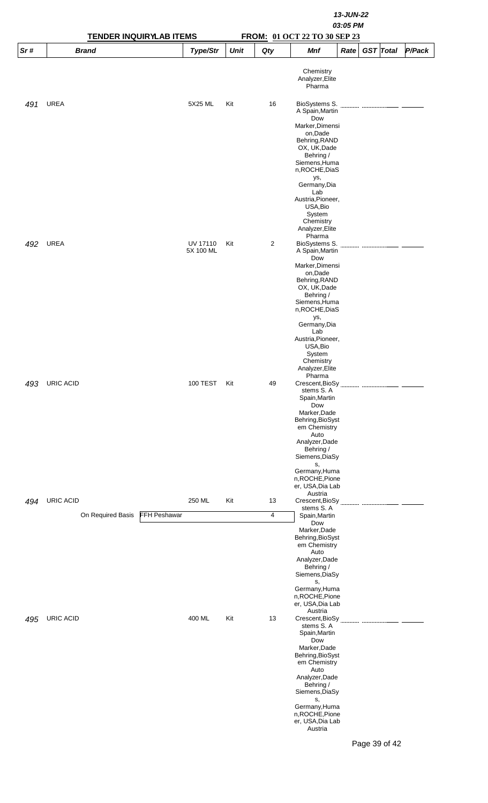|     |                                |                     |                       |             |                                                       | 13-JUN-22<br>03:05 PM                                                                                       |      |  |                  |        |
|-----|--------------------------------|---------------------|-----------------------|-------------|-------------------------------------------------------|-------------------------------------------------------------------------------------------------------------|------|--|------------------|--------|
|     |                                |                     |                       |             |                                                       |                                                                                                             |      |  |                  |        |
|     | <b>TENDER INQUIRYLAB ITEMS</b> |                     |                       |             |                                                       | FROM: 01 OCT 22 TO 30 SEP 23                                                                                |      |  |                  |        |
| Sr# | <b>Brand</b>                   |                     | Type/Str              | <b>Unit</b> | Qty                                                   | <b>Mnf</b>                                                                                                  | Rate |  | <b>GST</b> Total | P/Pack |
|     |                                |                     |                       |             |                                                       | Chemistry<br>Analyzer, Elite<br>Pharma                                                                      |      |  |                  |        |
| 491 | <b>UREA</b>                    |                     | 5X25 ML               | Kit         | 16                                                    | BioSystems S.<br>A Spain, Martin<br>Dow                                                                     |      |  |                  |        |
|     |                                |                     |                       |             |                                                       | Marker, Dimensi<br>on,Dade<br>Behring, RAND<br>OX, UK, Dade<br>Behring /<br>Siemens, Huma<br>n, ROCHE, DiaS |      |  |                  |        |
|     |                                |                     |                       |             |                                                       | ys,<br>Germany, Dia<br>Lab<br>Austria, Pioneer,                                                             |      |  |                  |        |
|     |                                |                     |                       |             |                                                       | USA, Bio<br>System<br>Chemistry<br>Analyzer, Elite<br>Pharma                                                |      |  |                  |        |
| 492 | <b>UREA</b>                    |                     | UV 17110<br>5X 100 ML | Kit         | $\overline{2}$                                        | BioSystems S.<br>A Spain, Martin<br>Dow<br>Marker, Dimensi                                                  |      |  |                  |        |
|     |                                |                     |                       |             |                                                       | on, Dade<br>Behring, RAND<br>OX, UK, Dade<br>Behring /                                                      |      |  |                  |        |
|     |                                |                     |                       |             |                                                       | Siemens, Huma<br>n, ROCHE, DiaS<br>ys,<br>Germany, Dia                                                      |      |  |                  |        |
|     |                                |                     |                       |             |                                                       | Lab<br>Austria, Pioneer,<br>USA, Bio<br>System                                                              |      |  |                  |        |
| 493 | <b>URIC ACID</b>               |                     | 100 TEST              | Kit         | 49                                                    | Chemistry<br>Analyzer, Elite<br>Pharma                                                                      |      |  |                  |        |
|     |                                |                     |                       |             |                                                       | stems S. A<br>Spain, Martin<br>Dow<br>Marker, Dade                                                          |      |  |                  |        |
|     |                                |                     |                       |             |                                                       | Behring, BioSyst<br>em Chemistry<br>Auto<br>Analyzer, Dade                                                  |      |  |                  |        |
|     |                                |                     |                       |             |                                                       | Behring /<br>Siemens, DiaSy<br>s,<br>Germany, Huma                                                          |      |  |                  |        |
| 494 | URIC ACID                      |                     | 250 ML                | Kit         | 13                                                    | n, ROCHE, Pione<br>er, USA, Dia Lab<br>Austria<br>Crescent, BioSy                                           |      |  |                  |        |
|     | On Required Basis              | <b>FFH Peshawar</b> |                       |             | 4                                                     | stems S. A<br>Spain, Martin                                                                                 |      |  |                  |        |
|     |                                |                     |                       |             |                                                       | Dow<br>Marker, Dade<br>Behring, BioSyst<br>em Chemistry                                                     |      |  |                  |        |
|     |                                |                     |                       |             |                                                       | Auto<br>Analyzer, Dade<br>Behring /<br>Siemens, DiaSy                                                       |      |  |                  |        |
|     |                                |                     |                       |             |                                                       | s,<br>Germany, Huma<br>n, ROCHE, Pione<br>er, USA, Dia Lab<br>Austria                                       |      |  |                  |        |
| 495 | <b>URIC ACID</b>               | 400 ML              | Kit                   | 13          | Crescent, BioSy<br>stems S. A<br>Spain, Martin<br>Dow |                                                                                                             |      |  |                  |        |
|     |                                |                     |                       |             |                                                       | Marker, Dade<br>Behring, BioSyst<br>em Chemistry<br>Auto<br>Analyzer, Dade                                  |      |  |                  |        |
|     |                                |                     |                       |             |                                                       | Behring /<br>Siemens, DiaSy<br>s,<br>Germany, Huma                                                          |      |  |                  |        |
|     |                                |                     |                       |             |                                                       | n, ROCHE, Pione<br>er, USA, Dia Lab<br>Austria                                                              |      |  |                  |        |
|     |                                |                     |                       |             |                                                       |                                                                                                             |      |  | Page 39 of 42    |        |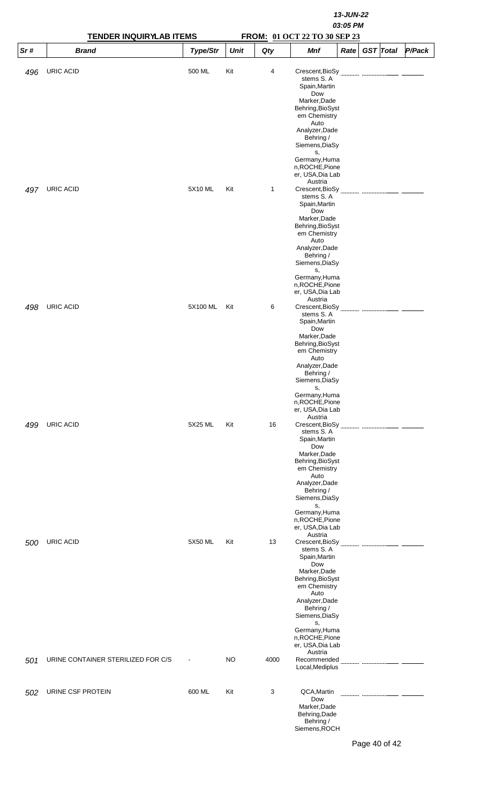|     | <b>TENDER INQUIRYLAB ITEMS</b>     |                |             |              |                                                                                                                                                                                                                                                        |      |  |                  |        |
|-----|------------------------------------|----------------|-------------|--------------|--------------------------------------------------------------------------------------------------------------------------------------------------------------------------------------------------------------------------------------------------------|------|--|------------------|--------|
| Sr# | <b>Brand</b>                       | Type/Str       | <b>Unit</b> | Qty          | FROM: 01 OCT 22 TO 30 SEP 23<br><b>Mnf</b>                                                                                                                                                                                                             | Rate |  | <b>GST</b> Total | P/Pack |
| 496 | URIC ACID                          | 500 ML         | Kit         | 4            | Crescent, BioSy<br>stems S.A<br>Spain, Martin<br>Dow<br>Marker, Dade<br>Behring, BioSyst<br>em Chemistry<br>Auto<br>Analyzer, Dade<br>Behring /<br>Siemens, DiaSy<br>s,<br>Germany, Huma<br>n, ROCHE, Pione<br>er, USA, Dia Lab                        |      |  |                  |        |
| 497 | URIC ACID                          | 5X10 ML        | Kit         | $\mathbf{1}$ | Austria<br>Crescent, BioSy<br>stems S. A<br>Spain, Martin<br>Dow<br>Marker, Dade<br>Behring, BioSyst<br>em Chemistry<br>Auto<br>Analyzer, Dade<br>Behring /<br>Siemens, DiaSy<br>s,<br>Germany, Huma<br>n, ROCHE, Pione<br>er, USA, Dia Lab<br>Austria |      |  |                  |        |
| 498 | URIC ACID                          | 5X100 ML       | Kit         | 6            | Crescent, BioSy<br>stems S.A<br>Spain, Martin<br>Dow<br>Marker, Dade<br>Behring, BioSyst<br>em Chemistry<br>Auto<br>Analyzer, Dade<br>Behring /<br>Siemens, DiaSy<br>s,<br>Germany, Huma<br>n, ROCHE, Pione<br>er, USA, Dia Lab<br>Austria             |      |  |                  |        |
| 499 | URIC ACID                          | 5X25 ML        | Kit         | 16           | stems S.A<br>Spain, Martin<br>Dow<br>Marker, Dade<br>Behring, BioSyst<br>em Chemistry<br>Auto<br>Analyzer, Dade<br>Behring /<br>Siemens, DiaSy<br>s,<br>Germany, Huma<br>n, ROCHE, Pione<br>er, USA, Dia Lab<br>Austria                                |      |  |                  |        |
| 500 | URIC ACID                          | 5X50 ML        | Kit         | 13           | stems S.A<br>Spain, Martin<br>Dow<br>Marker, Dade<br>Behring, BioSyst<br>em Chemistry<br>Auto<br>Analyzer, Dade<br>Behring /<br>Siemens, DiaSy<br>s,<br>Germany, Huma<br>n, ROCHE, Pione<br>er, USA, Dia Lab<br>Austria                                |      |  |                  |        |
| 501 | URINE CONTAINER STERILIZED FOR C/S | $\blacksquare$ | NO          | 4000         | Recommended<br>Local, Mediplus                                                                                                                                                                                                                         |      |  |                  |        |
| 502 | URINE CSF PROTEIN                  | 600 ML         | Kit         | 3            | QCA, Martin<br>Dow<br>Marker, Dade<br>Behring, Dade<br>Behring /<br>Siemens, ROCH                                                                                                                                                                      |      |  |                  |        |

Page 40 of 42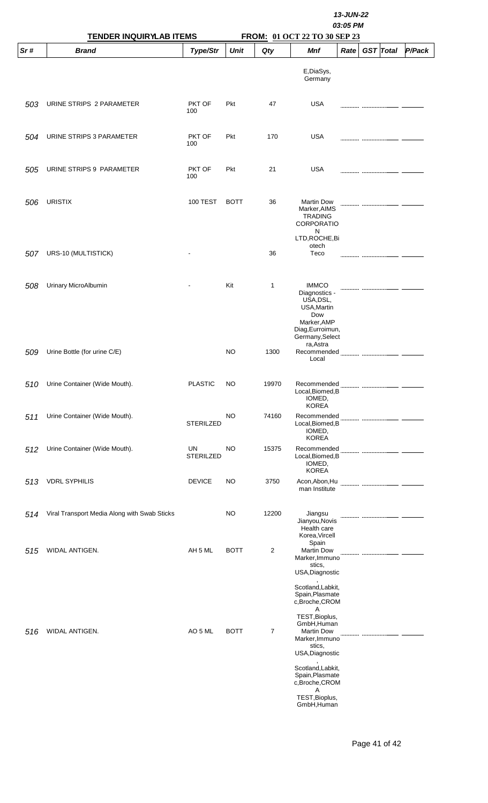|     | <b>TENDER INQUIRYLAB ITEMS</b>               |                        | 13-JUN-22<br>03:05 PM |                |                                                                                                                        |      |  |                  |        |
|-----|----------------------------------------------|------------------------|-----------------------|----------------|------------------------------------------------------------------------------------------------------------------------|------|--|------------------|--------|
| Sr# | <b>Brand</b>                                 | Type/Str               | <b>Unit</b>           | Qty            | FROM: 01 OCT 22 TO 30 SEP 23<br><b>Mnf</b>                                                                             | Rate |  | <b>GST</b> Total | P/Pack |
|     |                                              |                        |                       |                | E,DiaSys,<br>Germany                                                                                                   |      |  |                  |        |
| 503 | URINE STRIPS 2 PARAMETER                     | PKT OF<br>100          | Pkt                   | 47             | <b>USA</b>                                                                                                             |      |  |                  |        |
| 504 | URINE STRIPS 3 PARAMETER                     | PKT OF<br>100          | Pkt                   | 170            | <b>USA</b>                                                                                                             |      |  |                  |        |
| 505 | URINE STRIPS 9 PARAMETER                     | PKT OF<br>100          | Pkt                   | 21             | <b>USA</b>                                                                                                             |      |  |                  |        |
| 506 | <b>URISTIX</b>                               | <b>100 TEST</b>        | <b>BOTT</b>           | 36             | <b>Martin Dow</b><br>Marker, AIMS<br><b>TRADING</b><br><b>CORPORATIO</b><br>N<br>LTD, ROCHE, Bi                        |      |  |                  |        |
| 507 | URS-10 (MULTISTICK)                          |                        |                       | 36             | otech<br>Teco                                                                                                          |      |  |                  |        |
| 508 | Urinary MicroAlbumin                         |                        | Kit                   | 1              | <b>IMMCO</b><br>Diagnostics -<br>USA, DSL,<br>USA, Martin<br>Dow<br>Marker, AMP<br>Diag, Eurroimun,<br>Germany, Select |      |  |                  |        |
| 509 | Urine Bottle (for urine C/E)                 |                        | NO                    | 1300           | ra, Astra<br>Recommended<br>Local                                                                                      |      |  |                  |        |
| 510 | Urine Container (Wide Mouth).                | <b>PLASTIC</b>         | NO                    | 19970          | Recommended<br>Local, Biomed, B<br>IOMED,<br><b>KOREA</b>                                                              |      |  |                  |        |
| 511 | Urine Container (Wide Mouth).                | <b>STERILZED</b>       | NO                    | 74160          | Recommended<br>Local, Biomed, B<br>IOMED,<br><b>KOREA</b>                                                              |      |  |                  |        |
| 512 | Urine Container (Wide Mouth).                | UN<br><b>STERILZED</b> | NO                    | 15375          | Recommended<br>Local, Biomed, B<br>IOMED,<br><b>KOREA</b>                                                              |      |  |                  |        |
| 513 | <b>VDRL SYPHILIS</b>                         | <b>DEVICE</b>          | NO                    | 3750           | Acon, Abon, Hu<br>man Institute                                                                                        |      |  |                  |        |
| 514 | Viral Transport Media Along with Swab Sticks |                        | NO                    | 12200          | Jiangsu<br>Jianyou, Novis<br>Health care<br>Korea, Vircell                                                             |      |  |                  |        |
| 515 | WIDAL ANTIGEN.                               | AH 5 ML                | <b>BOTT</b>           | $\overline{c}$ | Spain<br><b>Martin Dow</b><br>Marker, Immuno<br>stics,<br>USA, Diagnostic                                              |      |  |                  |        |
|     |                                              |                        |                       |                | Scotland, Labkit,<br>Spain, Plasmate<br>c,Broche,CROM<br>Α                                                             |      |  |                  |        |
| 516 | WIDAL ANTIGEN.                               | AO 5 ML                | <b>BOTT</b>           | $\overline{7}$ | TEST, Bioplus,<br>GmbH, Human<br><b>Martin Dow</b><br>Marker, Immuno<br>stics,<br>USA, Diagnostic                      |      |  |                  |        |
|     |                                              |                        |                       |                | Scotland, Labkit,<br>Spain, Plasmate<br>c,Broche,CROM<br>A<br>TEST, Bioplus,<br>GmbH, Human                            |      |  |                  |        |